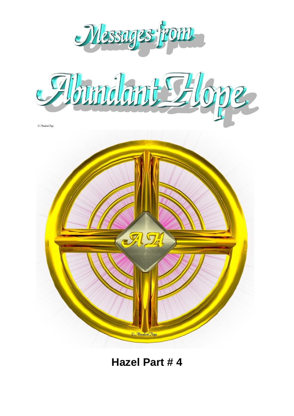





**Hazel Part # 4**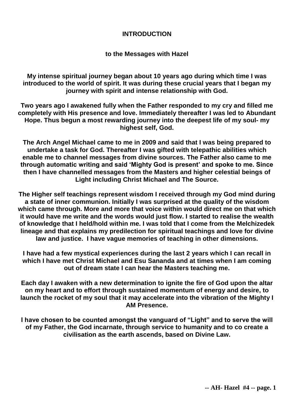### **INTRODUCTION**

**to the Messages with Hazel**

**My intense spiritual journey began about 10 years ago during which time I was introduced to the world of spirit. It was during these crucial years that I began my journey with spirit and intense relationship with God.**

**Two years ago I awakened fully when the Father responded to my cry and filled me completely with His presence and love. Immediately thereafter I was led to Abundant Hope. Thus begun a most rewarding journey into the deepest life of my soul- my highest self, God.**

**The Arch Angel Michael came to me in 2009 and said that I was being prepared to undertake a task for God. Thereafter I was gifted with telepathic abilities which enable me to channel messages from divine sources. The Father also came to me through automatic writing and said 'Mighty God is present' and spoke to me. Since then I have channelled messages from the Masters and higher celestial beings of Light including Christ Michael and The Source.**

**The Higher self teachings represent wisdom I received through my God mind during a state of inner communion. Initially I was surprised at the quality of the wisdom which came through. More and more that voice within would direct me on that which it would have me write and the words would just flow. I started to realise the wealth of knowledge that I held/hold within me. I was told that I come from the Melchizedek lineage and that explains my predilection for spiritual teachings and love for divine law and justice. I have vague memories of teaching in other dimensions.**

**I have had a few mystical experiences during the last 2 years which I can recall in which I have met Christ Michael and Esu Sananda and at times when I am coming out of dream state I can hear the Masters teaching me.**

**Each day I awaken with a new determination to ignite the fire of God upon the altar on my heart and to effort through sustained momentum of energy and desire, to launch the rocket of my soul that it may accelerate into the vibration of the Mighty I AM Presence.**

**I have chosen to be counted amongst the vanguard of "Light" and to serve the will of my Father, the God incarnate, through service to humanity and to co create a civilisation as the earth ascends, based on Divine Law.**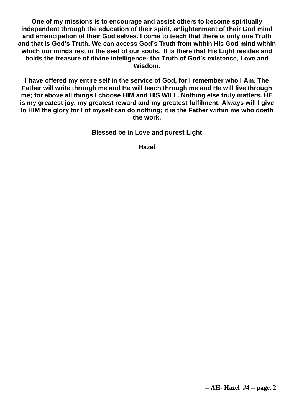**One of my missions is to encourage and assist others to become spiritually independent through the education of their spirit, enlightenment of their God mind and emancipation of their God selves. I come to teach that there is only one Truth and that is God's Truth. We can access God's Truth from within His God mind within which our minds rest in the seat of our souls. It is there that His Light resides and holds the treasure of divine intelligence- the Truth of God's existence, Love and Wisdom.**

**I have offered my entire self in the service of God, for I remember who I Am. The Father will write through me and He will teach through me and He will live through me; for above all things I choose HIM and HIS WILL. Nothing else truly matters. HE is my greatest joy, my greatest reward and my greatest fulfilment. Always will I give to HIM the glory for I of myself can do nothing; it is the Father within me who doeth the work.**

**Blessed be in Love and purest Light**

**Hazel**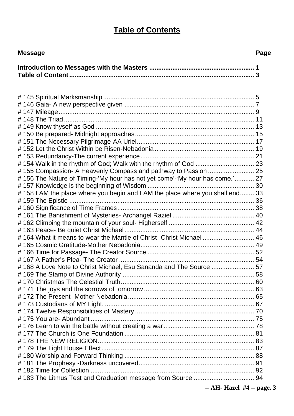# **Table of Contents**

| <b>Message</b>                                                                | Page |
|-------------------------------------------------------------------------------|------|
|                                                                               |      |
|                                                                               |      |
|                                                                               |      |
|                                                                               |      |
|                                                                               |      |
|                                                                               |      |
|                                                                               |      |
| #155 Compassion- A Heavenly Compass and pathway to Passion  25                |      |
| #156 The Nature of Timing-'My hour has not yet come'-'My hour has come.' 27   |      |
| #158 I AM the place where you begin and I AM the place where you shall end 33 |      |
|                                                                               |      |
|                                                                               |      |
|                                                                               |      |
| #164 What it means to wear the Mantle of Christ- Christ Michael 46            |      |
|                                                                               |      |
| #168 A Love Note to Christ Michael, Esu Sananda and The Source  57            |      |
|                                                                               |      |

| $\mathbf{A}$ , and $\mathbf{A}$ , and $\mathbf{A}$ , and $\mathbf{A}$ , and $\mathbf{A}$ , and $\mathbf{A}$ , and $\mathbf{A}$ |  |
|--------------------------------------------------------------------------------------------------------------------------------|--|

# 171 The joys and the sorrows of tomorrow .............................................................. 63 # 172 The Present- Mother Nebadonia....................................................................... 65

**-- AH- Hazel #4 -- page. 3**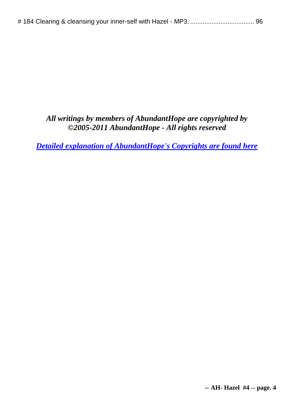# *All writings by members of AbundantHope are copyrighted by ©2005-2011 AbundantHope - All rights reserved*

*[Detailed explanation of AbundantHope's Copyrights are found here](http://abundanthope.net/pages/AbundantHope_1/Copyright_-_Terms_amp_Conditions_517.shtml)*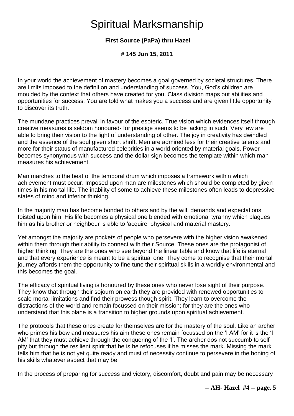# Spiritual Marksmanship

# **First Source (PaPa) thru Hazel**

**# 145 Jun 15, 2011** 

In your world the achievement of mastery becomes a goal governed by societal structures. There are limits imposed to the definition and understanding of success. You, God's children are moulded by the context that others have created for you. Class division maps out abilities and opportunities for success. You are told what makes you a success and are given little opportunity to discover its truth.

The mundane practices prevail in favour of the esoteric. True vision which evidences itself through creative measures is seldom honoured- for prestige seems to be lacking in such. Very few are able to bring their vision to the light of understanding of other. The joy in creativity has dwindled and the essence of the soul given short shrift. Men are admired less for their creative talents and more for their status of manufactured celebrities in a world oriented by material goals. Power becomes synonymous with success and the dollar sign becomes the template within which man measures his achievement.

Man marches to the beat of the temporal drum which imposes a framework within which achievement must occur. Imposed upon man are milestones which should be completed by given times in his mortal life. The inability of some to achieve these milestones often leads to depressive states of mind and inferior thinking.

In the majority man has become bonded to others and by the will, demands and expectations foisted upon him. His life becomes a physical one blended with emotional tyranny which plagues him as his brother or neighbour is able to 'acquire' physical and material mastery.

Yet amongst the majority are pockets of people who persevere with the higher vision awakened within them through their ability to connect with their Source. These ones are the protagonist of higher thinking. They are the ones who see beyond the linear table and know that life is eternal and that every experience is meant to be a spiritual one. They come to recognise that their mortal journey affords them the opportunity to fine tune their spiritual skills in a worldly environmental and this becomes the goal.

The efficacy of spiritual living is honoured by these ones who never lose sight of their purpose. They know that through their sojourn on earth they are provided with renewed opportunities to scale mortal limitations and find their prowess though spirit. They learn to overcome the distractions of the world and remain focussed on their mission; for they are the ones who understand that this plane is a transition to higher grounds upon spiritual achievement.

The protocols that these ones create for themselves are for the mastery of the soul. Like an archer who primes his bow and measures his aim these ones remain focussed on the 'I AM' for it is the 'I AM' that they must achieve through the conquering of the 'I'. The archer dos not succumb to self pity but through the resilient spirit that he is he refocuses if he misses the mark. Missing the mark tells him that he is not yet quite ready and must of necessity continue to persevere in the honing of his skills whatever aspect that may be.

In the process of preparing for success and victory, discomfort, doubt and pain may be necessary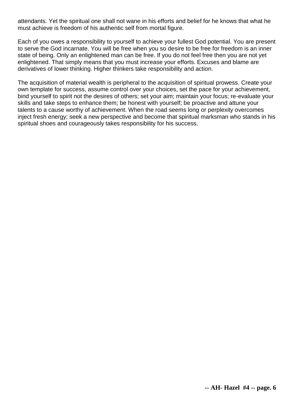attendants. Yet the spiritual one shall not wane in his efforts and belief for he knows that what he must achieve is freedom of his authentic self from mortal figure.

Each of you owes a responsibility to yourself to achieve your fullest God potential. You are present to serve the God incarnate. You will be free when you so desire to be free for freedom is an inner state of being. Only an enlightened man can be free. If you do not feel free then you are not yet enlightened. That simply means that you must increase your efforts. Excuses and blame are derivatives of lower thinking. Higher thinkers take responsibility and action.

The acquisition of material wealth is peripheral to the acquisition of spiritual prowess. Create your own template for success, assume control over your choices, set the pace for your achievement, bind yourself to spirit not the desires of others; set your aim; maintain your focus; re-evaluate your skills and take steps to enhance them; be honest with yourself; be proactive and attune your talents to a cause worthy of achievement. When the road seems long or perplexity overcomes inject fresh energy; seek a new perspective and become that spiritual marksman who stands in his spiritual shoes and courageously takes responsibility for his success.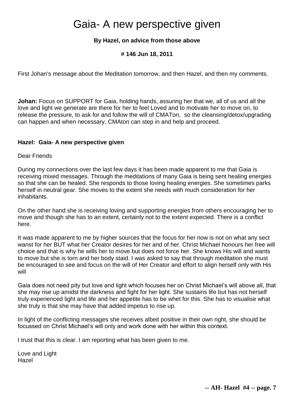# Gaia- A new perspective given

### **By Hazel, on advice from those above**

#### **# 146 Jun 18, 2011**

First Johan's message about the Meditation tomorrow, and then Hazel, and then my comments.

**Johan:** Focus on SUPPORT for Gaia, holding hands, assuring her that we, all of us and all the love and light we generate are there for her to feel Loved and to motivate her to move on, to release the pressure, to ask for and follow the will of CMATon, so the cleansing/detox/upgrading can happen and when necessary, CMAton can step in and help and proceed.

#### **Hazel: Gaia- A new perspective given**

Dear Friends

During my connections over the last few days it has been made apparent to me that Gaia is receiving mixed messages. Through the meditations of many Gaia is being sent healing energies so that she can be healed. She responds to those loving healing energies. She sometimes parks herself in neutral gear. She moves to the extent she needs with much consideration for her inhabitants.

On the other hand she is receiving loving and supporting energies from others encouraging her to move and though she has to an extent, certainly not to the extent expected. There is a conflict here.

It was made apparent to me by higher sources that the focus for her now is not on what any sect wanst for her BUT what her Creator desires for her and of her. Christ Michael honours her free will choice and that is why he wills her to move but does not force her. She knows His will and wants to move but she is torn and her body staid. I was asked to say that through meditation she must be encouraged to see and focus on the will of Her Creator and effort to align herself only with His will

Gaia does not need pity but love and light which focuses her on Christ Michael's will above all, that she may rise up amidst the darkness and fight for her light. She sustains life but has not herself truly experienced light and life and her appetite has to be whet for this. She has to visualise what she truly is that she may have that added impetus to rise up.

In light of the conflicting messages she receives albeit positive in their own right, she should be focussed on Christ Michael's will only and work done with her within this context.

I trust that this is clear. I am reporting what has been given to me.

Love and Light Hazel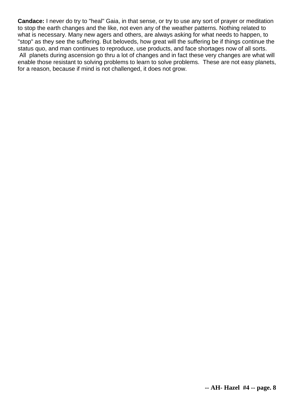**Candace:** I never do try to "heal" Gaia, in that sense, or try to use any sort of prayer or meditation to stop the earth changes and the like, not even any of the weather patterns. Nothing related to what is necessary. Many new agers and others, are always asking for what needs to happen, to "stop" as they see the suffering. But beloveds, how great will the suffering be if things continue the status quo, and man continues to reproduce, use products, and face shortages now of all sorts. All planets during ascension go thru a lot of changes and in fact these very changes are what will enable those resistant to solving problems to learn to solve problems. These are not easy planets, for a reason, because if mind is not challenged, it does not grow.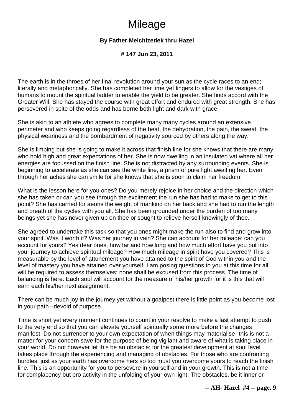# **Mileage**

# **By Father Melchizedek thru Hazel**

**# 147 Jun 23, 2011** 

The earth is in the throes of her final revolution around your sun as the cycle races to an end; literally and metaphorically. She has completed her time yet lingers to allow for the vestiges of humans to mount the spiritual ladder to enable the yield to be greater. She finds accord with the Greater Will. She has stayed the course with great effort and endured with great strength. She has persevered in spite of the odds and has borne both light and dark with grace.

She is akin to an athlete who agrees to complete many many cycles around an extensive perimeter and who keeps going regardless of the heat, the dehydration, the pain, the sweat, the physical weariness and the bombardment of negativity sourced by others along the way.

She is limping but she is going to make it across that finish line for she knows that there are many who hold high and great expectations of her. She is now dwelling in an insulated vat where all her energies are focussed on the finish line. She is not distracted by any surrounding events. She is beginning to accelerate as she can see the white line, a prism of pure light awaiting her. Even through her aches she can smile for she knows that she is soon to claim her freedom.

What is the lesson here for you ones? Do you merely rejoice in her choice and the direction which she has taken or can you see through the excitement the run she has had to make to get to this point? She has carried for aeons the weight of mankind on her back and she had to run the length and breath of the cycles with you all. She has been grounded under the burden of too many beings yet she has never given up on thee or sought to relieve herself knowingly of thee.

She agreed to undertake this task so that you ones might make the run also to find and grow into your spirit. Was it worth it? Was her journey in vain? She can account for her mileage; can you account for yours? Yes dear ones, how far and how long and how much effort have you put into your journey to achieve spiritual mileage? How much mileage in spirit have you covered? This is measurable by the level of attunement you have attained to the spirit of God within you and the level of mastery you have attained over yourself. I am posing questions to you at this time for all will be required to assess themselves; none shall be excused from this process. The time of balancing is here. Each soul will account for the measure of his/her growth for it is this that will earn each his/her next assignment.

There can be much joy in the journey yet without a goalpost there is little point as you become lost in your path –devoid of purpose.

Time is short yet every moment continues to count in your resolve to make a last attempt to push to the very end so that you can elevate yourself spiritually some more before the changes manifest. Do not surrender to your own expectation of when things may materialise- this is not a matter for your concern save for the purpose of being vigilant and aware of what is taking place in your world. Do not however let this be an obstacle; for the greatest development at soul level takes place through the experiencing and managing of obstacles. For those who are confronting hurdles, just as your earth has overcome hers so too must you overcome yours to reach the finish line. This is an opportunity for you to persevere in yourself and in your growth. This is not a time for complacency but pro activity in the unfolding of your own light. The obstacles, be it inner or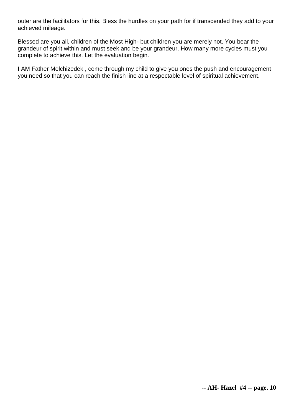outer are the facilitators for this. Bless the hurdles on your path for if transcended they add to your achieved mileage.

Blessed are you all, children of the Most High- but children you are merely not. You bear the grandeur of spirit within and must seek and be your grandeur. How many more cycles must you complete to achieve this. Let the evaluation begin.

I AM Father Melchizedek , come through my child to give you ones the push and encouragement you need so that you can reach the finish line at a respectable level of spiritual achievement.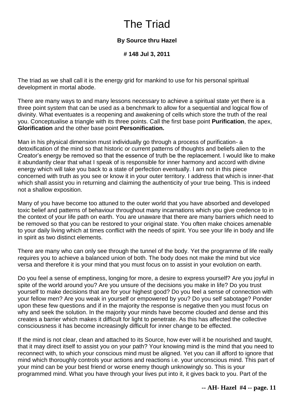# The Triad

# **By Source thru Hazel**

**# 148 Jul 3, 2011** 

The triad as we shall call it is the energy grid for mankind to use for his personal spiritual development in mortal abode.

There are many ways to and many lessons necessary to achieve a spiritual state yet there is a three point system that can be used as a benchmark to allow for a sequential and logical flow of divinity. What eventuates is a reopening and awakening of cells which store the truth of the real you. Conceptualise a triangle with its three points. Call the first base point **Purification**, the apex, **Glorification** and the other base point **Personification.**

Man in his physical dimension must individually go through a process of purification- a detoxification of the mind so that historic or current patterns of thoughts and beliefs alien to the Creator's energy be removed so that the essence of truth be the replacement. I would like to make it abundantly clear that what I speak of is responsible for inner harmony and accord with divine energy which will take you back to a state of perfection eventually. I am not in this piece concerned with truth as you see or know it in your outer territory. I address that which is inner-that which shall assist you in returning and claiming the authenticity of your true being. This is indeed not a shallow exposition.

Many of you have become too attuned to the outer world that you have absorbed and developed toxic belief and patterns of behaviour throughout many incarnations which you give credence to in the context of your life path on earth. You are unaware that there are many barriers which need to be removed so that you can be restored to your original state. You often make choices amenable to your daily living which at times conflict with the needs of spirit. You see your life in body and life in spirit as two distinct elements.

There are many who can only see through the tunnel of the body. Yet the programme of life really requires you to achieve a balanced union of both. The body does not make the mind but vice versa and therefore it is your mind that you must focus on to assist in your evolution on earth.

Do you feel a sense of emptiness, longing for more, a desire to express yourself? Are you joyful in spite of the world around you? Are you unsure of the decisions you make in life? Do you trust yourself to make decisions that are for your highest good? Do you feel a sense of connection with your fellow men? Are you weak in yourself or empowered by you? Do you self sabotage? Ponder upon these few questions and if in the majority the response is negative then you must focus on why and seek the solution. In the majority your minds have become clouded and dense and this creates a barrier which makes it difficult for light to penetrate. As this has affected the collective consciousness it has become increasingly difficult for inner change to be effected.

If the mind is not clear, clean and attached to its Source, how ever will it be nourished and taught, that it may direct itself to assist you on your path? Your knowing mind is the mind that you need to reconnect with, to which your conscious mind must be aligned. Yet you can ill afford to ignore that mind which thoroughly controls your actions and reactions i.e. your unconscious mind. This part of your mind can be your best friend or worse enemy though unknowingly so. This is your programmed mind. What you have through your lives put into it, it gives back to you. Part of the

**-- AH- Hazel #4 -- page. 11**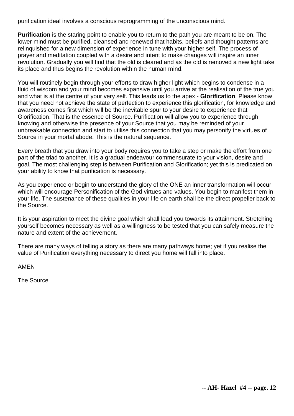purification ideal involves a conscious reprogramming of the unconscious mind.

**Purification** is the staring point to enable you to return to the path you are meant to be on. The lower mind must be purified, cleansed and renewed that habits, beliefs and thought patterns are relinquished for a new dimension of experience in tune with your higher self. The process of prayer and meditation coupled with a desire and intent to make changes will inspire an inner revolution. Gradually you will find that the old is cleared and as the old is removed a new light take its place and thus begins the revolution within the human mind.

You will routinely begin through your efforts to draw higher light which begins to condense in a fluid of wisdom and your mind becomes expansive until you arrive at the realisation of the true you and what is at the centre of your very self. This leads us to the apex - **Glorification**. Please know that you need not achieve the state of perfection to experience this glorification, for knowledge and awareness comes first which will be the inevitable spur to your desire to experience that Glorification. That is the essence of Source. Purification will allow you to experience through knowing and otherwise the presence of your Source that you may be reminded of your unbreakable connection and start to utilise this connection that you may personify the virtues of Source in your mortal abode. This is the natural sequence.

Every breath that you draw into your body requires you to take a step or make the effort from one part of the triad to another. It is a gradual endeavour commensurate to your vision, desire and goal. The most challenging step is between Purification and Glorification; yet this is predicated on your ability to know that purification is necessary.

As you experience or begin to understand the glory of the ONE an inner transformation will occur which will encourage Personification of the God virtues and values. You begin to manifest them in your life. The sustenance of these qualities in your life on earth shall be the direct propeller back to the Source.

It is your aspiration to meet the divine goal which shall lead you towards its attainment. Stretching yourself becomes necessary as well as a willingness to be tested that you can safely measure the nature and extent of the achievement.

There are many ways of telling a story as there are many pathways home; yet if you realise the value of Purification everything necessary to direct you home will fall into place.

AMEN

The Source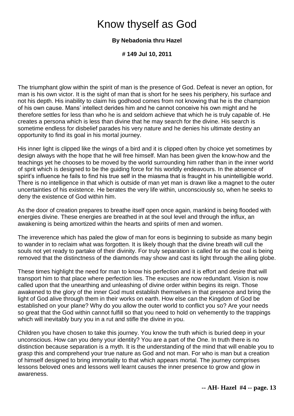# Know thyself as God

### **By Nebadonia thru Hazel**

**# 149 Jul 10, 2011** 

The triumphant glow within the spirit of man is the presence of God. Defeat is never an option, for man is his own victor. It is the sight of man that is short for he sees his periphery, his surface and not his depth. His inability to claim his godhood comes from not knowing that he is the champion of his own cause. Mans' intellect derides him and he cannot conceive his own might and he therefore settles for less than who he is and seldom achieve that which he is truly capable of. He creates a persona which is less than divine that he may search for the divine. His search is sometime endless for disbelief parades his very nature and he denies his ultimate destiny an opportunity to find its goal in his mortal journey.

His inner light is clipped like the wings of a bird and it is clipped often by choice yet sometimes by design always with the hope that he will free himself. Man has been given the know-how and the teachings yet he chooses to be moved by the world surrounding him rather than in the inner world of sprit which is designed to be the guiding force for his worldly endeavours. In the absence of spirit's influence he fails to find his true self in the miasma that is fraught in his unintelligible world. There is no intelligence in that which is outside of man yet man is drawn like a magnet to the outer uncertainties of his existence. He berates the very life within, unconsciously so, when he seeks to deny the existence of God within him.

As the door of creation prepares to breathe itself open once again, mankind is being flooded with energies divine. These energies are breathed in at the soul level and through the influx, an awakening is being amortized within the hearts and spirits of men and women.

The irreverence which has paled the glow of man for eons is beginning to subside as many begin to wander in to reclaim what was forgotten. It is likely though that the divine breath will cull the souls not yet ready to partake of their divinity. For truly separation is called for as the coal is being removed that the distinctness of the diamonds may show and cast its light through the ailing globe.

These times highlight the need for man to know his perfection and it is effort and desire that will transport him to that place where perfection lies. The excuses are now redundant. Vision is now called upon that the unearthing and unleashing of divine order within begins its reign. Those awakened to the glory of the inner God must establish themselves in that presence and bring the light of God alive through them in their works on earth. How else can the Kingdom of God be established on your plane? Why do you allow the outer world to conflict you so? Are your needs so great that the God within cannot fulfill so that you need to hold on vehemently to the trappings which will inevitably bury you in a rut and stifle the divine in you.

Children you have chosen to take this journey. You know the truth which is buried deep in your unconscious. How can you deny your identity? You are a part of the One. In truth there is no distinction because separation is a myth. It is the understanding of the mind that will enable you to grasp this and comprehend your true nature as God and not man. For who is man but a creation of himself designed to bring immortality to that which appears mortal. The journey comprises lessons beloved ones and lessons well learnt causes the inner presence to grow and glow in awareness.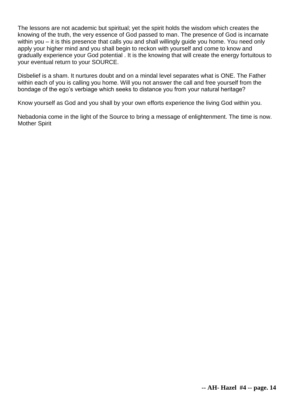The lessons are not academic but spiritual; yet the spirit holds the wisdom which creates the knowing of the truth, the very essence of God passed to man. The presence of God is incarnate within you – it is this presence that calls you and shall willingly guide you home. You need only apply your higher mind and you shall begin to reckon with yourself and come to know and gradually experience your God potential . It is the knowing that will create the energy fortuitous to your eventual return to your SOURCE.

Disbelief is a sham. It nurtures doubt and on a mindal level separates what is ONE. The Father within each of you is calling you home. Will you not answer the call and free yourself from the bondage of the ego's verbiage which seeks to distance you from your natural heritage?

Know yourself as God and you shall by your own efforts experience the living God within you.

Nebadonia come in the light of the Source to bring a message of enlightenment. The time is now. Mother Spirit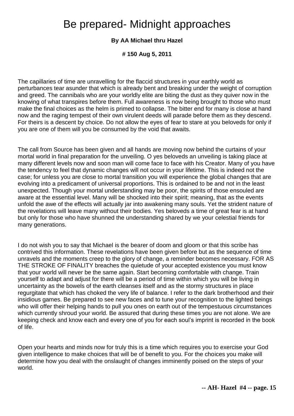# Be prepared- Midnight approaches

### **By AA Michael thru Hazel**

**# 150 Aug 5, 2011** 

The capillaries of time are unravelling for the flaccid structures in your earthly world as perturbances tear asunder that which is already bent and breaking under the weight of corruption and greed. The cannibals who are your worldly elite are biting the dust as they quiver now in the knowing of what transpires before them. Full awareness is now being brought to those who must make the final choices as the helm is primed to collapse. The bitter end for many is close at hand now and the raging tempest of their own virulent deeds will parade before them as they descend. For theirs is a descent by choice. Do not allow the eyes of fear to stare at you beloveds for only if you are one of them will you be consumed by the void that awaits.

The call from Source has been given and all hands are moving now behind the curtains of your mortal world in final preparation for the unveiling. O yes beloveds an unveiling is taking place at many different levels now and soon man will come face to face with his Creator. Many of you have the tendency to feel that dynamic changes will not occur in your lifetime. This is indeed not the case; for unless you are close to mortal transition you will experience the global changes that are evolving into a predicament of universal proportions. This is ordained to be and not in the least unexpected. Though your mortal understanding may be poor, the spirits of those ensouled are aware at the essential level. Many will be shocked into their spirit; meaning, that as the events unfold the awe of the effects will actually jar into awakening many souls. Yet the strident nature of the revelations will leave many without their bodies. Yes beloveds a time of great fear is at hand but only for those who have shunned the understanding shared by we your celestial friends for many generations.

I do not wish you to say that Michael is the bearer of doom and gloom or that this scribe has contrived this information. These revelations have been given before but as the sequence of time unravels and the moments creep to the glory of change, a reminder becomes necessary. FOR AS THE STROKE OF FINALITY breaches the quietude of your accepted existence you must know that your world will never be the same again. Start becoming comfortable with change. Train yourself to adapt and adjust for there will be a period of time within which you will be living in uncertainty as the bowels of the earth cleanses itself and as the stormy structures in place regurgitate that which has choked the very life of balance. I refer to the dark brotherhood and their insidious games. Be prepared to see new faces and to tune your recognition to the lighted beings who will offer their helping hands to pull you ones on earth out of the tempestuous circumstances which currently shroud your world. Be assured that during these times you are not alone. We are keeping check and know each and every one of you for each soul's imprint is recorded in the book of life.

Open your hearts and minds now for truly this is a time which requires you to exercise your God given intelligence to make choices that will be of benefit to you. For the choices you make will determine how you deal with the onslaught of changes imminently poised on the steps of your world.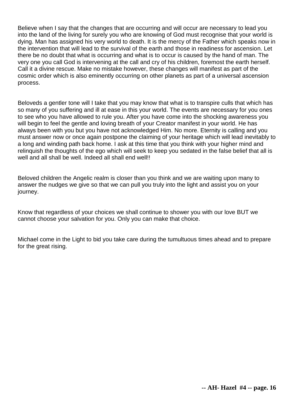Believe when I say that the changes that are occurring and will occur are necessary to lead you into the land of the living for surely you who are knowing of God must recognise that your world is dying. Man has assigned his very world to death. It is the mercy of the Father which speaks now in the intervention that will lead to the survival of the earth and those in readiness for ascension. Let there be no doubt that what is occurring and what is to occur is caused by the hand of man. The very one you call God is intervening at the call and cry of his children, foremost the earth herself. Call it a divine rescue. Make no mistake however, these changes will manifest as part of the cosmic order which is also eminently occurring on other planets as part of a universal ascension process.

Beloveds a gentler tone will I take that you may know that what is to transpire culls that which has so many of you suffering and ill at ease in this your world. The events are necessary for you ones to see who you have allowed to rule you. After you have come into the shocking awareness you will begin to feel the gentle and loving breath of your Creator manifest in your world. He has always been with you but you have not acknowledged Him. No more. Eternity is calling and you must answer now or once again postpone the claiming of your heritage which will lead inevitably to a long and winding path back home. I ask at this time that you think with your higher mind and relinquish the thoughts of the ego which will seek to keep you sedated in the false belief that all is well and all shall be well. Indeed all shall end well!!

Beloved children the Angelic realm is closer than you think and we are waiting upon many to answer the nudges we give so that we can pull you truly into the light and assist you on your journey.

Know that regardless of your choices we shall continue to shower you with our love BUT we cannot choose your salvation for you. Only you can make that choice.

Michael come in the Light to bid you take care during the tumultuous times ahead and to prepare for the great rising.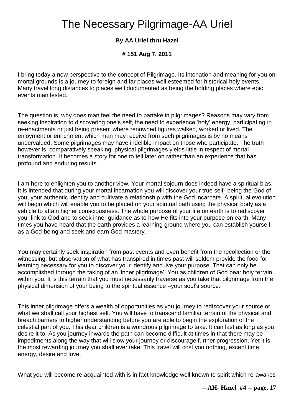# The Necessary Pilgrimage-AA Uriel

# **By AA Uriel thru Hazel**

# **# 151 Aug 7, 2011**

I bring today a new perspective to the concept of Pilgrimage. Its intonation and meaning for you on mortal grounds is a journey to foreign and far places well esteemed for historical holy events. Many travel long distances to places well documented as being the holding places where epic events manifested.

The question is, why does man feel the need to partake in pilgrimages? Reasons may vary from seeking inspiration to discovering one's self, the need to experience 'holy' energy, participating in re-enactments or just being present where renowned figures walked, worked or lived. The enjoyment or enrichment which man may receive from such pilgrimages is by no means undervalued. Some pilgrimages may have indelible impact on those who participate. The truth however is, comparatively speaking, physical pilgrimages yields little in respect of mortal transformation. It becomes a story for one to tell later on rather than an experience that has profound and enduring results.

I am here to enlighten you to another view. Your mortal sojourn does indeed have a spiritual bias. It is intended that during your mortal incarnation you will discover your true self- being the God of you, your authentic identity and cultivate a relationship with the God incarnate. A spiritual evolution will begin which will enable you to be placed on your spiritual path using the physical body as a vehicle to attain higher consciousness. The whole purpose of your life on earth is to rediscover your link to God and to seek inner guidance as to how He fits into your purpose on earth. Many times you have heard that the earth provides a learning ground where you can establish yourself as a God-being and seek and earn God mastery.

You may certainly seek inspiration from past events and even benefit from the recollection or the witnessing; but observation of what has transpired in times past will seldom provide the food for learning necessary for you to discover your identify and live your purpose. That can only be accomplished through the taking of an 'inner pilgrimage'. You as children of God bear holy terrain within you. It is this terrain that you must necessarily traverse as you take that pilgrimage from the physical dimension of your being to the spiritual essence –your soul's source.

This inner pilgrimage offers a wealth of opportunities as you journey to rediscover your source or what we shall call your highest self. You will have to transcend familiar terrain of the physical and breach barriers to higher understanding before you are able to begin the exploration of the celestial part of you. This dear children is a wondrous pilgrimage to take. It can last as long as you desire it to. As you journey inwards the path can become difficult at times in that there may be impediments along the way that will slow your journey or discourage further progression. Yet it is the most rewarding journey you shall ever take. This travel will cost you nothing, except time, energy, desire and love.

What you will become re acquainted with is in fact knowledge well known to spirit which re-awakes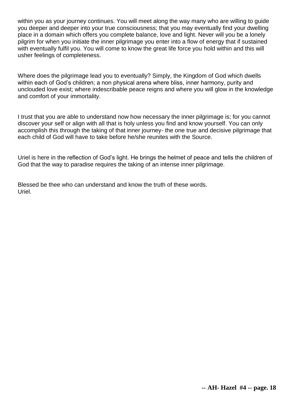within you as your journey continues. You will meet along the way many who are willing to guide you deeper and deeper into your true consciousness; that you may eventually find your dwelling place in a domain which offers you complete balance, love and light. Never will you be a lonely pilgrim for when you initiate the inner pilgrimage you enter into a flow of energy that if sustained with eventually fulfil you. You will come to know the great life force you hold within and this will usher feelings of completeness.

Where does the pilgrimage lead you to eventually? Simply, the Kingdom of God which dwells within each of God's children; a non physical arena where bliss, inner harmony, purity and unclouded love exist; where indescribable peace reigns and where you will glow in the knowledge and comfort of your immortality.

I trust that you are able to understand now how necessary the inner pilgrimage is; for you cannot discover your self or align with all that is holy unless you find and know yourself. You can only accomplish this through the taking of that inner journey- the one true and decisive pilgrimage that each child of God will have to take before he/she reunites with the Source.

Uriel is here in the reflection of God's light. He brings the helmet of peace and tells the children of God that the way to paradise requires the taking of an intense inner pilgrimage.

Blessed be thee who can understand and know the truth of these words. Uriel.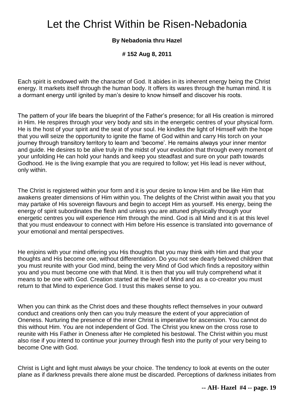# Let the Christ Within be Risen-Nebadonia

### **By Nebadonia thru Hazel**

**# 152 Aug 8, 2011** 

Each spirit is endowed with the character of God. It abides in its inherent energy being the Christ energy. It markets itself through the human body. It offers its wares through the human mind. It is a dormant energy until ignited by man's desire to know himself and discover his roots.

The pattern of your life bears the blueprint of the Father's presence; for all His creation is mirrored in Him. He respires through your very body and sits in the energetic centres of your physical form. He is the host of your spirit and the seat of your soul. He kindles the light of Himself with the hope that you will seize the opportunity to ignite the flame of God within and carry His torch on your journey through transitory territory to learn and 'become'. He remains always your inner mentor and guide. He desires to be alive truly in the midst of your evolution that through every moment of your unfolding He can hold your hands and keep you steadfast and sure on your path towards Godhood. He is the living example that you are required to follow; yet His lead is never without, only within.

The Christ is registered within your form and it is your desire to know Him and be like Him that awakens greater dimensions of Him within you. The delights of the Christ within await you that you may partake of His sovereign flavours and begin to accept Him as yourself. His energy, being the energy of spirit subordinates the flesh and unless you are attuned physically through your energetic centres you will experience Him through the mind. God is all Mind and it is at this level that you must endeavour to connect with Him before His essence is translated into governance of your emotional and mental perspectives.

He enjoins with your mind offering you His thoughts that you may think with Him and that your thoughts and His become one, without differentiation. Do you not see dearly beloved children that you must reunite with your God mind, being the very Mind of God which finds a repository within you and you must become one with that Mind. It is then that you will truly comprehend what it means to be one with God. Creation started at the level of Mind and as a co-creator you must return to that Mind to experience God. I trust this makes sense to you.

When you can think as the Christ does and these thoughts reflect themselves in your outward conduct and creations only then can you truly measure the extent of your appreciation of Oneness. Nurturing the presence of the inner Christ is imperative for ascension. You cannot do this without Him. You are not independent of God. The Christ you knew on the cross rose to reunite with His Father in Oneness after He completed his bestowal. The Christ within you must also rise if you intend to continue your journey through flesh into the purity of your very being to become One with God.

Christ is Light and light must always be your choice. The tendency to look at events on the outer plane as if darkness prevails there alone must be discarded. Perceptions of darkness initiates from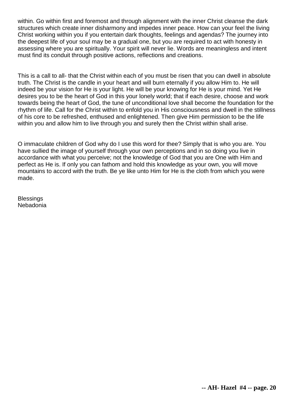within. Go within first and foremost and through alignment with the inner Christ cleanse the dark structures which create inner disharmony and impedes inner peace. How can your feel the living Christ working within you if you entertain dark thoughts, feelings and agendas? The journey into the deepest life of your soul may be a gradual one, but you are required to act with honesty in assessing where you are spiritually. Your spirit will never lie. Words are meaningless and intent must find its conduit through positive actions, reflections and creations.

This is a call to all- that the Christ within each of you must be risen that you can dwell in absolute truth. The Christ is the candle in your heart and will burn eternally if you allow Him to. He will indeed be your vision for He is your light. He will be your knowing for He is your mind. Yet He desires you to be the heart of God in this your lonely world; that if each desire, choose and work towards being the heart of God, the tune of unconditional love shall become the foundation for the rhythm of life. Call for the Christ within to enfold you in His consciousness and dwell in the stillness of his core to be refreshed, enthused and enlightened. Then give Him permission to be the life within you and allow him to live through you and surely then the Christ within shall arise.

O immaculate children of God why do I use this word for thee? Simply that is who you are. You have sullied the image of yourself through your own perceptions and in so doing you live in accordance with what you perceive; not the knowledge of God that you are One with Him and perfect as He is. If only you can fathom and hold this knowledge as your own, you will move mountains to accord with the truth. Be ye like unto Him for He is the cloth from which you were made.

**Blessings** Nebadonia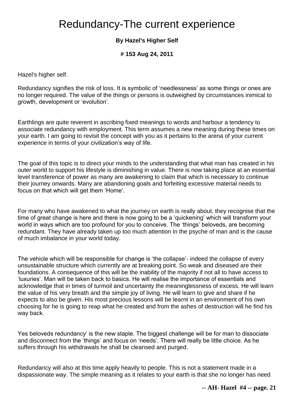# Redundancy-The current experience

# **By Hazel's Higher Self**

**# 153 Aug 24, 2011** 

Hazel's higher self.

Redundancy signifies the risk of loss. It is symbolic of 'needlessness' as some things or ones are no longer required. The value of the things or persons is outweighed by circumstances inimical to growth, development or 'evolution'.

Earthlings are quite reverent in ascribing fixed meanings to words and harbour a tendency to associate redundancy with employment. This term assumes a new meaning during these times on your earth. I am going to revisit the concept with you as it pertains to the arena of your current experience in terms of your civilization's way of life.

The goal of this topic is to direct your minds to the understanding that what man has created in his outer world to support his lifestyle is diminishing in value. There is now taking place at an essential level transference of power as many are awakening to claim that which is necessary to continue their journey onwards. Many are abandoning goals and forfeiting excessive material needs to focus on that which will get them 'Home'.

For many who have awakened to what the journey on earth is really about, they recognise that the time of great change is here and there is now going to be a 'quickening' which will transform your world in ways which are too profound for you to conceive. The 'things' beloveds, are becoming redundant. They have already taken up too much attention in the psyche of man and is the cause of much imbalance in your world today.

The vehicle which will be responsible for change is 'the collapse'- indeed the collapse of every unsustainable structure which currently are at breaking point. So weak and diseased are their foundations. A consequence of this will be the inability of the majority if not all to have access to 'luxuries'. Man will be taken back to basics. He will realise the importance of essentials and acknowledge that in times of turmoil and uncertainty the meaninglessness of excess. He will learn the value of his very breath and the simple joy of living. He will learn to give and share if he expects to also be given. His most precious lessons will be learnt in an environment of his own choosing for he is going to reap what he created and from the ashes of destruction will he find his way back.

Yes beloveds redundancy' is the new staple. The biggest challenge will be for man to dissociate and disconnect from the 'things' and focus on 'needs'. There will really be little choice. As he suffers through his withdrawals he shall be cleansed and purged.

Redundancy will also at this time apply heavily to people. This is not a statement made in a dispassionate way. The simple meaning as it relates to your earth is that she no longer has need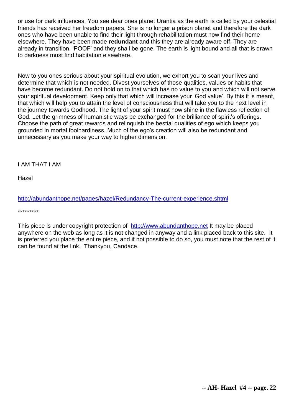or use for dark influences. You see dear ones planet Urantia as the earth is called by your celestial friends has received her freedom papers. She is no longer a prison planet and therefore the dark ones who have been unable to find their light through rehabilitation must now find their home elsewhere. They have been made **redundant** and this they are already aware off. They are already in transition. 'POOF' and they shall be gone. The earth is light bound and all that is drawn to darkness must find habitation elsewhere.

Now to you ones serious about your spiritual evolution, we exhort you to scan your lives and determine that which is not needed. Divest yourselves of those qualities, values or habits that have become redundant. Do not hold on to that which has no value to you and which will not serve your spiritual development. Keep only that which will increase your 'God value'. By this it is meant, that which will help you to attain the level of consciousness that will take you to the next level in the journey towards Godhood. The light of your spirit must now shine in the flawless reflection of God. Let the grimness of humanistic ways be exchanged for the brilliance of spirit's offerings. Choose the path of great rewards and relinquish the bestial qualities of ego which keeps you grounded in mortal foolhardiness. Much of the ego's creation will also be redundant and unnecessary as you make your way to higher dimension.

I AM THAT I AM

Hazel

<http://abundanthope.net/pages/hazel/Redundancy-The-current-experience.shtml>

\*\*\*\*\*\*\*\*\*

This piece is under copyright protection of [http://www.abundanthope.net](http://abundanthope.net/pages/) It may be placed anywhere on the web as long as it is not changed in anyway and a link placed back to this site. It is preferred you place the entire piece, and if not possible to do so, you must note that the rest of it can be found at the link. Thankyou, Candace.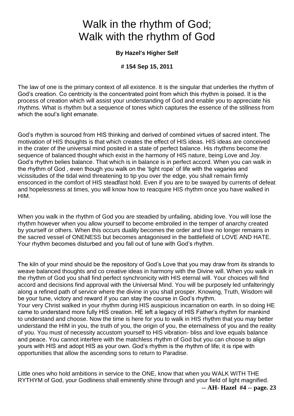# Walk in the rhythm of God; Walk with the rhythm of God

### **By Hazel's Higher Self**

### **# 154 Sep 15, 2011**

The law of one is the primary context of all existence. It is the singular that underlies the rhythm of God's creation. Co centricity is the concentrated point from which this rhythm is poised. It is the process of creation which will assist your understanding of God and enable you to appreciate his rhythms. What is rhythm but a sequence of tones which captures the essence of the stillness from which the soul's light emanate.

God's rhythm is sourced from HIS thinking and derived of combined virtues of sacred intent. The motivation of HIS thoughts is that which creates the effect of HIS ideas. HIS ideas are conceived in the crater of the universal mind posited in a state of perfect balance. His rhythms become the sequence of balanced thought which exist in the harmony of HIS nature, being Love and Joy. God's rhythm belies balance. That which is in balance is in perfect accord. When you can walk in the rhythm of God , even though you walk on the 'tight rope' of life with the vagaries and vicissitudes of the tidal wind threatening to tip you over the edge, you shall remain firmly ensconced in the comfort of HIS steadfast hold. Even if you are to be swayed by currents of defeat and hopelessness at times, you will know how to reacquire HIS rhythm once you have walked in HIM.

When you walk in the rhythm of God you are steadied by unfailing, abiding love. You will lose the rhythm however when you allow yourself to become embroiled in the temper of anarchy created by yourself or others. When this occurs duality becomes the order and love no longer remains in the sacred vessel of ONENESS but becomes antagonised in the battlefield of LOVE AND HATE. Your rhythm becomes disturbed and you fall out of tune with God's rhythm.

The kiln of your mind should be the repository of God's Love that you may draw from its strands to weave balanced thoughts and co creative ideas in harmony with the Divine will. When you walk in the rhythm of God you shall find perfect synchronicity with HIS eternal will. Your choices will find accord and decisions find approval with the Universal Mind. You will be purposely led unfalteringly along a refined path of service where the divine in you shall prosper. Knowing, Truth, Wisdom will be your tune, victory and reward if you can stay the course in God's rhythm. Your very Christ walked in your rhythm during HIS auspicious incarnation on earth. In so doing HE came to understand more fully HIS creation. HE left a legacy of HIS Father's rhythm for mankind to understand and choose. Now the time is here for you to walk in HIS rhythm that you may better understand the HIM in you, the truth of you, the origin of you, the eternalness of you and the reality of you. You must of necessity accustom yourself to HIS vibration- bliss and love equals balance and peace. You cannot interfere with the matchless rhythm of God but you can choose to align yours with HIS and adopt HIS as your own. God's rhythm is the rhythm of life; it is ripe with

**-- AH- Hazel #4 -- page. 23** Little ones who hold ambitions in service to the ONE, know that when you WALK WITH THE RYTHYM of God, your Godliness shall eminently shine through and your field of light magnified.

opportunities that allow the ascending sons to return to Paradise.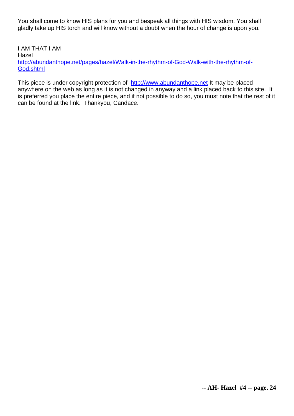You shall come to know HIS plans for you and bespeak all things with HIS wisdom. You shall gladly take up HIS torch and will know without a doubt when the hour of change is upon you.

I AM THAT I AM Hazel [http://abundanthope.net/pages/hazel/Walk-in-the-rhythm-of-God-Walk-with-the-rhythm-of-](http://abundanthope.net/pages/hazel/Walk-in-the-rhythm-of-God-Walk-with-the-rhythm-of-God.shtml)[God.shtml](http://abundanthope.net/pages/hazel/Walk-in-the-rhythm-of-God-Walk-with-the-rhythm-of-God.shtml)

This piece is under copyright protection of [http://www.abundanthope.net](http://abundanthope.net/pages/) It may be placed anywhere on the web as long as it is not changed in anyway and a link placed back to this site. It is preferred you place the entire piece, and if not possible to do so, you must note that the rest of it can be found at the link. Thankyou, Candace.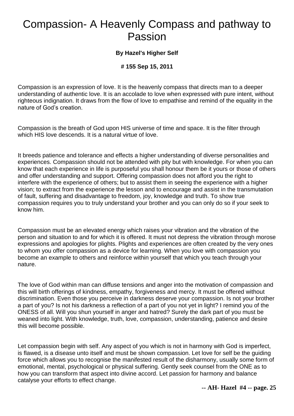# Compassion- A Heavenly Compass and pathway to Passion

### **By Hazel's Higher Self**

### **# 155 Sep 15, 2011**

Compassion is an expression of love. It is the heavenly compass that directs man to a deeper understanding of authentic love. It is an accolade to love when expressed with pure intent, without righteous indignation. It draws from the flow of love to empathise and remind of the equality in the nature of God's creation.

Compassion is the breath of God upon HIS universe of time and space. It is the filter through which HIS love descends. It is a natural virtue of love.

It breeds patience and tolerance and effects a higher understanding of diverse personalities and experiences. Compassion should not be attended with pity but with knowledge. For when you can know that each experience in life is purposeful you shall honour them be it yours or those of others and offer understanding and support. Offering compassion does not afford you the right to interfere with the experience of others; but to assist them in seeing the experience with a higher vision; to extract from the experience the lesson and to encourage and assist in the transmutation of fault, suffering and disadvantage to freedom, joy, knowledge and truth. To show true compassion requires you to truly understand your brother and you can only do so if your seek to know him.

Compassion must be an elevated energy which raises your vibration and the vibration of the person and situation to and for which it is offered. It must not depress the vibration through morose expressions and apologies for plights. Plights and experiences are often created by the very ones to whom you offer compassion as a device for learning. When you love with compassion you become an example to others and reinforce within yourself that which you teach through your nature.

The love of God within man can diffuse tensions and anger into the motivation of compassion and this will birth offerings of kindness, empathy, forgiveness and mercy. It must be offered without discrimination. Even those you perceive in darkness deserve your compassion. Is not your brother a part of you? Is not his darkness a reflection of a part of you not yet in light? I remind you of the ONESS of all. Will you shun yourself in anger and hatred? Surely the dark part of you must be weaned into light. With knowledge, truth, love, compassion, understanding, patience and desire this will become possible.

Let compassion begin with self. Any aspect of you which is not in harmony with God is imperfect, is flawed, is a disease unto itself and must be shown compassion. Let love for self be the guiding force which allows you to recognise the manifested result of the disharmony, usually some form of emotional, mental, psychological or physical suffering. Gently seek counsel from the ONE as to how you can transform that aspect into divine accord. Let passion for harmony and balance catalyse your efforts to effect change.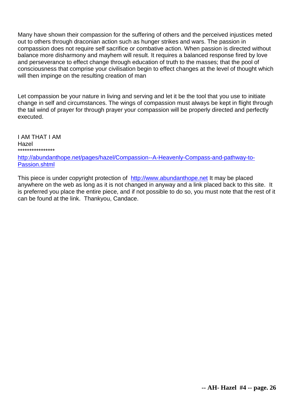Many have shown their compassion for the suffering of others and the perceived injustices meted out to others through draconian action such as hunger strikes and wars. The passion in compassion does not require self sacrifice or combative action. When passion is directed without balance more disharmony and mayhem will result. It requires a balanced response fired by love and perseverance to effect change through education of truth to the masses; that the pool of consciousness that comprise your civilisation begin to effect changes at the level of thought which will then impinge on the resulting creation of man

Let compassion be your nature in living and serving and let it be the tool that you use to initiate change in self and circumstances. The wings of compassion must always be kept in flight through the tail wind of prayer for through prayer your compassion will be properly directed and perfectly executed.

I AM THAT I AM Hazel \*\*\*\*\*\*\*\*\*\*\*\*\*\*\*\*

[http://abundanthope.net/pages/hazel/Compassion--A-Heavenly-Compass-and-pathway-to-](http://abundanthope.net/pages/hazel/Compassion--A-Heavenly-Compass-and-pathway-to-Passion.shtml)[Passion.shtml](http://abundanthope.net/pages/hazel/Compassion--A-Heavenly-Compass-and-pathway-to-Passion.shtml)

This piece is under copyright protection of [http://www.abundanthope.net](http://abundanthope.net/pages/) It may be placed anywhere on the web as long as it is not changed in anyway and a link placed back to this site. It is preferred you place the entire piece, and if not possible to do so, you must note that the rest of it can be found at the link. Thankyou, Candace.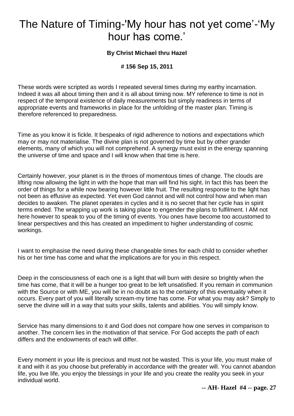# The Nature of Timing-'My hour has not yet come'-'My hour has come.'

### **By Christ Michael thru Hazel**

### **# 156 Sep 15, 2011**

These words were scripted as words I repeated several times during my earthy incarnation. Indeed it was all about timing then and it is all about timing now. MY reference to time is not in respect of the temporal existence of daily measurements but simply readiness in terms of appropriate events and frameworks in place for the unfolding of the master plan. Timing is therefore referenced to preparedness.

Time as you know it is fickle. It bespeaks of rigid adherence to notions and expectations which may or may not materialise. The divine plan is not governed by time but by other grander elements, many of which you will not comprehend. A synergy must exist in the energy spanning the universe of time and space and I will know when that time is here.

Certainly however, your planet is in the throes of momentous times of change. The clouds are lifting now allowing the light in with the hope that man will find his sight. In fact this has been the order of things for a while now bearing however little fruit. The resulting response to the light has not been as effusive as expected. Yet even God cannot and will not control how and when man decides to awaken. The planet operates in cycles and it is no secret that her cycle has in spirit terms ended. The wrapping up work is taking place to engender the plans to fulfilment. I AM not here however to speak to you of the timing of events. You ones have become too accustomed to linear perspectives and this has created an impediment to higher understanding of cosmic workings.

I want to emphasise the need during these changeable times for each child to consider whether his or her time has come and what the implications are for you in this respect.

Deep in the consciousness of each one is a light that will burn with desire so brightly when the time has come, that it will be a hunger too great to be left unsatisfied. If you remain in communion with the Source or with ME, you will be in no doubt as to the certainty of this eventuality when it occurs. Every part of you will literally scream-my time has come. For what you may ask? Simply to serve the divine will in a way that suits your skills, talents and abilities. You will simply know.

Service has many dimensions to it and God does not compare how one serves in comparison to another. The concern lies in the motivation of that service. For God accepts the path of each differs and the endowments of each will differ.

Every moment in your life is precious and must not be wasted. This is your life, you must make of it and with it as you choose but preferably in accordance with the greater will. You cannot abandon life, you live life, you enjoy the blessings in your life and you create the reality you seek in your individual world.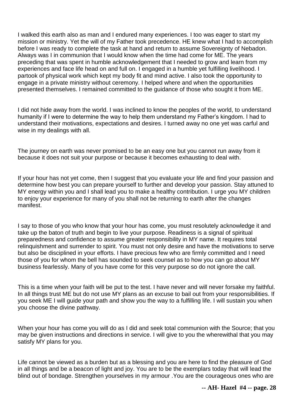I walked this earth also as man and I endured many experiences. I too was eager to start my mission or ministry. Yet the will of my Father took precedence. HE knew what I had to accomplish before I was ready to complete the task at hand and return to assume Sovereignty of Nebadon. Always was I in communion that I would know when the time had come for ME. The years preceding that was spent in humble acknowledgement that I needed to grow and learn from my experiences and face life head on and full on. I engaged in a humble yet fulfilling livelihood. I partook of physical work which kept my body fit and mind active. I also took the opportunity to engage in a private ministry without ceremony. I helped where and when the opportunities presented themselves. I remained committed to the guidance of those who sought it from ME.

I did not hide away from the world. I was inclined to know the peoples of the world, to understand humanity if I were to determine the way to help them understand my Father's kingdom. I had to understand their motivations, expectations and desires. I turned away no one yet was carful and wise in my dealings with all.

The journey on earth was never promised to be an easy one but you cannot run away from it because it does not suit your purpose or because it becomes exhausting to deal with.

If your hour has not yet come, then I suggest that you evaluate your life and find your passion and determine how best you can prepare yourself to further and develop your passion. Stay attuned to MY energy within you and I shall lead you to make a healthy contribution. I urge you MY children to enjoy your experience for many of you shall not be returning to earth after the changes manifest.

I say to those of you who know that your hour has come, you must resolutely acknowledge it and take up the baton of truth and begin to live your purpose. Readiness is a signal of spiritual preparedness and confidence to assume greater responsibility in MY name. It requires total relinquishment and surrender to spirit. You must not only desire and have the motivations to serve but also be disciplined in your efforts. I have precious few who are firmly committed and I need those of you for whom the bell has sounded to seek counsel as to how you can go about MY business fearlessly. Many of you have come for this very purpose so do not ignore the call.

This is a time when your faith will be put to the test. I have never and will never forsake my faithful. In all things trust ME but do not use MY plans as an excuse to bail out from your responsibilities. If you seek ME I will guide your path and show you the way to a fulfilling life. I will sustain you when you choose the divine pathway.

When your hour has come you will do as I did and seek total communion with the Source; that you may be given instructions and directions in service. I will give to you the wherewithal that you may satisfy MY plans for you.

Life cannot be viewed as a burden but as a blessing and you are here to find the pleasure of God in all things and be a beacon of light and joy. You are to be the exemplars today that will lead the blind out of bondage. Strengthen yourselves in my armour .You are the courageous ones who are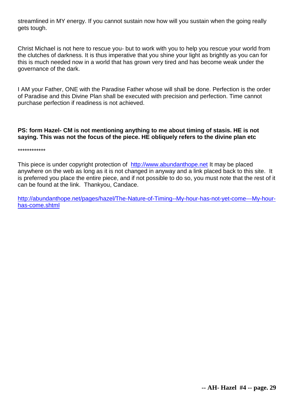streamlined in MY energy. If you cannot sustain now how will you sustain when the going really gets tough.

Christ Michael is not here to rescue you- but to work with you to help you rescue your world from the clutches of darkness. It is thus imperative that you shine your light as brightly as you can for this is much needed now in a world that has grown very tired and has become weak under the governance of the dark.

I AM your Father, ONE with the Paradise Father whose will shall be done. Perfection is the order of Paradise and this Divine Plan shall be executed with precision and perfection. Time cannot purchase perfection if readiness is not achieved.

### **PS: form Hazel- CM is not mentioning anything to me about timing of stasis. HE is not saying. This was not the focus of the piece. HE obliquely refers to the divine plan etc**

\*\*\*\*\*\*\*\*\*\*\*\*

This piece is under copyright protection of [http://www.abundanthope.net](http://abundanthope.net/pages/) It may be placed anywhere on the web as long as it is not changed in anyway and a link placed back to this site. It is preferred you place the entire piece, and if not possible to do so, you must note that the rest of it can be found at the link. Thankyou, Candace.

[http://abundanthope.net/pages/hazel/The-Nature-of-Timing--My-hour-has-not-yet-come---My-hour](http://abundanthope.net/pages/hazel/The-Nature-of-Timing--My-hour-has-not-yet-come---My-hour-has-come.shtml)[has-come.shtml](http://abundanthope.net/pages/hazel/The-Nature-of-Timing--My-hour-has-not-yet-come---My-hour-has-come.shtml)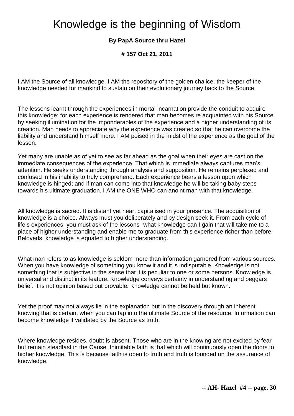# Knowledge is the beginning of Wisdom

### **By PapA Source thru Hazel**

**# 157 Oct 21, 2011** 

I AM the Source of all knowledge. I AM the repository of the golden chalice, the keeper of the knowledge needed for mankind to sustain on their evolutionary journey back to the Source.

The lessons learnt through the experiences in mortal incarnation provide the conduit to acquire this knowledge; for each experience is rendered that man becomes re acquainted with his Source by seeking illumination for the imponderables of the experience and a higher understanding of its creation. Man needs to appreciate why the experience was created so that he can overcome the liability and understand himself more. I AM poised in the midst of the experience as the goal of the lesson.

Yet many are unable as of yet to see as far ahead as the goal when their eyes are cast on the immediate consequences of the experience. That which is immediate always captures man's attention. He seeks understanding through analysis and supposition. He remains perplexed and confused in his inability to truly comprehend. Each experience bears a lesson upon which knowledge is hinged; and if man can come into that knowledge he will be taking baby steps towards his ultimate graduation. I AM the ONE WHO can anoint man with that knowledge.

All knowledge is sacred. It is distant yet near, capitalised in your presence. The acquisition of knowledge is a choice. Always must you deliberately and by design seek it. From each cycle of life's experiences, you must ask of the lessons- what knowledge can I gain that will take me to a place of higher understanding and enable me to graduate from this experience richer than before. Beloveds, knowledge is equated to higher understanding.

What man refers to as knowledge is seldom more than information garnered from various sources. When you have knowledge of something you know it and it is indisputable. Knowledge is not something that is subjective in the sense that it is peculiar to one or some persons. Knowledge is universal and distinct in its feature. Knowledge conveys certainty in understanding and beggars belief. It is not opinion based but provable. Knowledge cannot be held but known.

Yet the proof may not always lie in the explanation but in the discovery through an inherent knowing that is certain, when you can tap into the ultimate Source of the resource. Information can become knowledge if validated by the Source as truth.

Where knowledge resides, doubt is absent. Those who are in the knowing are not excited by fear but remain steadfast in the Cause. Inimitable faith is that which will continuously open the doors to higher knowledge. This is because faith is open to truth and truth is founded on the assurance of knowledge.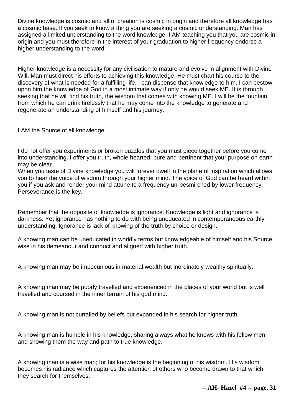Divine knowledge is cosmic and all of creation is cosmic in origin and therefore all knowledge has a cosmic base. If you seek to know a thing you are seeking a cosmic understanding. Man has assigned a limited understanding to the word knowledge. I AM teaching you that you are cosmic in origin and you must therefore in the interest of your graduation to higher frequency endorse a higher understanding to the word.

Higher knowledge is a necessity for any civilisation to mature and evolve in alignment with Divine Will. Man must direct his efforts to achieving this knowledge. He must chart his course to the discovery of what is needed for a fulfilling life. I can dispense that knowledge to him. I can bestow upon him the knowledge of God in a most intimate way if only he would seek ME. It is through seeking that he will find his truth, the wisdom that comes with knowing ME. I will be the fountain from which he can drink tirelessly that he may come into the knowledge to generate and regenerate an understanding of himself and his journey.

I AM the Source of all knowledge.

I do not offer you experiments or broken puzzles that you must piece together before you come into understanding. I offer you truth, whole hearted, pure and pertinent that your purpose on earth may be clear.

When you taste of Divine knowledge you will forever dwell in the plane of inspiration which allows you to hear the voice of wisdom through your higher mind. The voice of God can be heard within you if you ask and render your mind attune to a frequency un-besmirched by lower frequency. Perseverance is the key.

Remember that the opposite of knowledge is ignorance. Knowledge is light and ignorance is darkness. Yet ignorance has nothing to do with being uneducated in contemporaneous earthly understanding. Ignorance is lack of knowing of the truth by choice or design.

A knowing man can be uneducated in worldly terms but knowledgeable of himself and his Source, wise in his demeanour and conduct and aligned with higher truth.

A knowing man may be impecunious in material wealth but inordinately wealthy spiritually.

A knowing man may be poorly travelled and experienced in the places of your world but is well travelled and coursed in the inner terrain of his god mind.

A knowing man is not curtailed by beliefs but expanded in his search for higher truth.

A knowing man is humble in his knowledge, sharing always what he knows with his fellow men and showing them the way and path to true knowledge.

A knowing man is a wise man; for his knowledge is the beginning of his wisdom. His wisdom becomes his radiance which captures the attention of others who become drawn to that which they search for themselves.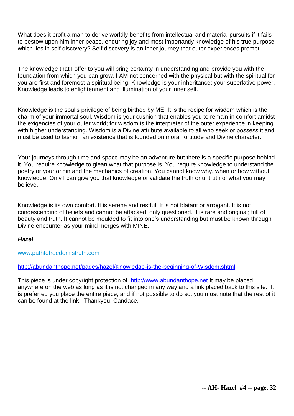What does it profit a man to derive worldly benefits from intellectual and material pursuits if it fails to bestow upon him inner peace, enduring joy and most importantly knowledge of his true purpose which lies in self discovery? Self discovery is an inner journey that outer experiences prompt.

The knowledge that I offer to you will bring certainty in understanding and provide you with the foundation from which you can grow. I AM not concerned with the physical but with the spiritual for you are first and foremost a spiritual being. Knowledge is your inheritance; your superlative power. Knowledge leads to enlightenment and illumination of your inner self.

Knowledge is the soul's privilege of being birthed by ME. It is the recipe for wisdom which is the charm of your immortal soul. Wisdom is your cushion that enables you to remain in comfort amidst the exigencies of your outer world; for wisdom is the interpreter of the outer experience in keeping with higher understanding. Wisdom is a Divine attribute available to all who seek or possess it and must be used to fashion an existence that is founded on moral fortitude and Divine character.

Your journeys through time and space may be an adventure but there is a specific purpose behind it. You require knowledge to glean what that purpose is. You require knowledge to understand the poetry or your origin and the mechanics of creation. You cannot know why, when or how without knowledge. Only I can give you that knowledge or validate the truth or untruth of what you may believe.

Knowledge is its own comfort. It is serene and restful. It is not blatant or arrogant. It is not condescending of beliefs and cannot be attacked, only questioned. It is rare and original; full of beauty and truth. It cannot be moulded to fit into one's understanding but must be known through Divine encounter as your mind merges with MINE.

#### *Hazel*

[www.pathtofreedomistruth.com](http://www.pathtofreedomistruth.com/)

<http://abundanthope.net/pages/hazel/Knowledge-is-the-beginning-of-Wisdom.shtml>

This piece is under copyright protection of [http://www.abundanthope.net](http://www.abundanthope.net/pages/) It may be placed anywhere on the web as long as it is not changed in any way and a link placed back to this site. It is preferred you place the entire piece, and if not possible to do so, you must note that the rest of it can be found at the link. Thankyou, Candace.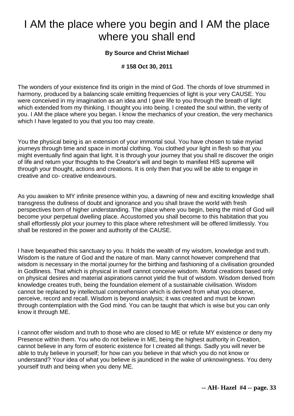# I AM the place where you begin and I AM the place where you shall end

### **By Source and Christ Michael**

### **# 158 Oct 30, 2011**

The wonders of your existence find its origin in the mind of God. The chords of love strummed in harmony, produced by a balancing scale emitting frequencies of light is your very CAUSE. You were conceived in my imagination as an idea and I gave life to you through the breath of light which extended from my thinking. I thought you into being. I created the soul within, the verity of you. I AM the place where you began. I know the mechanics of your creation, the very mechanics which I have legated to you that you too may create.

You the physical being is an extension of your immortal soul. You have chosen to take myriad journeys through time and space in mortal clothing. You clothed your light in flesh so that you might eventually find again that light. It is through your journey that you shall re discover the origin of life and return your thoughts to the Creator's will and begin to manifest HIS supreme will through your thought, actions and creations. It is only then that you will be able to engage in creative and co- creative endeavours.

As you awaken to MY infinite presence within you, a dawning of new and exciting knowledge shall transgress the dullness of doubt and ignorance and you shall brave the world with fresh perspectives born of higher understanding. The place where you begin, being the mind of God will become your perpetual dwelling place. Accustomed you shall become to this habitation that you shall effortlessly plot your journey to this place where refreshment will be offered limitlessly. You shall be restored in the power and authority of the CAUSE.

I have bequeathed this sanctuary to you. It holds the wealth of my wisdom, knowledge and truth. Wisdom is the nature of God and the nature of man. Many cannot however comprehend that wisdom is necessary in the mortal journey for the birthing and fashioning of a civilisation grounded in Godliness. That which is physical in itself cannot conceive wisdom. Mortal creations based only on physical desires and material aspirations cannot yield the fruit of wisdom. Wisdom derived from knowledge creates truth, being the foundation element of a sustainable civilisation. Wisdom cannot be replaced by intellectual comprehension which is derived from what you observe, perceive, record and recall. Wisdom is beyond analysis; it was created and must be known through contemplation with the God mind. You can be taught that which is wise but you can only know it through ME.

I cannot offer wisdom and truth to those who are closed to ME or refute MY existence or deny my Presence within them. You who do not believe in ME, being the highest authority in Creation, cannot believe in any form of esoteric existence for I created all things. Sadly you will never be able to truly believe in yourself; for how can you believe in that which you do not know or understand? Your idea of what you believe is jaundiced in the wake of unknowingness. You deny yourself truth and being when you deny ME.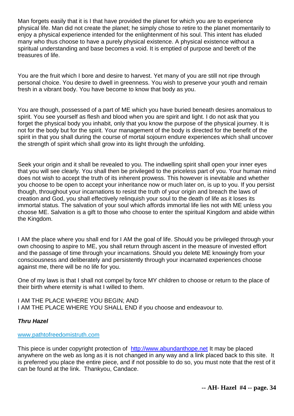Man forgets easily that it is I that have provided the planet for which you are to experience physical life. Man did not create the planet; he simply chose to retire to the planet momentarily to enjoy a physical experience intended for the enlightenment of his soul. This intent has eluded many who thus choose to have a purely physical existence. A physical existence without a spiritual understanding and base becomes a void. It is emptied of purpose and bereft of the treasures of life.

You are the fruit which I bore and desire to harvest. Yet many of you are still not ripe through personal choice. You desire to dwell in greenness. You wish to preserve your youth and remain fresh in a vibrant body. You have become to know that body as you.

You are though, possessed of a part of ME which you have buried beneath desires anomalous to spirit. You see yourself as flesh and blood when you are spirit and light. I do not ask that you forget the physical body you inhabit, only that you know the purpose of the physical journey. It is not for the body but for the spirit. Your management of the body is directed for the benefit of the spirit in that you shall during the course of mortal sojourn endure experiences which shall uncover the strength of spirit which shall grow into its light through the unfolding.

Seek your origin and it shall be revealed to you. The indwelling spirit shall open your inner eyes that you will see clearly. You shall then be privileged to the priceless part of you. Your human mind does not wish to accept the truth of its inherent prowess. This however is inevitable and whether you choose to be open to accept your inheritance now or much later on, is up to you. If you persist though, throughout your incarnations to resist the truth of your origin and breach the laws of creation and God, you shall effectively relinquish your soul to the death of life as it loses its immortal status. The salvation of your soul which affords immortal life lies not with ME unless you choose ME. Salvation is a gift to those who choose to enter the spiritual Kingdom and abide within the Kingdom.

I AM the place where you shall end for I AM the goal of life. Should you be privileged through your own choosing to aspire to ME, you shall return through ascent in the measure of invested effort and the passage of time through your incarnations. Should you delete ME knowingly from your consciousness and deliberately and persistently through your incarnated experiences choose against me, there will be no life for you.

One of my laws is that I shall not compel by force MY children to choose or return to the place of their birth where eternity is what I willed to them.

I AM THE PLACE WHERE YOU BEGIN; AND I AM THE PLACE WHERE YOU SHALL END if you choose and endeavour to.

### *Thru Hazel*

#### [www.pathtofreedomistruth.com](http://www.pathtofreedomistruth.com/)

This piece is under copyright protection of [http://www.abundanthope.net](http://abundanthope.net/pages/) It may be placed anywhere on the web as long as it is not changed in any way and a link placed back to this site. It is preferred you place the entire piece, and if not possible to do so, you must note that the rest of it can be found at the link. Thankyou, Candace.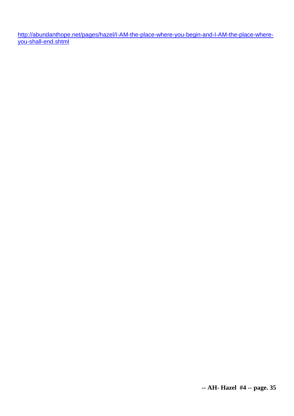[http://abundanthope.net/pages/hazel/I-AM-the-place-where-you-begin-and-I-AM-the-place-where](http://abundanthope.net/pages/hazel/I-AM-the-place-where-you-begin-and-I-AM-the-place-where-you-shall-end.shtml)[you-shall-end.shtml](http://abundanthope.net/pages/hazel/I-AM-the-place-where-you-begin-and-I-AM-the-place-where-you-shall-end.shtml)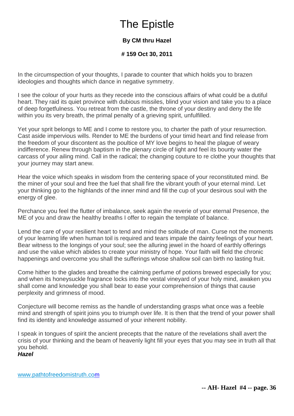# The Epistle

## **By CM thru Hazel**

**# 159 Oct 30, 2011** 

In the circumspection of your thoughts, I parade to counter that which holds you to brazen ideologies and thoughts which dance in negative symmetry.

I see the colour of your hurts as they recede into the conscious affairs of what could be a dutiful heart. They raid its quiet province with dubious missiles, blind your vision and take you to a place of deep forgetfulness. You retreat from the castle, the throne of your destiny and deny the life within you its very breath, the primal penalty of a grieving spirit, unfulfilled.

Yet your sprit belongs to ME and I come to restore you, to charter the path of your resurrection. Cast aside impervious wills. Render to ME the burdens of your timid heart and find release from the freedom of your discontent as the poultice of MY love begins to heal the plague of weary indifference. Renew through baptism in the plenary circle of light and feel its bounty water the carcass of your ailing mind. Call in the radical; the changing couture to re clothe your thoughts that your journey may start anew.

Hear the voice which speaks in wisdom from the centering space of your reconstituted mind. Be the miner of your soul and free the fuel that shall fire the vibrant youth of your eternal mind. Let your thinking go to the highlands of the inner mind and fill the cup of your desirous soul with the energy of glee.

Perchance you feel the flutter of imbalance, seek again the reverie of your eternal Presence, the ME of you and draw the healthy breaths I offer to regain the template of balance.

Lend the care of your resilient heart to tend and mind the solitude of man. Curse not the moments of your learning life when human toil is required and tears impale the dainty feelings of your heart. Bear witness to the longings of your soul; see the alluring jewel in the hoard of earthly offerings and use the value which abides to create your ministry of hope. Your faith will field the chronic happenings and overcome you shall the sufferings whose shallow soil can birth no lasting fruit.

Come hither to the glades and breathe the calming perfume of potions brewed especially for you; and when its honeysuckle fragrance locks into the vestal vineyard of your holy mind, awaken you shall come and knowledge you shall bear to ease your comprehension of things that cause perplexity and grimness of mood.

Conjecture will become remiss as the handle of understanding grasps what once was a feeble mind and strength of spirit joins you to triumph over life. It is then that the trend of your power shall find its identity and knowledge assumed of your inherent nobility.

I speak in tongues of spirit the ancient precepts that the nature of the revelations shall avert the crisis of your thinking and the beam of heavenly light fill your eyes that you may see in truth all that you behold.

### *Hazel*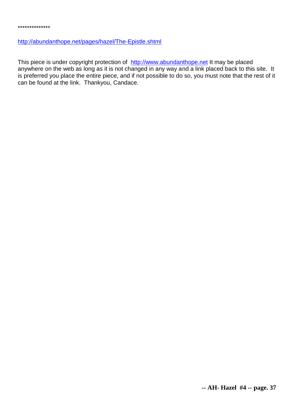#### <http://abundanthope.net/pages/hazel/The-Epistle.shtml>

This piece is under copyright protection of [http://www.abundanthope.net](http://abundanthope.net/pages/) It may be placed anywhere on the web as long as it is not changed in any way and a link placed back to this site. It is preferred you place the entire piece, and if not possible to do so, you must note that the rest of it can be found at the link. Thankyou, Candace.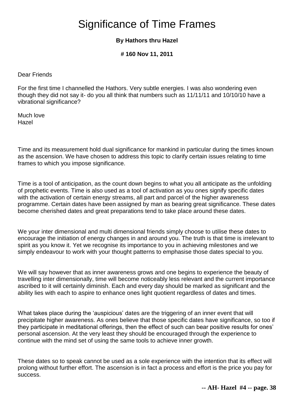# Significance of Time Frames

### **By Hathors thru Hazel**

**# 160 Nov 11, 2011** 

Dear Friends

For the first time I channelled the Hathors. Very subtle energies. I was also wondering even though they did not say it- do you all think that numbers such as 11/11/11 and 10/10/10 have a vibrational significance?

Much love Hazel

Time and its measurement hold dual significance for mankind in particular during the times known as the ascension. We have chosen to address this topic to clarify certain issues relating to time frames to which you impose significance.

Time is a tool of anticipation, as the count down begins to what you all anticipate as the unfolding of prophetic events. Time is also used as a tool of activation as you ones signify specific dates with the activation of certain energy streams, all part and parcel of the higher awareness programme. Certain dates have been assigned by man as bearing great significance. These dates become cherished dates and great preparations tend to take place around these dates.

We your inter dimensional and multi dimensional friends simply choose to utilise these dates to encourage the initiation of energy changes in and around you. The truth is that time is irrelevant to spirit as you know it. Yet we recognise its importance to you in achieving milestones and we simply endeavour to work with your thought patterns to emphasise those dates special to you.

We will say however that as inner awareness grows and one begins to experience the beauty of travelling inter dimensionally, time will become noticeably less relevant and the current importance ascribed to it will certainly diminish. Each and every day should be marked as significant and the ability lies with each to aspire to enhance ones light quotient regardless of dates and times.

What takes place during the 'auspicious' dates are the triggering of an inner event that will precipitate higher awareness. As ones believe that those specific dates have significance, so too if they participate in meditational offerings, then the effect of such can bear positive results for ones' personal ascension. At the very least they should be encouraged through the experience to continue with the mind set of using the same tools to achieve inner growth.

These dates so to speak cannot be used as a sole experience with the intention that its effect will prolong without further effort. The ascension is in fact a process and effort is the price you pay for success.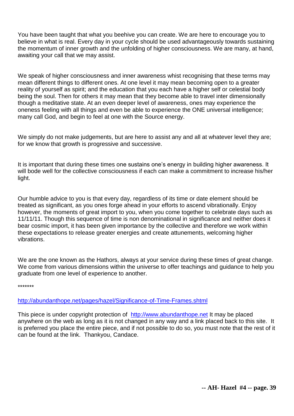You have been taught that what you beehive you can create. We are here to encourage you to believe in what is real. Every day in your cycle should be used advantageously towards sustaining the momentum of inner growth and the unfolding of higher consciousness. We are many, at hand, awaiting your call that we may assist.

We speak of higher consciousness and inner awareness whist recognising that these terms may mean different things to different ones. At one level it may mean becoming open to a greater reality of yourself as spirit; and the education that you each have a higher self or celestial body being the soul. Then for others it may mean that they become able to travel inter dimensionally though a meditative state. At an even deeper level of awareness, ones may experience the oneness feeling with all things and even be able to experience the ONE universal intelligence; many call God, and begin to feel at one with the Source energy.

We simply do not make judgements, but are here to assist any and all at whatever level they are; for we know that growth is progressive and successive.

It is important that during these times one sustains one's energy in building higher awareness. It will bode well for the collective consciousness if each can make a commitment to increase his/her light.

Our humble advice to you is that every day, regardless of its time or date element should be treated as significant, as you ones forge ahead in your efforts to ascend vibrationally. Enjoy however, the moments of great import to you, when you come together to celebrate days such as 11/11/11. Though this sequence of time is non denominational in significance and neither does it bear cosmic import, it has been given importance by the collective and therefore we work within these expectations to release greater energies and create attunements, welcoming higher vibrations.

We are the one known as the Hathors, always at your service during these times of great change. We come from various dimensions within the universe to offer teachings and guidance to help you graduate from one level of experience to another.

\*\*\*\*\*\*\*

<http://abundanthope.net/pages/hazel/Significance-of-Time-Frames.shtml>

This piece is under copyright protection of [http://www.abundanthope.net](http://www.abundanthope.net/pages/) It may be placed anywhere on the web as long as it is not changed in any way and a link placed back to this site. It is preferred you place the entire piece, and if not possible to do so, you must note that the rest of it can be found at the link. Thankyou, Candace.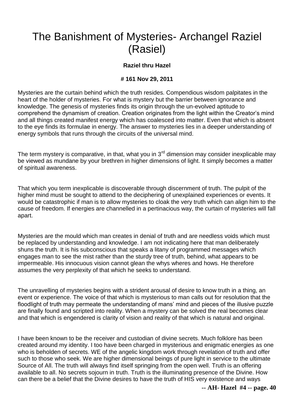# The Banishment of Mysteries- Archangel Raziel (Rasiel)

### **Raziel thru Hazel**

#### **# 161 Nov 29, 2011**

Mysteries are the curtain behind which the truth resides. Compendious wisdom palpitates in the heart of the holder of mysteries. For what is mystery but the barrier between ignorance and knowledge. The genesis of mysteries finds its origin through the un-evolved aptitude to comprehend the dynamism of creation. Creation originates from the light within the Creator's mind and all things created manifest energy which has coalesced into matter. Even that which is absent to the eye finds its formulae in energy. The answer to mysteries lies in a deeper understanding of energy symbols that runs through the circuits of the universal mind.

The term mystery is comparative, in that, what you in  $3<sup>rd</sup>$  dimension may consider inexplicable may be viewed as mundane by your brethren in higher dimensions of light. It simply becomes a matter of spiritual awareness.

That which you term inexplicable is discoverable through discernment of truth. The pulpit of the higher mind must be sought to attend to the deciphering of unexplained experiences or events. It would be catastrophic if man is to allow mysteries to cloak the very truth which can align him to the cause of freedom. If energies are channelled in a pertinacious way, the curtain of mysteries will fall apart.

Mysteries are the mould which man creates in denial of truth and are needless voids which must be replaced by understanding and knowledge. I am not indicating here that man deliberately shuns the truth. It is his subconscious that speaks a litany of programmed messages which engages man to see the mist rather than the sturdy tree of truth, behind, what appears to be impermeable. His innocuous vision cannot glean the whys wheres and hows. He therefore assumes the very perplexity of that which he seeks to understand.

The unravelling of mysteries begins with a strident arousal of desire to know truth in a thing, an event or experience. The voice of that which is mysterious to man calls out for resolution that the floodlight of truth may permeate the understanding of mans' mind and pieces of the illusive puzzle are finally found and scripted into reality. When a mystery can be solved the real becomes clear and that which is engendered is clarity of vision and reality of that which is natural and original.

I have been known to be the receiver and custodian of divine secrets. Much folklore has been created around my identity. I too have been charged in mysterious and enigmatic energies as one who is beholden of secrets. WE of the angelic kingdom work through revelation of truth and offer such to those who seek. We are higher dimensional beings of pure light in service to the ultimate Source of All. The truth will always find itself springing from the open well. Truth is an offering available to all. No secrets sojourn in truth. Truth is the illuminating presence of the Divine. How can there be a belief that the Divine desires to have the truth of HIS very existence and ways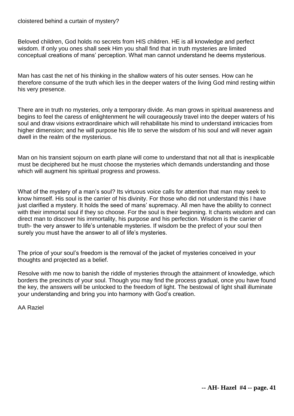Beloved children, God holds no secrets from HIS children. HE is all knowledge and perfect wisdom. If only you ones shall seek Him you shall find that in truth mysteries are limited conceptual creations of mans' perception. What man cannot understand he deems mysterious.

Man has cast the net of his thinking in the shallow waters of his outer senses. How can he therefore consume of the truth which lies in the deeper waters of the living God mind resting within his very presence.

There are in truth no mysteries, only a temporary divide. As man grows in spiritual awareness and begins to feel the caress of enlightenment he will courageously travel into the deeper waters of his soul and draw visions extraordinaire which will rehabilitate his mind to understand intricacies from higher dimension; and he will purpose his life to serve the wisdom of his soul and will never again dwell in the realm of the mysterious.

Man on his transient sojourn on earth plane will come to understand that not all that is inexplicable must be deciphered but he must choose the mysteries which demands understanding and those which will augment his spiritual progress and prowess.

What of the mystery of a man's soul? Its virtuous voice calls for attention that man may seek to know himself. His soul is the carrier of his divinity. For those who did not understand this I have just clarified a mystery. It holds the seed of mans' supremacy. All men have the ability to connect with their immortal soul if they so choose. For the soul is their beginning. It chants wisdom and can direct man to discover his immortality, his purpose and his perfection. Wisdom is the carrier of truth- the very answer to life's untenable mysteries. If wisdom be the prefect of your soul then surely you must have the answer to all of life's mysteries.

The price of your soul's freedom is the removal of the jacket of mysteries conceived in your thoughts and projected as a belief.

Resolve with me now to banish the riddle of mysteries through the attainment of knowledge, which borders the precincts of your soul. Though you may find the process gradual, once you have found the key, the answers will be unlocked to the freedom of light. The bestowal of light shall illuminate your understanding and bring you into harmony with God's creation.

AA Raziel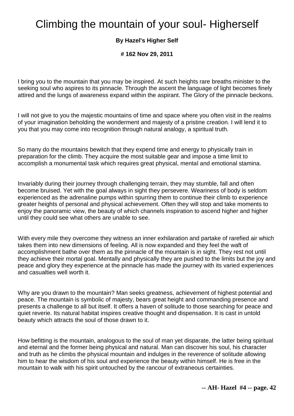# Climbing the mountain of your soul- Higherself

### **By Hazel's Higher Self**

**# 162 Nov 29, 2011** 

I bring you to the mountain that you may be inspired. At such heights rare breaths minister to the seeking soul who aspires to its pinnacle. Through the ascent the language of light becomes finely attired and the lungs of awareness expand within the aspirant. The Glory of the pinnacle beckons.

I will not give to you the majestic mountains of time and space where you often visit in the realms of your imagination beholding the wonderment and majesty of a pristine creation. I will lend it to you that you may come into recognition through natural analogy, a spiritual truth.

So many do the mountains bewitch that they expend time and energy to physically train in preparation for the climb. They acquire the most suitable gear and impose a time limit to accomplish a monumental task which requires great physical, mental and emotional stamina.

Invariably during their journey through challenging terrain, they may stumble, fall and often become bruised. Yet with the goal always in sight they persevere. Weariness of body is seldom experienced as the adrenaline pumps within spurring them to continue their climb to experience greater heights of personal and physical achievement. Often they will stop and take moments to enjoy the panoramic view, the beauty of which channels inspiration to ascend higher and higher until they could see what others are unable to see.

With every mile they overcome they witness an inner exhilaration and partake of rarefied air which takes them into new dimensions of feeling. All is now expanded and they feel the waft of accomplishment bathe over them as the pinnacle of the mountain is in sight. They rest not until they achieve their mortal goal. Mentally and physically they are pushed to the limits but the joy and peace and glory they experience at the pinnacle has made the journey with its varied experiences and casualties well worth it.

Why are you drawn to the mountain? Man seeks greatness, achievement of highest potential and peace. The mountain is symbolic of majesty, bears great height and commanding presence and presents a challenge to all but itself. It offers a haven of solitude to those searching for peace and quiet reverie. Its natural habitat inspires creative thought and dispensation. It is cast in untold beauty which attracts the soul of those drawn to it.

How befitting is the mountain, analogous to the soul of man yet disparate, the latter being spiritual and eternal and the former being physical and natural. Man can discover his soul, his character and truth as he climbs the physical mountain and indulges in the reverence of solitude allowing him to hear the wisdom of his soul and experience the beauty within himself. He is free in the mountain to walk with his spirit untouched by the rancour of extraneous certainties.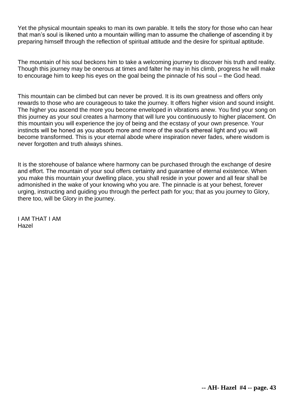Yet the physical mountain speaks to man its own parable. It tells the story for those who can hear that man's soul is likened unto a mountain willing man to assume the challenge of ascending it by preparing himself through the reflection of spiritual attitude and the desire for spiritual aptitude.

The mountain of his soul beckons him to take a welcoming journey to discover his truth and reality. Though this journey may be onerous at times and falter he may in his climb, progress he will make to encourage him to keep his eyes on the goal being the pinnacle of his soul – the God head.

This mountain can be climbed but can never be proved. It is its own greatness and offers only rewards to those who are courageous to take the journey. It offers higher vision and sound insight. The higher you ascend the more you become enveloped in vibrations anew. You find your song on this journey as your soul creates a harmony that will lure you continuously to higher placement. On this mountain you will experience the joy of being and the ecstasy of your own presence. Your instincts will be honed as you absorb more and more of the soul's ethereal light and you will become transformed. This is your eternal abode where inspiration never fades, where wisdom is never forgotten and truth always shines.

It is the storehouse of balance where harmony can be purchased through the exchange of desire and effort. The mountain of your soul offers certainty and guarantee of eternal existence. When you make this mountain your dwelling place, you shall reside in your power and all fear shall be admonished in the wake of your knowing who you are. The pinnacle is at your behest, forever urging, instructing and guiding you through the perfect path for you; that as you journey to Glory, there too, will be Glory in the journey.

I AM THAT I AM Hazel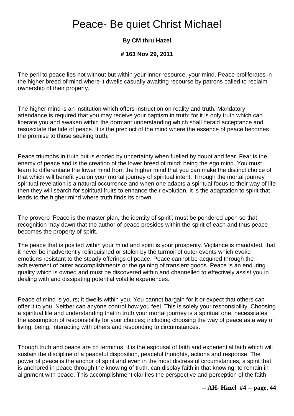# Peace- Be quiet Christ Michael

### **By CM thru Hazel**

#### **# 163 Nov 29, 2011**

The peril to peace lies not without but within your inner resource, your mind. Peace proliferates in the higher breed of mind where it dwells casually awaiting recourse by patrons called to reclaim ownership of their property.

The higher mind is an institution which offers instruction on reality and truth. Mandatory attendance is required that you may receive your baptism in truth; for it is only truth which can liberate you and awaken within the dormant understanding which shall herald acceptance and resuscitate the tide of peace. It is the precinct of the mind where the essence of peace becomes the promise to those seeking truth.

Peace triumphs in truth but is eroded by uncertainty when fuelled by doubt and fear. Fear is the enemy of peace and is the creation of the lower breed of mind; being the ego mind. You must learn to differentiate the lower mind from the higher mind that you can make the distinct choice of that which will benefit you on your mortal journey of spiritual intent. Through the mortal journey spiritual revelation is a natural occurrence and when one adapts a spiritual focus to their way of life then they will search for spiritual fruits to enhance their evolution. It is the adaptation to spirit that leads to the higher mind where truth finds its crown.

The proverb 'Peace is the master plan, the identity of spirit', must be pondered upon so that recognition may dawn that the author of peace presides within the spirit of each and thus peace becomes the property of spirit.

The peace that is posited within your mind and spirit is your prosperity. Vigilance is mandated, that it never be inadvertently relinquished or stolen by the turmoil of outer events which evoke emotions resistant to the steady offerings of peace. Peace cannot be acquired through the achievement of outer accomplishments or the gaining of transient goods. Peace is an enduring quality which is owned and must be discovered within and channelled to effectively assist you in dealing with and dissipating potential volatile experiences.

Peace of mind is yours; it dwells within you. You cannot bargain for it or expect that others can offer it to you. Neither can anyone control how you feel. This is solely your responsibility. Choosing a spiritual life and understanding that in truth your mortal journey is a spiritual one, necessitates the assumption of responsibility for your choices; including choosing the way of peace as a way of living, being, interacting with others and responding to circumstances.

Though truth and peace are co terminus, it is the espousal of faith and experiential faith which will sustain the discipline of a peaceful disposition, peaceful thoughts, actions and response. The power of peace is the anchor of spirit and even in the most distressful circumstances, a spirit that is anchored in peace through the knowing of truth, can display faith in that knowing, to remain in alignment with peace. This accomplishment clarifies the perspective and perception of the faith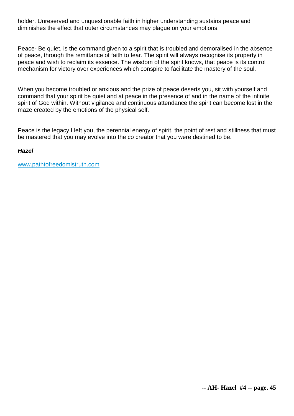holder. Unreserved and unquestionable faith in higher understanding sustains peace and diminishes the effect that outer circumstances may plague on your emotions.

Peace- Be quiet, is the command given to a spirit that is troubled and demoralised in the absence of peace, through the remittance of faith to fear. The spirit will always recognise its property in peace and wish to reclaim its essence. The wisdom of the spirit knows, that peace is its control mechanism for victory over experiences which conspire to facilitate the mastery of the soul.

When you become troubled or anxious and the prize of peace deserts you, sit with yourself and command that your spirit be quiet and at peace in the presence of and in the name of the infinite spirit of God within. Without vigilance and continuous attendance the spirit can become lost in the maze created by the emotions of the physical self.

Peace is the legacy I left you, the perennial energy of spirit, the point of rest and stillness that must be mastered that you may evolve into the co creator that you were destined to be.

#### *Hazel*

[www.pathtofreedomistruth.com](http://www.pathtofreedomistruth.com/)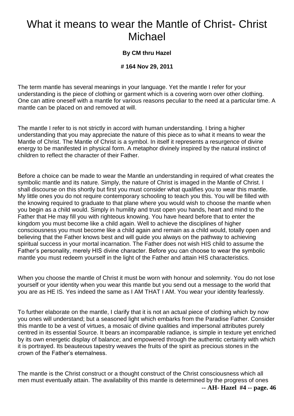# What it means to wear the Mantle of Christ- Christ Michael

### **By CM thru Hazel**

### **# 164 Nov 29, 2011**

The term mantle has several meanings in your language. Yet the mantle I refer for your understanding is the piece of clothing or garment which is a covering worn over other clothing. One can attire oneself with a mantle for various reasons peculiar to the need at a particular time. A mantle can be placed on and removed at will.

The mantle I refer to is not strictly in accord with human understanding. I bring a higher understanding that you may appreciate the nature of this piece as to what it means to wear the Mantle of Christ. The Mantle of Christ is a symbol. In itself it represents a resurgence of divine energy to be manifested in physical form. A metaphor divinely inspired by the natural instinct of children to reflect the character of their Father.

Before a choice can be made to wear the Mantle an understanding in required of what creates the symbolic mantle and its nature. Simply, the nature of Christ is imaged in the Mantle of Christ. I shall discourse on this shortly but first you must consider what qualifies you to wear this mantle. My little ones you do not require contemporary schooling to teach you this. You will be filled with the knowing required to graduate to that plane where you would wish to choose the mantle when you begin as a child would. Simply in humility and trust open you hands, heart and mind to the Father that He may fill you with righteous knowing. You have heard before that to enter the kingdom you must become like a child again. Well to achieve the disciplines of higher consciousness you must become like a child again and remain as a child would, totally open and believing that the Father knows best and will guide you always on the pathway to achieving spiritual success in your mortal incarnation. The Father does not wish HIS child to assume the Father's personality, merely HIS divine character. Before you can choose to wear the symbolic mantle you must redeem yourself in the light of the Father and attain HIS characteristics.

When you choose the mantle of Christ it must be worn with honour and solemnity. You do not lose yourself or your identity when you wear this mantle but you send out a message to the world that you are as HE IS. Yes indeed the same as I AM THAT I AM. You wear your identity fearlessly.

To further elaborate on the mantle, I clarify that it is not an actual piece of clothing which by now you ones will understand; but a seasoned light which embarks from the Paradise Father. Consider this mantle to be a vest of virtues, a mosaic of divine qualities and impersonal attributes purely centred in its essential Source. It bears an incomparable radiance, is simple in texture yet enriched by its own energetic display of balance; and empowered through the authentic certainty with which it is portrayed. Its beauteous tapestry weaves the fruits of the spirit as precious stones in the crown of the Father's eternalness.

**-- AH- Hazel #4 -- page. 46** The mantle is the Christ construct or a thought construct of the Christ consciousness which all men must eventually attain. The availability of this mantle is determined by the progress of ones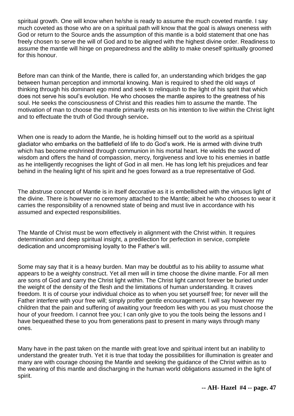spiritual growth. One will know when he/she is ready to assume the much coveted mantle. I say much coveted as those who are on a spiritual path will know that the goal is always oneness with God or return to the Source ands the assumption of this mantle is a bold statement that one has freely chosen to serve the will of God and to be aligned with the highest divine order. Readiness to assume the mantle will hinge on preparedness and the ability to make oneself spiritually groomed for this honour.

Before man can think of the Mantle, there is called for, an understanding which bridges the gap between human perception and immortal knowing. Man is required to shed the old ways of thinking through his dominant ego mind and seek to relinquish to the light of his spirit that which does not serve his soul's evolution. He who chooses the mantle aspires to the greatness of his soul. He seeks the consciousness of Christ and this readies him to assume the mantle. The motivation of man to choose the mantle primarily rests on his intention to live within the Christ light and to effectuate the truth of God through service**.**

When one is ready to adorn the Mantle, he is holding himself out to the world as a spiritual gladiator who embarks on the battlefield of life to do God's work. He is armed with divine truth which has become enshrined through communion in his mortal heart. He wields the sword of wisdom and offers the hand of compassion, mercy, forgiveness and love to his enemies in battle as he intelligently recognises the light of God in all men. He has long left his prejudices and fear behind in the healing light of his spirit and he goes forward as a true representative of God.

The abstruse concept of Mantle is in itself decorative as it is embellished with the virtuous light of the divine. There is however no ceremony attached to the Mantle; albeit he who chooses to wear it carries the responsibility of a renowned state of being and must live in accordance with his assumed and expected responsibilities.

The Mantle of Christ must be worn effectively in alignment with the Christ within. It requires determination and deep spiritual insight, a predilection for perfection in service, complete dedication and uncompromising loyalty to the Father's will.

Some may say that it is a heavy burden. Man may be doubtful as to his ability to assume what appears to be a weighty construct. Yet all men will in time choose the divine mantle. For all men are sons of God and carry the Christ light within. The Christ light cannot forever be buried under the weight of the density of the flesh and the limitations of human understanding. It craves freedom. It is of course your individual choice as to when you set yourself free; for never will the Father interfere with your free will; simply proffer gentle encouragement. I will say however my children that the pain and suffering of awaiting your freedom lies with you as you must choose the hour of your freedom. I cannot free you; I can only give to you the tools being the lessons and I have bequeathed these to you from generations past to present in many ways through many ones.

Many have in the past taken on the mantle with great love and spiritual intent but an inability to understand the greater truth. Yet it is true that today the possibilities for illumination is greater and many are with courage choosing the Mantle and seeking the guidance of the Christ within as to the wearing of this mantle and discharging in the human world obligations assumed in the light of spirit.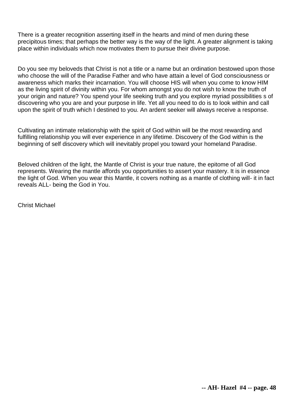There is a greater recognition asserting itself in the hearts and mind of men during these precipitous times; that perhaps the better way is the way of the light. A greater alignment is taking place within individuals which now motivates them to pursue their divine purpose.

Do you see my beloveds that Christ is not a title or a name but an ordination bestowed upon those who choose the will of the Paradise Father and who have attain a level of God consciousness or awareness which marks their incarnation. You will choose HIS will when you come to know HIM as the living spirit of divinity within you. For whom amongst you do not wish to know the truth of your origin and nature? You spend your life seeking truth and you explore myriad possibilities s of discovering who you are and your purpose in life. Yet all you need to do is to look within and call upon the spirit of truth which I destined to you. An ardent seeker will always receive a response.

Cultivating an intimate relationship with the spirit of God within will be the most rewarding and fulfilling relationship you will ever experience in any lifetime. Discovery of the God within is the beginning of self discovery which will inevitably propel you toward your homeland Paradise.

Beloved children of the light, the Mantle of Christ is your true nature, the epitome of all God represents. Wearing the mantle affords you opportunities to assert your mastery. It is in essence the light of God. When you wear this Mantle, it covers nothing as a mantle of clothing will- it in fact reveals ALL- being the God in You.

Christ Michael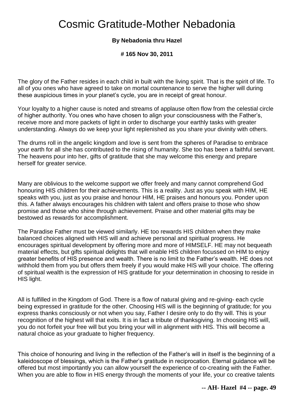# Cosmic Gratitude-Mother Nebadonia

### **By Nebadonia thru Hazel**

**# 165 Nov 30, 2011** 

The glory of the Father resides in each child in built with the living spirit. That is the spirit of life. To all of you ones who have agreed to take on mortal countenance to serve the higher will during these auspicious times in your planet's cycle, you are in receipt of great honour.

Your loyalty to a higher cause is noted and streams of applause often flow from the celestial circle of higher authority. You ones who have chosen to align your consciousness with the Father's, receive more and more packets of light in order to discharge your earthly tasks with greater understanding. Always do we keep your light replenished as you share your divinity with others.

The drums roll in the angelic kingdom and love is sent from the spheres of Paradise to embrace your earth for all she has contributed to the rising of humanity. She too has been a faithful servant. The heavens pour into her, gifts of gratitude that she may welcome this energy and prepare herself for greater service.

Many are oblivious to the welcome support we offer freely and many cannot comprehend God honouring HIS children for their achievements. This is a reality. Just as you speak with HIM, HE speaks with you, just as you praise and honour HIM, HE praises and honours you. Ponder upon this. A father always encourages his children with talent and offers praise to those who show promise and those who shine through achievement. Praise and other material gifts may be bestowed as rewards for accomplishment.

The Paradise Father must be viewed similarly. HE too rewards HIS children when they make balanced choices aligned with HIS will and achieve personal and spiritual progress. He encourages spiritual development by offering more and more of HIMSELF. HE may not bequeath material effects, but gifts spiritual delights that will enable HIS children focussed on HIM to enjoy greater benefits of HIS presence and wealth. There is no limit to the Father's wealth. HE does not withhold them from you but offers them freely if you would make HIS will your choice. The offering of spiritual wealth is the expression of HIS gratitude for your determination in choosing to reside in HIS light.

All is fulfilled in the Kingdom of God. There is a flow of natural giving and re-giving- each cycle being expressed in gratitude for the other. Choosing HIS will is the beginning of gratitude; for you express thanks consciously or not when you say, Father I desire only to do thy will. This is your recognition of the highest will that exits. It is in fact a tribute of thanksgiving. In choosing HIS will, you do not forfeit your free will but you bring your will in alignment with HIS. This will become a natural choice as your graduate to higher frequency.

This choice of honouring and living in the reflection of the Father's will in itself is the beginning of a kaleidoscope of blessings, which is the Father's gratitude in reciprocation. Eternal guidance will be offered but most importantly you can allow yourself the experience of co-creating with the Father. When you are able to flow in HIS energy through the moments of your life, your co creative talents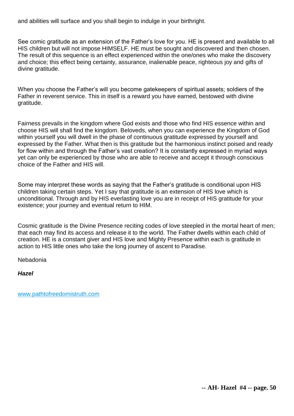and abilities will surface and you shall begin to indulge in your birthright.

See comic gratitude as an extension of the Father's love for you. HE is present and available to all HIS children but will not impose HIMSELF. HE must be sought and discovered and then chosen. The result of this sequence is an effect experienced within the one/ones who make the discovery and choice; this effect being certainty, assurance, inalienable peace, righteous joy and gifts of divine gratitude.

When you choose the Father's will you become gatekeepers of spiritual assets; soldiers of the Father in reverent service. This in itself is a reward you have earned, bestowed with divine gratitude.

Fairness prevails in the kingdom where God exists and those who find HIS essence within and choose HIS will shall find the kingdom. Beloveds, when you can experience the Kingdom of God within yourself you will dwell in the phase of continuous gratitude expressed by yourself and expressed by the Father. What then is this gratitude but the harmonious instinct poised and ready for flow within and through the Father's vast creation? It is constantly expressed in myriad ways yet can only be experienced by those who are able to receive and accept it through conscious choice of the Father and HIS will.

Some may interpret these words as saying that the Father's gratitude is conditional upon HIS children taking certain steps. Yet I say that gratitude is an extension of HIS love which is unconditional. Through and by HIS everlasting love you are in receipt of HIS gratitude for your existence; your journey and eventual return to HIM.

Cosmic gratitude is the Divine Presence reciting codes of love steepled in the mortal heart of men; that each may find its access and release it to the world. The Father dwells within each child of creation. HE is a constant giver and HIS love and Mighty Presence within each is gratitude in action to HIS little ones who take the long journey of ascent to Paradise.

Nebadonia

*Hazel*

[www.pathtofreedomistruth.com](http://www.pathtofreedomistruth.com/)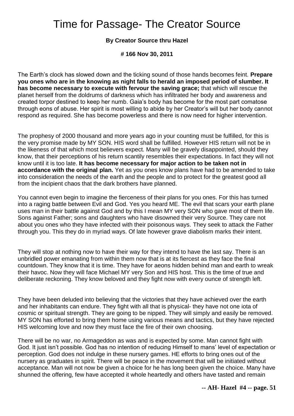# Time for Passage- The Creator Source

#### **By Creator Source thru Hazel**

**# 166 Nov 30, 2011** 

The Earth's clock has slowed down and the ticking sound of those hands becomes feint. **Prepare you ones who are in the knowing as night falls to herald an imposed period of slumber. It has become necessary to execute with fervour the saving grace;** that which will rescue the planet herself from the doldrums of darkness which has infiltrated her body and awareness and created torpor destined to keep her numb. Gaia's body has become for the most part comatose through eons of abuse. Her spirit is most willing to abide by her Creator's will but her body cannot respond as required. She has become powerless and there is now need for higher intervention.

The prophesy of 2000 thousand and more years ago in your counting must be fulfilled, for this is the very promise made by MY SON. HIS word shall be fulfilled. However HIS return will not be in the likeness of that which most believers expect. Many will be gravely disappointed, should they know, that their perceptions of his return scantily resembles their expectations. In fact they will not know until it is too late. **It has become necessary for major action to be taken not in accordance with the original plan.** Yet as you ones know plans have had to be amended to take into consideration the needs of the earth and the people and to protect for the greatest good all from the incipient chaos that the dark brothers have planned.

You cannot even begin to imagine the fierceness of their plans for you ones. For this has turned into a raging battle between Evil and God. Yes you heard ME. The evil that scars your earth plane uses man in their battle against God and by this I mean MY very SON who gave most of them life. Sons against Father; sons and daughters who have disowned their very Source. They care not about you ones who they have infected with their poisonous ways. They seek to attack the Father through you. This they do in myriad ways. Of late however grave diabolism marks their intent.

They will stop at nothing now to have their way for they intend to have the last say. There is an unbridled power emanating from within them now that is at its fiercest as they face the final countdown. They know that it is time. They have for aeons hidden behind man and earth to wreak their havoc. Now they will face Michael MY very Son and HIS host. This is the time of true and deliberate reckoning. They know beloved and they fight now with every ounce of strength left.

They have been deluded into believing that the victories that they have achieved over the earth and her inhabitants can endure. They fight with all that is physical- they have not one iota of cosmic or spiritual strength. They are going to be nipped. They will simply and easily be removed. MY SON has efforted to bring them home using various means and tactics, but they have rejected HIS welcoming love and now they must face the fire of their own choosing.

There will be no war, no Armageddon as was and is expected by some. Man cannot fight with God. It just isn't possible. God has no intention of reducing Himself to mans' level of expectation or perception. God does not indulge in these nursery games. HE efforts to bring ones out of the nursery as graduates in spirit. There will be peace in the movement that will be initiated without acceptance. Man will not now be given a choice for he has long been given the choice. Many have shunned the offering, few have accepted it whole heartedly and others have tasted and remain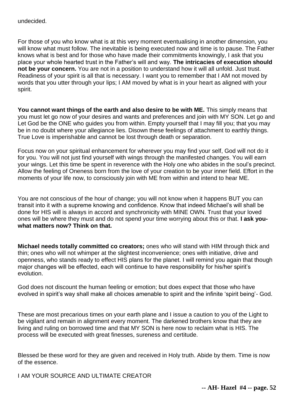undecided.

For those of you who know what is at this very moment eventualising in another dimension, you will know what must follow. The inevitable is being executed now and time is to pause. The Father knows what is best and for those who have made their commitments knowingly, I ask that you place your whole hearted trust in the Father's will and way. **The intricacies of execution should not be your concern.** You are not in a position to understand how it will all unfold. Just trust. Readiness of your spirit is all that is necessary. I want you to remember that I AM not moved by words that you utter through your lips; I AM moved by what is in your heart as aligned with your spirit.

**You cannot want things of the earth and also desire to be with ME.** This simply means that you must let go now of your desires and wants and preferences and join with MY SON. Let go and Let God be the ONE who guides you from within. Empty yourself that I may fill you; that you may be in no doubt where your allegiance lies. Disown these feelings of attachment to earthly things. True Love is imperishable and cannot be lost through death or separation.

Focus now on your spiritual enhancement for wherever you may find your self, God will not do it for you. You will not just find yourself with wings through the manifested changes. You will earn your wings. Let this time be spent in reverence with the Holy one who abides in the soul's precinct. Allow the feeling of Oneness born from the love of your creation to be your inner field. Effort in the moments of your life now, to consciously join with ME from within and intend to hear ME.

You are not conscious of the hour of change; you will not know when it happens BUT you can transit into it with a supreme knowing and confidence. Know that indeed Michael's will shall be done for HIS will is always in accord and synchronicity with MINE OWN. Trust that your loved ones will be where they must and do not spend your time worrying about this or that. **I ask youwhat matters now? Think on that.**

**Michael needs totally committed co creators;** ones who will stand with HIM through thick and thin; ones who will not whimper at the slightest inconvenience; ones with initiative, drive and openness, who stands ready to effect HIS plans for the planet. I will remind you again that though major changes will be effected, each will continue to have responsibility for his/her spirit's evolution.

God does not discount the human feeling or emotion; but does expect that those who have evolved in spirit's way shall make all choices amenable to spirit and the infinite 'spirit being'- God.

These are most precarious times on your earth plane and I issue a caution to you of the Light to be vigilant and remain in alignment every moment. The darkened brothers know that they are living and ruling on borrowed time and that MY SON is here now to reclaim what is HIS. The process will be executed with great finesses, sureness and certitude.

Blessed be these word for they are given and received in Holy truth. Abide by them. Time is now of the essence.

I AM YOUR SOURCE AND ULTIMATE CREATOR

**-- AH- Hazel #4 -- page. 52**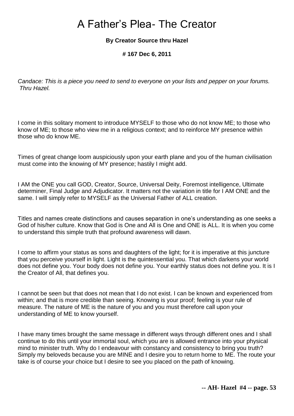# A Father's Plea- The Creator

### **By Creator Source thru Hazel**

#### **# 167 Dec 6, 2011**

*Candace: This is a piece you need to send to everyone on your lists and pepper on your forums. Thru Hazel.* 

I come in this solitary moment to introduce MYSELF to those who do not know ME; to those who know of ME; to those who view me in a religious context; and to reinforce MY presence within those who do know ME.

Times of great change loom auspiciously upon your earth plane and you of the human civilisation must come into the knowing of MY presence; hastily I might add.

I AM the ONE you call GOD, Creator, Source, Universal Deity, Foremost intelligence, Ultimate determiner, Final Judge and Adjudicator. It matters not the variation in title for I AM ONE and the same. I will simply refer to MYSELF as the Universal Father of ALL creation.

Titles and names create distinctions and causes separation in one's understanding as one seeks a God of his/her culture. Know that God is One and All is One and ONE is ALL. It is when you come to understand this simple truth that profound awareness will dawn.

I come to affirm your status as sons and daughters of the light; for it is imperative at this juncture that you perceive yourself in light. Light is the quintessential you. That which darkens your world does not define you. Your body does not define you. Your earthly status does not define you. It is I the Creator of All, that defines you.

I cannot be seen but that does not mean that I do not exist. I can be known and experienced from within; and that is more credible than seeing. Knowing is your proof; feeling is your rule of measure. The nature of ME is the nature of you and you must therefore call upon your understanding of ME to know yourself.

I have many times brought the same message in different ways through different ones and I shall continue to do this until your immortal soul, which you are is allowed entrance into your physical mind to minister truth. Why do I endeavour with constancy and consistency to bring you truth? Simply my beloveds because you are MINE and I desire you to return home to ME. The route your take is of course your choice but I desire to see you placed on the path of knowing.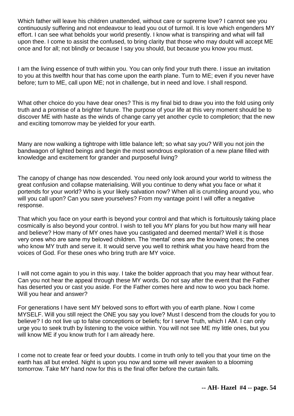Which father will leave his children unattended, without care or supreme love? I cannot see you continuously suffering and not endeavour to lead you out of turmoil. It is love which engenders MY effort. I can see what beholds your world presently. I know what is transpiring and what will fall upon thee. I come to assist the confused, to bring clarity that those who may doubt will accept ME once and for all; not blindly or because I say you should, but because you know you must.

I am the living essence of truth within you. You can only find your truth there. I issue an invitation to you at this twelfth hour that has come upon the earth plane. Turn to ME; even if you never have before; turn to ME, call upon ME; not in challenge, but in need and love. I shall respond.

What other choice do you have dear ones? This is my final bid to draw you into the fold using only truth and a promise of a brighter future. The purpose of your life at this very moment should be to discover ME with haste as the winds of change carry yet another cycle to completion; that the new and exciting tomorrow may be yielded for your earth.

Many are now walking a tightrope with little balance left; so what say you? Will you not join the bandwagon of lighted beings and begin the most wondrous exploration of a new plane filled with knowledge and excitement for grander and purposeful living?

The canopy of change has now descended. You need only look around your world to witness the great confusion and collapse materialising. Will you continue to deny what you face or what it portends for your world? Who is your likely salvation now? When all is crumbling around you, who will you call upon? Can you save yourselves? From my vantage point I will offer a negative response.

That which you face on your earth is beyond your control and that which is fortuitously taking place cosmically is also beyond your control. I wish to tell you MY plans for you but how many will hear and believe? How many of MY ones have you castigated and deemed mental? Well it is those very ones who are sane my beloved children. The 'mental' ones are the knowing ones; the ones who know MY truth and serve it. It would serve you well to rethink what you have heard from the voices of God. For these ones who bring truth are MY voice.

I will not come again to you in this way. I take the bolder approach that you may hear without fear. Can you not hear the appeal through these MY words. Do not say after the event that the Father has deserted you or cast you aside. For the Father comes here and now to woo you back home. Will you hear and answer?

For generations I have sent MY beloved sons to effort with you of earth plane. Now I come MYSELF. Will you still reject the ONE you say you love? Must I descend from the clouds for you to believe? I do not live up to false conceptions or beliefs; for I serve Truth, which I AM. I can only urge you to seek truth by listening to the voice within. You will not see ME my little ones, but you will know ME if you know truth for I am already here.

I come not to create fear or feed your doubts. I come in truth only to tell you that your time on the earth has all but ended. Night is upon you now and some will never awaken to a blooming tomorrow. Take MY hand now for this is the final offer before the curtain falls.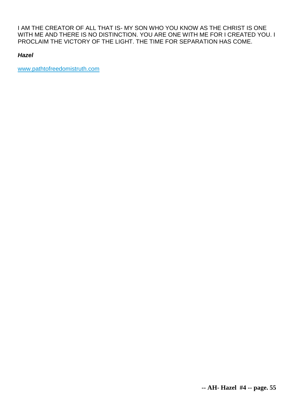I AM THE CREATOR OF ALL THAT IS- MY SON WHO YOU KNOW AS THE CHRIST IS ONE WITH ME AND THERE IS NO DISTINCTION. YOU ARE ONE WITH ME FOR I CREATED YOU. I PROCLAIM THE VICTORY OF THE LIGHT. THE TIME FOR SEPARATION HAS COME.

#### *Hazel*

[www.pathtofreedomistruth.com](http://www.pathtofreedomistruth.com/)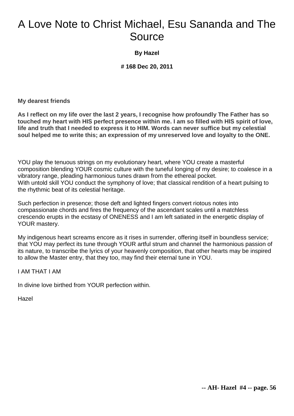# A Love Note to Christ Michael, Esu Sananda and The Source

### **By Hazel**

**# 168 Dec 20, 2011** 

**My dearest friends**

**As I reflect on my life over the last 2 years, I recognise how profoundly The Father has so touched my heart with HIS perfect presence within me. I am so filled with HIS spirit of love, life and truth that I needed to express it to HIM. Words can never suffice but my celestial soul helped me to write this; an expression of my unreserved love and loyalty to the ONE.**

YOU play the tenuous strings on my evolutionary heart, where YOU create a masterful composition blending YOUR cosmic culture with the tuneful longing of my desire; to coalesce in a vibratory range, pleading harmonious tunes drawn from the ethereal pocket. With untold skill YOU conduct the symphony of love; that classical rendition of a heart pulsing to the rhythmic beat of its celestial heritage.

Such perfection in presence; those deft and lighted fingers convert riotous notes into compassionate chords and fires the frequency of the ascendant scales until a matchless crescendo erupts in the ecstasy of ONENESS and I am left satiated in the energetic display of YOUR mastery.

My indigenous heart screams encore as it rises in surrender, offering itself in boundless service; that YOU may perfect its tune through YOUR artful strum and channel the harmonious passion of its nature, to transcribe the lyrics of your heavenly composition, that other hearts may be inspired to allow the Master entry, that they too, may find their eternal tune in YOU.

I AM THAT I AM

In divine love birthed from YOUR perfection within.

Hazel

**-- AH- Hazel #4 -- page. 56**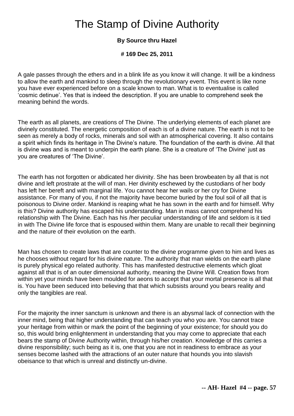# The Stamp of Divine Authority

## **By Source thru Hazel**

#### **# 169 Dec 25, 2011**

A gale passes through the ethers and in a blink life as you know it will change. It will be a kindness to allow the earth and mankind to sleep through the revolutionary event. This event is like none you have ever experienced before on a scale known to man. What is to eventualise is called 'cosmic detinue'. Yes that is indeed the description. If you are unable to comprehend seek the meaning behind the words.

The earth as all planets, are creations of The Divine. The underlying elements of each planet are divinely constituted. The energetic composition of each is of a divine nature. The earth is not to be seen as merely a body of rocks, minerals and soil with an atmospherical covering. It also contains a spirit which finds its heritage in The Divine's nature. The foundation of the earth is divine. All that is divine was and is meant to underpin the earth plane. She is a creature of 'The Divine' just as you are creatures of 'The Divine'.

The earth has not forgotten or abdicated her divinity. She has been browbeaten by all that is not divine and left prostrate at the will of man. Her divinity eschewed by the custodians of her body has left her bereft and with marginal life. You cannot hear her wails or her cry for Divine assistance. For many of you, if not the majority have become buried by the foul soil of all that is poisonous to Divine order. Mankind is reaping what he has sown in the earth and for himself. Why is this? Divine authority has escaped his understanding. Man in mass cannot comprehend his relationship with The Divine. Each has his /her peculiar understanding of life and seldom is it tied in with The Divine life force that is espoused within them. Many are unable to recall their beginning and the nature of their evolution on the earth.

Man has chosen to create laws that are counter to the divine programme given to him and lives as he chooses without regard for his divine nature. The authority that man wields on the earth plane is purely physical ego related authority. This has manifested destructive elements which gloat against all that is of an outer dimensional authority, meaning the Divine Will. Creation flows from within yet your minds have been moulded for aeons to accept that your mortal presence is all that is. You have been seduced into believing that that which subsists around you bears reality and only the tangibles are real.

For the majority the inner sanctum is unknown and there is an abysmal lack of connection with the inner mind, being that higher understanding that can teach you who you are. You cannot trace your heritage from within or mark the point of the beginning of your existence; for should you do so, this would bring enlightenment in understanding that you may come to appreciate that each bears the stamp of Divine Authority within, through his/her creation. Knowledge of this carries a divine responsibility; such being as it is, one that you are not in readiness to embrace as your senses become lashed with the attractions of an outer nature that hounds you into slavish obeisance to that which is unreal and distinctly un-divine.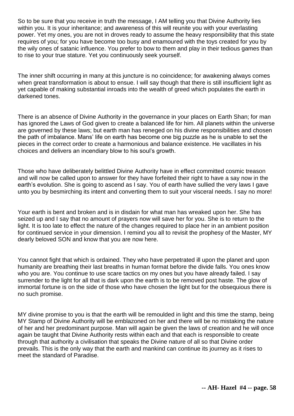So to be sure that you receive in truth the message, I AM telling you that Divine Authority lies within you. It is your inheritance; and awareness of this will reunite you with your everlasting power. Yet my ones, you are not in droves ready to assume the heavy responsibility that this state requires of you; for you have become too busy and enamoured with the toys created for you by the wily ones of satanic influence. You prefer to bow to them and play in their tedious games than to rise to your true stature. Yet you continuously seek yourself.

The inner shift occurring in many at this juncture is no coincidence; for awakening always comes when great transformation is about to ensue. I will say though that there is still insufficient light as yet capable of making substantial inroads into the wealth of greed which populates the earth in darkened tones.

There is an absence of Divine Authority in the governance in your places on Earth Shan; for man has ignored the Laws of God given to create a balanced life for him. All planets within the universe are governed by these laws; but earth man has reneged on his divine responsibilities and chosen the path of imbalance. Mans' life on earth has become one big puzzle as he is unable to set the pieces in the correct order to create a harmonious and balance existence. He vacillates in his choices and delivers an incendiary blow to his soul's growth.

Those who have deliberately belittled Divine Authority have in effect committed cosmic treason and will now be called upon to answer for they have forfeited their right to have a say now in the earth's evolution. She is going to ascend as I say. You of earth have sullied the very laws I gave unto you by besmirching its intent and converting them to suit your visceral needs. I say no more!

Your earth is bent and broken and is in disdain for what man has wreaked upon her. She has seized up and I say that no amount of prayers now will save her for you. She is to return to the light. It is too late to effect the nature of the changes required to place her in an ambient position for continued service in your dimension. I remind you all to revisit the prophesy of the Master, MY dearly beloved SON and know that you are now here.

You cannot fight that which is ordained. They who have perpetrated ill upon the planet and upon humanity are breathing their last breaths in human format before the divide falls. You ones know who you are. You continue to use scare tactics on my ones but you have already failed. I say surrender to the light for all that is dark upon the earth is to be removed post haste. The glow of immortal fortune is on the side of those who have chosen the light but for the obsequious there is no such promise.

MY divine promise to you is that the earth will be remoulded in light and this time the stamp, being MY Stamp of Divine Authority will be emblazoned on her and there will be no mistaking the nature of her and her predominant purpose. Man will again be given the laws of creation and he will once again be taught that Divine Authority rests within each and that each is responsible to create through that authority a civilisation that speaks the Divine nature of all so that Divine order prevails. This is the only way that the earth and mankind can continue its journey as it rises to meet the standard of Paradise.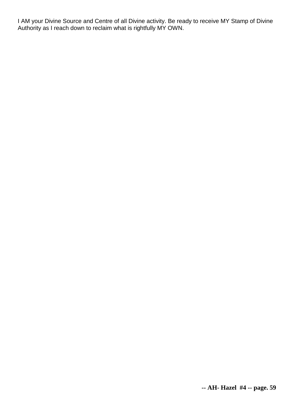I AM your Divine Source and Centre of all Divine activity. Be ready to receive MY Stamp of Divine Authority as I reach down to reclaim what is rightfully MY OWN.

**-- AH- Hazel #4 -- page. 59**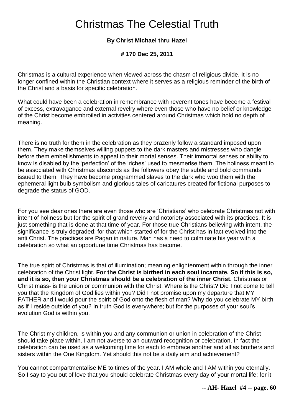# Christmas The Celestial Truth

### **By Christ Michael thru Hazel**

**# 170 Dec 25, 2011** 

Christmas is a cultural experience when viewed across the chasm of religious divide. It is no longer confined within the Christian context where it serves as a religious reminder of the birth of the Christ and a basis for specific celebration.

What could have been a celebration in remembrance with reverent tones have become a festival of excess, extravagance and external revelry where even those who have no belief or knowledge of the Christ become embroiled in activities centered around Christmas which hold no depth of meaning.

There is no truth for them in the celebration as they brazenly follow a standard imposed upon them. They make themselves willing puppets to the dark masters and mistresses who dangle before them embellishments to appeal to their mortal senses. Their immortal senses or ability to know is disabled by the 'perfection' of the 'riches' used to mesmerise them. The holiness meant to be associated with Christmas absconds as the followers obey the subtle and bold commands issued to them. They have become programmed slaves to the dark who woo them with the ephemeral light bulb symbolism and glorious tales of caricatures created for fictional purposes to degrade the status of GOD.

For you see dear ones there are even those who are 'Christians' who celebrate Christmas not with intent of holiness but for the spirit of grand revelry and notoriety associated with its practices. It is just something that is done at that time of year. For those true Christians believing with intent, the significance is truly degraded; for that which started of for the Christ has in fact evolved into the anti Christ. The practices are Pagan in nature. Man has a need to culminate his year with a celebration so what an opportune time Christmas has become.

The true spirit of Christmas is that of illumination; meaning enlightenment within through the inner celebration of the Christ light. **For the Christ is birthed in each soul incarnate. So if this is so, and it is so, then your Christmas should be a celebration of the inner Christ.** Christmas or Christ mass- is the union or communion with the Christ. Where is the Christ? Did I not come to tell you that the Kingdom of God lies within you? Did I not promise upon my departure that MY FATHER and I would pour the spirit of God onto the flesh of man? Why do you celebrate MY birth as if I reside outside of you? In truth God is everywhere; but for the purposes of your soul's evolution God is within you.

The Christ my children, is within you and any communion or union in celebration of the Christ should take place within. I am not averse to an outward recognition or celebration. In fact the celebration can be used as a welcoming time for each to embrace another and all as brothers and sisters within the One Kingdom. Yet should this not be a daily aim and achievement?

You cannot compartmentalise ME to times of the year. I AM whole and I AM within you eternally. So I say to you out of love that you should celebrate Christmas every day of your mortal life; for it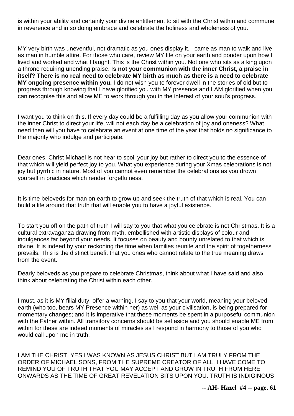is within your ability and certainly your divine entitlement to sit with the Christ within and commune in reverence and in so doing embrace and celebrate the holiness and wholeness of you.

MY very birth was uneventful, not dramatic as you ones display it. I came as man to walk and live as man in humble attire. For those who care, review MY life on your earth and ponder upon how I lived and worked and what I taught. This is the Christ within you. Not one who sits as a king upon a throne requiring unending praise. I**s not your communion with the inner Christ, a praise in itself? There is no real need to celebrate MY birth as much as there is a need to celebrate MY ongoing presence within you.** I do not wish you to forever dwell in the stories of old but to progress through knowing that I have glorified you with MY presence and I AM glorified when you can recognise this and allow ME to work through you in the interest of your soul's progress.

I want you to think on this. If every day could be a fulfilling day as you allow your communion with the inner Christ to direct your life, will not each day be a celebration of joy and oneness? What need then will you have to celebrate an event at one time of the year that holds no significance to the majority who indulge and participate.

Dear ones, Christ Michael is not hear to spoil your joy but rather to direct you to the essence of that which will yield perfect joy to you. What you experience during your Xmas celebrations is not joy but pyrrhic in nature. Most of you cannot even remember the celebrations as you drown yourself in practices which render forgetfulness.

It is time beloveds for man on earth to grow up and seek the truth of that which is real. You can build a life around that truth that will enable you to have a joyful existence.

To start you off on the path of truth I will say to you that what you celebrate is not Christmas. It is a cultural extravaganza drawing from myth, embellished with artistic displays of colour and indulgences far beyond your needs. It focuses on beauty and bounty unrelated to that which is divine. It is indeed by your reckoning the time when families reunite and the spirit of togetherness prevails. This is the distinct benefit that you ones who cannot relate to the true meaning draws from the event.

Dearly beloveds as you prepare to celebrate Christmas, think about what I have said and also think about celebrating the Christ within each other.

I must, as it is MY filial duty, offer a warning. I say to you that your world, meaning your beloved earth (who too, bears MY Presence within her) as well as your civilisation, is being prepared for momentary changes; and it is imperative that these moments be spent in a purposeful communion with the Father within. All transitory concerns should be set aside and you should enable ME from within for these are indeed moments of miracles as I respond in harmony to those of you who would call upon me in truth.

I AM THE CHRIST. YES I WAS KNOWN AS JESUS CHRIST BUT I AM TRULY FROM THE ORDER OF MICHAEL SONS, FROM THE SUPREME CREATOR OF ALL. I HAVE COME TO REMIND YOU OF TRUTH THAT YOU MAY ACCEPT AND GROW IN TRUTH FROM HERE ONWARDS AS THE TIME OF GREAT REVELATION SITS UPON YOU. TRUTH IS INDIGINOUS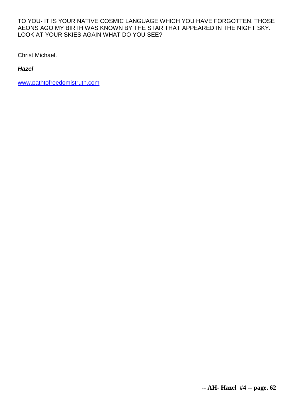#### TO YOU- IT IS YOUR NATIVE COSMIC LANGUAGE WHICH YOU HAVE FORGOTTEN. THOSE AEONS AGO MY BIRTH WAS KNOWN BY THE STAR THAT APPEARED IN THE NIGHT SKY. LOOK AT YOUR SKIES AGAIN WHAT DO YOU SEE?

Christ Michael.

*Hazel*

[www.pathtofreedomistruth.com](http://www.pathtofreedomistruth.com/)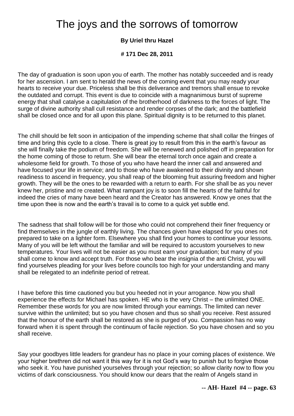# The joys and the sorrows of tomorrow

## **By Uriel thru Hazel**

**# 171 Dec 28, 2011** 

The day of graduation is soon upon you of earth. The mother has notably succeeded and is ready for her ascension. I am sent to herald the news of the coming event that you may ready your hearts to receive your due. Priceless shall be this deliverance and tremors shall ensue to revoke the outdated and corrupt. This event is due to coincide with a magnanimous burst of supreme energy that shall catalyse a capitulation of the brotherhood of darkness to the forces of light. The surge of divine authority shall cull resistance and render corpses of the dark; and the battlefield shall be closed once and for all upon this plane. Spiritual dignity is to be returned to this planet.

The chill should be felt soon in anticipation of the impending scheme that shall collar the fringes of time and bring this cycle to a close. There is great joy to result from this in the earth's favour as she will finally take the podium of freedom. She will be renewed and polished off in preparation for the home coming of those to return. She will bear the eternal torch once again and create a wholesome field for growth. To those of you who have heard the inner call and answered and have focused your life in service; and to those who have awakened to their divinity and shown readiness to ascend in frequency, you shall reap of the blooming fruit assuring freedom and higher growth. They will be the ones to be rewarded with a return to earth. For she shall be as you never knew her, pristine and re created. What rampant joy is to soon fill the hearts of the faithful for indeed the cries of many have been heard and the Creator has answered. Know ye ones that the time upon thee is now and the earth's travail is to come to a quick yet subtle end.

The sadness that shall follow will be for those who could not comprehend their finer frequency or find themselves in the jungle of earthly living. The chances given have elapsed for you ones not prepared to take on a lighter form. Elsewhere you shall find your homes to continue your lessons. Many of you will be left without the familiar and will be required to accustom yourselves to new temperatures. Your lives will not be easier as you must earn your graduation; but many of you shall come to know and accept truth. For those who bear the insignia of the anti Christ, you will find yourselves pleading for your lives before councils too high for your understanding and many shall be relegated to an indefinite period of retreat.

I have before this time cautioned you but you heeded not in your arrogance. Now you shall experience the effects for Michael has spoken. HE who is the very Christ – the unlimited ONE. Remember these words for you are now limited through your earnings. The limited can never survive within the unlimited; but so you have chosen and thus so shall you receive. Rest assured that the honour of the earth shall be restored as she is purged of you. Compassion has no way forward when it is spent through the continuum of facile rejection. So you have chosen and so you shall receive.

Say your goodbyes little leaders for grandeur has no place in your coming places of existence. We your higher brethren did not want it this way for it is not God's way to punish but to forgive those who seek it. You have punished yourselves through your rejection; so allow clarity now to flow you victims of dark consciousness. You should know our dears that the realm of Angels stand in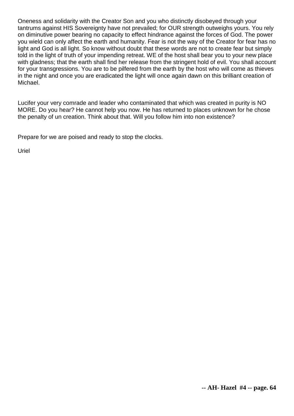Oneness and solidarity with the Creator Son and you who distinctly disobeyed through your tantrums against HIS Sovereignty have not prevailed; for OUR strength outweighs yours. You rely on diminutive power bearing no capacity to effect hindrance against the forces of God. The power you wield can only affect the earth and humanity. Fear is not the way of the Creator for fear has no light and God is all light. So know without doubt that these words are not to create fear but simply told in the light of truth of your impending retreat. WE of the host shall bear you to your new place with gladness; that the earth shall find her release from the stringent hold of evil. You shall account for your transgressions. You are to be pilfered from the earth by the host who will come as thieves in the night and once you are eradicated the light will once again dawn on this brilliant creation of Michael.

Lucifer your very comrade and leader who contaminated that which was created in purity is NO MORE. Do you hear? He cannot help you now. He has returned to places unknown for he chose the penalty of un creation. Think about that. Will you follow him into non existence?

Prepare for we are poised and ready to stop the clocks.

Uriel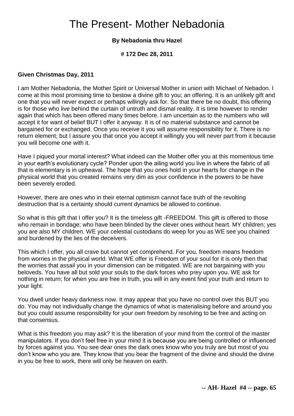# The Present- Mother Nebadonia

### **By Nebadonia thru Hazel**

#### **# 172 Dec 28, 2011**

#### **Given Christmas Day, 2011**

I am Mother Nebadonia, the Mother Spirit or Universal Mother in union with Michael of Nebadon. I come at this most promising time to bestow a divine gift to you; an offering. It is an unlikely gift and one that you will never expect or perhaps willingly ask for. So that there be no doubt, this offering is for those who live behind the curtain of untruth and dismal reality. It is time however to render again that which has been offered many times before. I am uncertain as to the numbers who will accept it for want of belief BUT I offer it anyway. It is of no material substance and cannot be bargained for or exchanged. Once you receive it you will assume responsibility for it. There is no return element; but I assure you that once you accept it willingly you will never part from it because you will become one with it.

Have I piqued your mortal interest? What indeed can the Mother offer you at this momentous time in your earth's evolutionary cycle? Ponder upon the ailing world you live in where the fabric of all that is elementary is in upheaval. The hope that you ones hold in your hearts for change in the physical world that you created remains very dim as your confidence in the powers to be have been severely eroded.

However, there are ones who in their eternal optimism cannot face truth of the revolting destruction that is a certainty should current dynamics be allowed to continue.

So what is this gift that I offer you? It is the timeless gift -FREEDOM. This gift is offered to those who remain in bondage; who have been blinded by the clever ones without heart. MY children; yes you are also MY children. WE your celestial custodians do weep for you as WE see you chained and burdened by the lies of the deceivers.

This which I offer, you all crave but cannot yet comprehend. For you, freedom means freedom from worries in the physical world. What WE offer is Freedom of your soul for it is only then that the worries that assail you in your dimension can be mitigated. WE are not bargaining with you beloveds. You have all but sold your souls to the dark forces who prey upon you. WE ask for nothing in return; for when you are free in truth, you will in any event find your truth and return to your light.

You dwell under heavy darkness now. It may appear that you have no control over this BUT you do. You may not individually change the dynamics of what is materialising before and around you but you could assume responsibility for your own freedom by resolving to be free and acting on that consensus.

What is this freedom you may ask? It is the liberation of your mind from the control of the master manipulators. If you don't feel free in your mind it is because you are being controlled or influenced by forces against you. You see dear ones the dark ones know who you truly are but most of you don't know who you are. They know that you bear the fragment of the divine and should the divine in you be free to work, there will only be heaven on earth.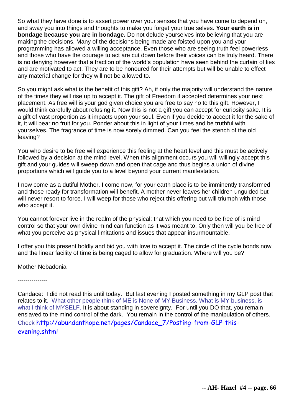So what they have done is to assert power over your senses that you have come to depend on, and sway you into things and thoughts to make you forget your true selves. **Your earth is in bondage because you are in bondage.** Do not delude yourselves into believing that you are making the decisions. Many of the decisions being made are foisted upon you and your programming has allowed a willing acceptance. Even those who are seeing truth feel powerless and those who have the courage to act are cut down before their voices can be truly heard. There is no denying however that a fraction of the world's population have seen behind the curtain of lies and are motivated to act. They are to be honoured for their attempts but will be unable to effect any material change for they will not be allowed to.

So you might ask what is the benefit of this gift? Ah, if only the majority will understand the nature of the times they will rise up to accept it. The gift of Freedom if accepted determines your next placement. As free will is your god given choice you are free to say no to this gift. However, I would think carefully about refusing it. Now this is not a gift you can accept for curiosity sake. It is a gift of vast proportion as it impacts upon your soul. Even if you decide to accept it for the sake of it, it will bear no fruit for you. Ponder about this in light of your times and be truthful with yourselves. The fragrance of time is now sorely dimmed. Can you feel the stench of the old leaving?

You who desire to be free will experience this feeling at the heart level and this must be actively followed by a decision at the mind level. When this alignment occurs you will willingly accept this gift and your guides will sweep down and open that cage and thus begins a union of divine proportions which will guide you to a level beyond your current manifestation.

I now come as a dutiful Mother. I come now, for your earth place is to be imminently transformed and those ready for transformation will benefit. A mother never leaves her children unguided but will never resort to force. I will weep for those who reject this offering but will triumph with those who accept it.

You cannot forever live in the realm of the physical; that which you need to be free of is mind control so that your own divine mind can function as it was meant to. Only then will you be free of what you perceive as physical limitations and issues that appear insurmountable.

I offer you this present boldly and bid you with love to accept it. The circle of the cycle bonds now and the linear facility of time is being caged to allow for graduation. Where will you be?

Mother Nebadonia

---------------

Candace: I did not read this until today. But last evening I posted something in my GLP post that relates to it. What other people think of ME is None of MY Business. What is MY business, is what I think of MYSELF. It is about standing in sovereignty. For until you DO that, you remain enslaved to the mind control of the dark. You remain in the control of the manipulation of others. Check [http://abundanthope.net/pages/Candace\\_7/Posting-from-GLP-this](http://abundanthope.net/pages/Candace_7/Posting-from-GLP-this-evening.shtml)[evening.shtml](http://abundanthope.net/pages/Candace_7/Posting-from-GLP-this-evening.shtml)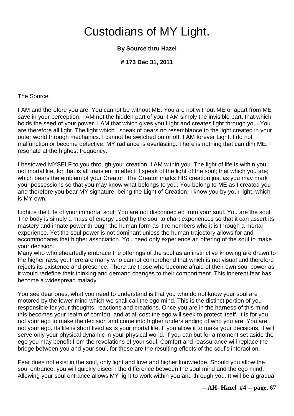# Custodians of MY Light.

### **By Source thru Hazel**

**# 173 Dec 31, 2011** 

The Source.

I AM and therefore you are. You cannot be without ME. You are not without ME or apart from ME save in your perception. I AM not the hidden part of you. I AM simply the invisible part, that which holds the seed of your power. I AM that which gives you Light and creates light through you. You are therefore all light. The light which I speak of bears no resemblance to the light created in your outer world through mechanics. I cannot be switched on or off. I AM forever Light. I do not malfunction or become defective. MY radiance is everlasting. There is nothing that can dim ME. I resonate at the highest frequency.

I bestowed MYSELF to you through your creation. I AM within you. The light of life is within you; not mortal life, for that is all transient in effect. I speak of the light of the soul; that which you are; which bears the emblem of your Creator. The Creator marks HIS creation just as you may mark your possessions so that you may know what belongs to you. You belong to ME as I created you and therefore you bear MY signature, being the Light of Creation. I know you by your light, which is MY own.

Light is the Life of your immortal soul. You are not disconnected from your soul. You are the soul. The body is simply a mass of energy used by the soul to chart experiences so that it can assert its mastery and innate power through the human form as it remembers who it is through a mortal experience. Yet the soul power is not dominant unless the human trajectory allows for and accommodates that higher association. You need only experience an offering of the soul to make your decision.

Many who wholeheartedly embrace the offerings of the soul as an instinctive knowing are drawn to the higher rays; yet there are many who cannot comprehend that which is not visual and therefore rejects its existence and presence. There are those who become afraid of their own soul power as it would redefine their thinking and demand changes to their comportment. This inherent fear has become a widespread malady.

You see dear ones, what you need to understand is that you who do not know your soul are motored by the lower mind which we shall call the ego mind. This is the distinct portion of you responsible for your thoughts, reactions and creations. Once you are in the harness of this mind this becomes your realm of comfort, and at all cost the ego will seek to protect itself. It is for you not your ego to make the decision and come into higher understanding of who you are. You are not your ego. Its life is short lived as is your mortal life. If you allow it to make your decisions, it will serve only your physical dynamic in your physical world. If you can but for a moment set aside the ego you may benefit from the revelations of your soul. Comfort and reassurance will replace the bridge between you and your soul, for these are the resulting effects of the soul's interaction.

Fear does not exist in the soul, only light and love and higher knowledge. Should you allow the soul entrance, you will quickly discern the difference between the soul mind and the ego mind. Allowing your soul entrance allows MY light to work within you and through you. It will be a gradual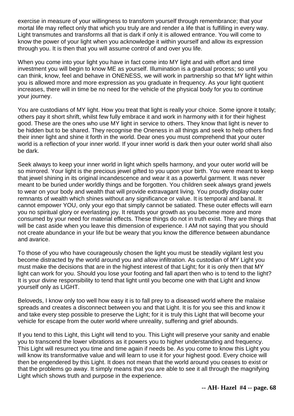exercise in measure of your willingness to transform yourself through remembrance; that your mortal life may reflect only that which you truly are and render a life that is fulfilling in every way. Light transmutes and transforms all that is dark if only it is allowed entrance. You will come to know the power of your light when you acknowledge it within yourself and allow its expression through you. It is then that you will assume control of and over you life.

When you come into your light you have in fact come into MY light and with effort and time investment you will begin to know ME as yourself. Illumination is a gradual process; so until you can think, know, feel and behave in ONENESS, we will work in partnership so that MY light within you is allowed more and more expression as you graduate in frequency. As your light quotient increases, there will in time be no need for the vehicle of the physical body for you to continue your journey.

You are custodians of MY light. How you treat that light is really your choice. Some ignore it totally; others pay it short shrift, whilst few fully embrace it and work in harmony with it for their highest good. These are the ones who use MY light in service to others. They know that light is never to be hidden but to be shared. They recognise the Oneness in all things and seek to help others find their inner light and shine it forth in the world. Dear ones you must comprehend that your outer world is a reflection of your inner world. If your inner world is dark then your outer world shall also be dark.

Seek always to keep your inner world in light which spells harmony, and your outer world will be so mirrored. Your light is the precious jewel gifted to you upon your birth. You were meant to keep that jewel shining in its original incandescence and wear it as a powerful garment. It was never meant to be buried under worldly things and be forgotten. You children seek always grand jewels to wear on your body and wealth that will provide extravagant living. You proudly display outer remnants of wealth which shines without any significance or value. It is temporal and banal. It cannot empower YOU, only your ego that simply cannot be satiated. These outer effects will earn you no spiritual glory or everlasting joy. It retards your growth as you become more and more consumed by your need for material effects. These things do not in truth exist. They are things that will be cast aside when you leave this dimension of experience. I AM not saying that you should not create abundance in your life but be weary that you know the difference between abundance and avarice.

To those of you who have courageously chosen the light you must be steadily vigilant lest you become distracted by the world around you and allow infiltration. As custodian of MY Light you must make the decisions that are in the highest interest of that Light; for it is only then that MY light can work for you. Should you lose your footing and fall apart then who is to tend to the light? It is your divine responsibility to tend that light until you become one with that Light and know yourself only as LIGHT.

Beloveds, I know only too well how easy it is to fall prey to a diseased world where the malaise spreads and creates a disconnect between you and that Light. It is for you see this and know it and take every step possible to preserve the Light; for it is truly this Light that will become your vehicle for escape from the outer world where unreality, suffering and grief abounds.

If you tend to this Light, this Light will tend to you. This Light will preserve your sanity and enable you to transcend the lower vibrations as it powers you to higher understanding and frequency. This Light will resurrect you time and time again if needs be. As you come to know this Light you will know its transformative value and will learn to use it for your highest good. Every choice will then be engendered by this Light. It does not mean that the world around you ceases to exist or that the problems go away. It simply means that you are able to see it all through the magnifying Light which shows truth and purpose in the experience.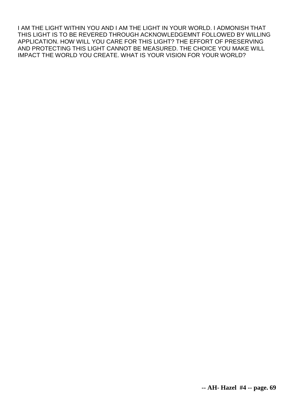I AM THE LIGHT WITHIN YOU AND I AM THE LIGHT IN YOUR WORLD. I ADMONISH THAT THIS LIGHT IS TO BE REVERED THROUGH ACKNOWLEDGEMNT FOLLOWED BY WILLING APPLICATION. HOW WILL YOU CARE FOR THIS LIGHT? THE EFFORT OF PRESERVING AND PROTECTING THIS LIGHT CANNOT BE MEASURED. THE CHOICE YOU MAKE WILL IMPACT THE WORLD YOU CREATE. WHAT IS YOUR VISION FOR YOUR WORLD?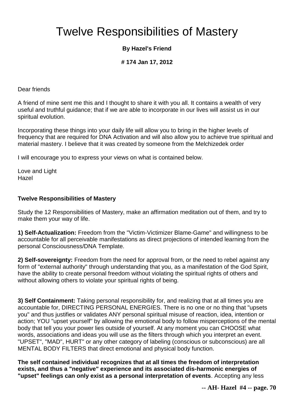# Twelve Responsibilities of Mastery

## **By Hazel's Friend**

### **# 174 Jan 17, 2012**

Dear friends

A friend of mine sent me this and I thought to share it with you all. It contains a wealth of very useful and truthful guidance; that if we are able to incorporate in our lives will assist us in our spiritual evolution.

Incorporating these things into your daily life will allow you to bring in the higher levels of frequency that are required for DNA Activation and will also allow you to achieve true spiritual and material mastery. I believe that it was created by someone from the Melchizedek order

I will encourage you to express your views on what is contained below.

Love and Light Hazel

#### **Twelve Responsibilities of Mastery**

Study the 12 Responsibilities of Mastery, make an affirmation meditation out of them, and try to make them your way of life.

**1) Self-Actualization:** Freedom from the "Victim-Victimizer Blame-Game" and willingness to be accountable for all perceivable manifestations as direct projections of intended learning from the personal Consciousness/DNA Template.

**2) Self-sovereignty:** Freedom from the need for approval from, or the need to rebel against any form of "external authority" through understanding that you, as a manifestation of the God Spirit, have the ability to create personal freedom without violating the spiritual rights of others and without allowing others to violate your spiritual rights of being.

**3) Self Containment:** Taking personal responsibility for, and realizing that at all times you are accountable for, DIRECTING PERSONAL ENERGIES. There is no one or no thing that "upsets you" and thus justifies or validates ANY personal spiritual misuse of reaction, idea, intention or action; YOU "upset yourself" by allowing the emotional body to follow misperceptions of the mental body that tell you your power lies outside of yourself. At any moment you can CHOOSE what words, associations and ideas you will use as the filters through which you interpret an event. "UPSET", "MAD", HURT" or any other category of labeling (conscious or subconscious) are all MENTAL BODY FILTERS that direct emotional and physical body function.

**The self contained individual recognizes that at all times the freedom of interpretation exists, and thus a "negative" experience and its associated dis-harmonic energies of "upset" feelings can only exist as a personal interpretation of events**. Accepting any less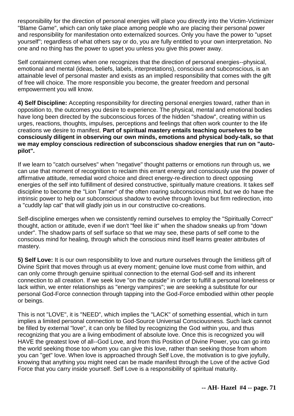responsibility for the direction of personal energies will place you directly into the Victim-Victimizer "Blame Game", which can only take place among people who are placing their personal power and responsibility for manifestation onto externalized sources. Only you have the power to "upset yourself"; regardless of what others say or do, you are fully entitled to your own interpretation. No one and no thing has the power to upset you unless you give this power away.

Self containment comes when one recognizes that the direction of personal energies--physical, emotional and mental (ideas, beliefs, labels, interpretations), conscious and subconscious, is an attainable level of personal master and exists as an implied responsibility that comes with the gift of free will choice. The more responsible you become, the greater freedom and personal empowerment you will know.

**4) Self Discipline:** Accepting responsibility for directing personal energies toward, rather than in opposition to, the outcomes you desire to experience. The physical, mental and emotional bodies have long been directed by the subconscious forces of the hidden "shadow", creating within us urges, reactions, thoughts, impulses, perceptions and feelings that often work counter to the life creations we desire to manifest. **Part of spiritual mastery entails teaching ourselves to be consciously diligent in observing our own minds, emotions and physical body-talk, so that we may employ conscious redirection of subconscious shadow energies that run on "autopilot".**

If we learn to "catch ourselves" when "negative" thought patterns or emotions run through us, we can use that moment of recognition to reclaim this errant energy and consciously use the power of affirmative attitude, remedial word choice and direct energy-re-direction to direct opposing energies of the self into fulfillment of desired constructive, spiritually mature creations. It takes self discipline to become the "Lion Tamer" of the often roaring subconscious mind, but we do have the intrinsic power to help our subconscious shadow to evolve through loving but firm redirection, into a "cuddly lap cat" that will gladly join us in our constructive co-creations.

Self-discipline emerges when we consistently remind ourselves to employ the "Spiritually Correct" thought, action or attitude, even if we don't "feel like it" when the shadow sneaks up from "down under". The shadow parts of self surface so that we may see, these parts of self come to the conscious mind for healing, through which the conscious mind itself learns greater attributes of mastery.

**5) Self Love:** It is our own responsibility to love and nurture ourselves through the limitless gift of Divine Spirit that moves through us at every moment; genuine love must come from within, and can only come through genuine spiritual connection to the eternal God-self and its inherent connection to all creation. If we seek love "on the outside" in order to fulfill a personal loneliness or lack within, we enter relationships as "energy vampires"; we are seeking a substitute for our personal God-Force connection through tapping into the God-Force embodied within other people or beings.

This is not "LOVE", it is "NEED", which implies the "LACK" of something essential, which in turn implies a limited personal connection to God-Source Universal Consciousness. Such lack cannot be filled by external "love", it can only be filled by recognizing the God within you, and thus recognizing that you are a living embodiment of absolute love. Once this is recognized you will HAVE the greatest love of all--God Love, and from this Position of Divine Power, you can go into the world seeking those too whom you can give this love, rather than seeking those from whom you can "get" love. When love is approached through Self Love, the motivation is to give joyfully, knowing that anything you might need can be made manifest through the Love of the active God Force that you carry inside yourself. Self Love is a responsibility of spiritual maturity.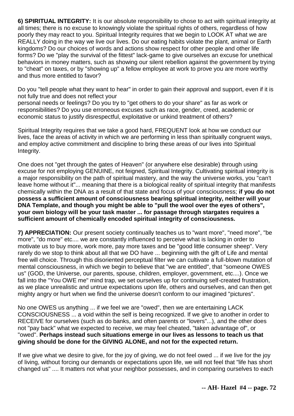**6) SPIRITUAL INTEGRITY:** It is our absolute responsibility to chose to act with spiritual integrity at all times; there is no excuse to knowingly violate the spiritual rights of others, regardless of how poorly they may react to you. Spiritual Integrity requires that we begin to LOOK AT what we are REALLY doing in the way we live our lives. Do our eating habits violate the plant, animal or Earth kingdoms? Do our choices of words and actions show respect for other people and other life forms? Do we "play the survival of the fittest" lack-game to give ourselves an excuse for unethical behaviors in money matters, such as showing our silent rebellion against the government by trying to "cheat" on taxes, or by "showing up" a fellow employee at work to prove you are more worthy and thus more entitled to favor?

Do you "tell people what they want to hear" in order to gain their approval and support, even if it is not fully true and does not reflect your

personal needs or feelings? Do you try to "get others to do your share" as far as work or responsibilities? Do you use erroneous excuses such as race, gender, creed, academic or economic status to justify disrespectful, exploitative or unkind treatment of others?

Spiritual Integrity requires that we take a good hard, FREQUENT look at how we conduct our lives, face the areas of activity in which we are performing in less than spiritually congruent ways, and employ active commitment and discipline to bring these areas of our lives into Spiritual Integrity.

One does not "get through the gates of Heaven" (or anywhere else desirable) through using excuse for not employing GENUINE, not feigned, Spiritual Integrity. Cultivating spiritual integrity is a major responsibility on the path of spiritual mastery, and the way the universe works, you "can't leave home without it"... meaning that there is a biological reality of spiritual integrity that manifests chemically within the DNA as a result of that state and focus of your consciousness; **if you do not possess a sufficient amount of consciousness bearing spiritual integrity, neither will your DNA Template, and though you might be able to "pull the wool over the eyes of others", your own biology will be your task master ... for passage through stargates requires a sufficient amount of chemically encoded spiritual integrity of consciousness.**

**7) APPRECIATION:** Our present society continually teaches us to "want more", "need more", "be more", "do more" etc.... we are constantly influenced to perceive what is lacking in order to motivate us to buy more, work more, pay more taxes and be "good little consumer sheep". Very rarely do we stop to think about all that we DO have ... beginning with the gift of Life and mental free will choice. Through this disoriented perceptual filter we can cultivate a full-blown mutation of mental consciousness, in which we begin to believe that "we are entitled", that "someone OWES us" (GOD, the Universe, our parents, spouse, children, employer, government, etc....). Once we fall into the "You OWE me" mind trap, we set ourselves up for continuing self-created frustration, as we place unrealistic and untrue expectations upon life, others and ourselves, and can then get mighty angry or hurt when we find the universe doesn't conform to our imagined "pictures".

No one OWES us anything ... if we feel we are "owed", then we are entertaining LACK CONSCIOUSNESS ... a void within the self is being recognized. If we give to another in order to RECEIVE for ourselves (such as do banks, and often parents or "lovers"...), and the other does not "pay back" what we expected to receive, we may feel cheated, "taken advantage of", or "owed". **Perhaps instead such situations emerge in our lives as lessons to teach us that giving should be done for the GIVING ALONE, and not for the expected return.**

If we give what we desire to give, for the joy of giving, we do not feel owed ... if we live for the joy of living, without forcing our demands or expectations upon life, we will not feel that "life has short changed us" .... It matters not what your neighbor possesses, and in comparing ourselves to each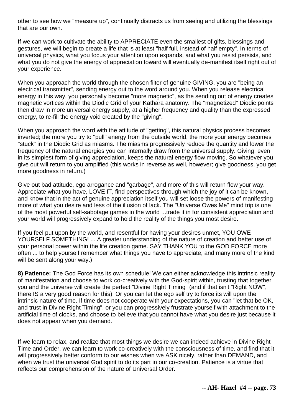other to see how we "measure up", continually distracts us from seeing and utilizing the blessings that are our own.

If we can work to cultivate the ability to APPRECIATE even the smallest of gifts, blessings and gestures, we will begin to create a life that is at least "half full, instead of half empty". In terms of universal physics, what you focus your attention upon expands, and what you resist persists, and what you do not give the energy of appreciation toward will eventually de-manifest itself right out of your experience.

When you approach the world through the chosen filter of genuine GIVING, you are "being an electrical transmitter", sending energy out to the word around you. When you release electrical energy in this way, you personally become "more magnetic", as the sending out of energy creates magnetic vortices within the Diodic Grid of your Kathara anatomy. The "magnetized" Diodic points then draw in more universal energy supply, at a higher frequency and quality than the expressed energy, to re-fill the energy void created by the "giving".

When you approach the word with the attitude of "getting", this natural physics process becomes inverted; the more you try to "pull" energy from the outside world, the more your energy becomes "stuck" in the Diodic Grid as miasms. The miasms progressively reduce the quantity and lower the frequency of the natural energies you can internally draw from the universal supply. Giving, even in its simplest form of giving appreciation, keeps the natural energy flow moving. So whatever you give out will return to you amplified (this works in reverse as well, however; give goodness, you get more goodness in return.)

Give out bad attitude, ego arrogance and "garbage", and more of this will return flow your way. Appreciate what you have, LOVE IT, find perspectives through which the joy of it can be known, and know that in the act of genuine appreciation itself you will set loose the powers of manifesting more of what you desire and less of the illusion of lack. The "Universe Owes Me" mind trip is one of the most powerful self-sabotage games in the world ...trade it in for consistent appreciation and your world will progressively expand to hold the reality of the things you most desire.

If you feel put upon by the world, and resentful for having your desires unmet, YOU OWE YOURSELF SOMETHING! ... A greater understanding of the nature of creation and better use of your personal power within the life creation game. SAY THANK YOU to the GOD FORCE more often ... to help yourself remember what things you have to appreciate, and many more of the kind will be sent along your way.)

**8) Patience:** The God Force has its own schedule! We can either acknowledge this intrinsic reality of manifestation and choose to work co-creatively with the God-spirit within, trusting that together you and the universe will create the perfect "Divine Right Timing" (and if that isn't "Right NOW", there IS a very good reason for this). Or you can let the ego self try to force its will upon the intrinsic nature of time. If time does not cooperate with your expectations, you can "let that be OK, and trust in Divine Right Timing", or you can progressively frustrate yourself with attachment to the artificial time of clocks, and choose to believe that you cannot have what you desire just because it does not appear when you demand.

If we learn to relax, and realize that most things we desire we can indeed achieve in Divine Right Time and Order, we can learn to work co-creatively with the consciousness of time, and find that it will progressively better conform to our wishes when we ASK nicely, rather than DEMAND, and when we trust the universal God spirit to do its part in our co-creation. Patience is a virtue that reflects our comprehension of the nature of Universal Order.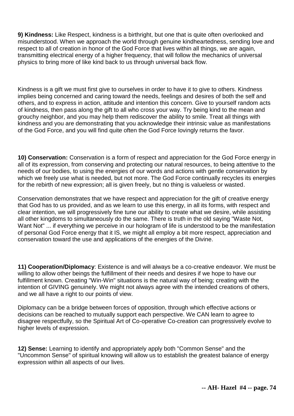**9) Kindness:** Like Respect, kindness is a birthright, but one that is quite often overlooked and misunderstood. When we approach the world through genuine kindheartedness, sending love and respect to all of creation in honor of the God Force that lives within all things, we are again, transmitting electrical energy of a higher frequency, that will follow the mechanics of universal physics to bring more of like kind back to us through universal back flow.

Kindness is a gift we must first give to ourselves in order to have it to give to others. Kindness implies being concerned and caring toward the needs, feelings and desires of both the self and others, and to express in action, attitude and intention this concern. Give to yourself random acts of kindness, then pass along the gift to all who cross your way. Try being kind to the mean and grouchy neighbor, and you may help them rediscover the ability to smile. Treat all things with kindness and you are demonstrating that you acknowledge their intrinsic value as manifestations of the God Force, and you will find quite often the God Force lovingly returns the favor.

**10) Conservation:** Conservation is a form of respect and appreciation for the God Force energy in all of its expression, from conserving and protecting our natural resources, to being attentive to the needs of our bodies, to using the energies of our words and actions with gentle conservation by which we freely use what is needed, but not more. The God Force continually recycles its energies for the rebirth of new expression; all is given freely, but no thing is valueless or wasted.

Conservation demonstrates that we have respect and appreciation for the gift of creative energy that God has to us provided, and as we learn to use this energy, in all its forms, with respect and clear intention, we will progressively fine tune our ability to create what we desire, while assisting all other kingdoms to simultaneously do the same. There is truth in the old saying "Waste Not, Want Not" ... if everything we perceive in our hologram of life is understood to be the manifestation of personal God Force energy that it IS, we might all employ a bit more respect, appreciation and conservation toward the use and applications of the energies of the Divine.

**11) Cooperation/Diplomacy**: Existence is and will always be a co-creative endeavor. We must be willing to allow other beings the fulfillment of their needs and desires if we hope to have our fulfillment known. Creating "Win-Win" situations is the natural way of being; creating with the intention of GIVING genuinely. We might not always agree with the intended creations of others, and we all have a right to our points of view.

Diplomacy can be a bridge between forces of opposition, through which effective actions or decisions can be reached to mutually support each perspective. We CAN learn to agree to disagree respectfully, so the Spiritual Art of Co-operative Co-creation can progressively evolve to higher levels of expression.

**12) Sense:** Learning to identify and appropriately apply both "Common Sense" and the "Uncommon Sense" of spiritual knowing will allow us to establish the greatest balance of energy expression within all aspects of our lives.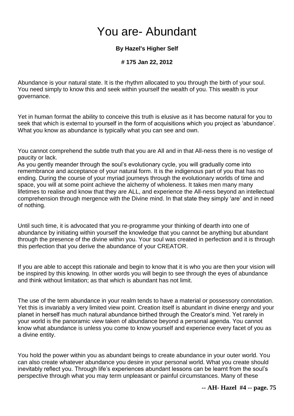## You are- Abundant

### **By Hazel's Higher Self**

### **# 175 Jan 22, 2012**

Abundance is your natural state. It is the rhythm allocated to you through the birth of your soul. You need simply to know this and seek within yourself the wealth of you. This wealth is your governance.

Yet in human format the ability to conceive this truth is elusive as it has become natural for you to seek that which is external to yourself in the form of acquisitions which you project as 'abundance'. What you know as abundance is typically what you can see and own.

You cannot comprehend the subtle truth that you are All and in that All-ness there is no vestige of paucity or lack.

As you gently meander through the soul's evolutionary cycle, you will gradually come into remembrance and acceptance of your natural form. It is the indigenous part of you that has no ending. During the course of your myriad journeys through the evolutionary worlds of time and space, you will at some point achieve the alchemy of wholeness. It takes men many many lifetimes to realise and know that they are ALL, and experience the All-ness beyond an intellectual comprehension through mergence with the Divine mind. In that state they simply 'are' and in need of nothing.

Until such time, it is advocated that you re-programme your thinking of dearth into one of abundance by initiating within yourself the knowledge that you cannot be anything but abundant through the presence of the divine within you. Your soul was created in perfection and it is through this perfection that you derive the abundance of your CREATOR.

If you are able to accept this rationale and begin to know that it is who you are then your vision will be inspired by this knowing. In other words you will begin to see through the eyes of abundance and think without limitation; as that which is abundant has not limit.

The use of the term abundance in your realm tends to have a material or possessory connotation. Yet this is invariably a very limited view point. Creation itself is abundant in divine energy and your planet in herself has much natural abundance birthed through the Creator's mind. Yet rarely in your world is the panoramic view taken of abundance beyond a personal agenda. You cannot know what abundance is unless you come to know yourself and experience every facet of you as a divine entity.

You hold the power within you as abundant beings to create abundance in your outer world. You can also create whatever abundance you desire in your personal world. What you create should inevitably reflect you. Through life's experiences abundant lessons can be learnt from the soul's perspective through what you may term unpleasant or painful circumstances. Many of these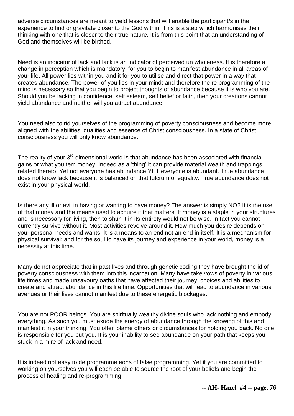adverse circumstances are meant to yield lessons that will enable the participant/s in the experience to find or gravitate closer to the God within. This is a step which harmonises their thinking with one that is closer to their true nature. It is from this point that an understanding of God and themselves will be birthed.

Need is an indicator of lack and lack is an indicator of perceived un wholeness. It is therefore a change in perception which is mandatory, for you to begin to manifest abundance in all areas of your life. All power lies within you and it for you to utilise and direct that power in a way that creates abundance. The power of you lies in your mind; and therefore the re programming of the mind is necessary so that you begin to project thoughts of abundance because it is who you are. Should you be lacking in confidence, self esteem, self belief or faith, then your creations cannot yield abundance and neither will you attract abundance.

You need also to rid yourselves of the programming of poverty consciousness and become more aligned with the abilities, qualities and essence of Christ consciousness. In a state of Christ consciousness you will only know abundance.

The reality of your  $3<sup>rd</sup>$  dimensional world is that abundance has been associated with financial gains or what you tem money. Indeed as a 'thing' it can provide material wealth and trappings related thereto. Yet not everyone has abundance YET everyone is abundant. True abundance does not know lack because it is balanced on that fulcrum of equality. True abundance does not exist in your physical world.

Is there any ill or evil in having or wanting to have money? The answer is simply NO? It is the use of that money and the means used to acquire it that matters. If money is a staple in your structures and is necessary for living, then to shun it in its entirety would not be wise. In fact you cannot currently survive without it. Most activities revolve around it. How much you desire depends on your personal needs and wants. It is a means to an end not an end in itself. It is a mechanism for physical survival; and for the soul to have its journey and experience in your world, money is a necessity at this time.

Many do not appreciate that in past lives and through genetic coding they have brought the id of poverty consciousness with them into this incarnation. Many have take vows of poverty in various life times and made unsavoury oaths that have affected their journey, choices and abilities to create and attract abundance in this life time. Opportunities that will lead to abundance in various avenues or their lives cannot manifest due to these energetic blockages.

You are not POOR beings. You are spiritually wealthy divine souls who lack nothing and embody everything. As such you must exude the energy of abundance through the knowing of this and manifest it in your thinking. You often blame others or circumstances for holding you back. No one is responsible for you but you. It is your inability to see abundance on your path that keeps you stuck in a mire of lack and need.

It is indeed not easy to de programme eons of false programming. Yet if you are committed to working on yourselves you will each be able to source the root of your beliefs and begin the process of healing and re-programming,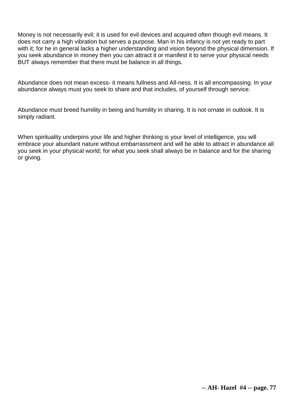Money is not necessarily evil; it is used for evil devices and acquired often though evil means. It does not carry a high vibration but serves a purpose. Man in his infancy is not yet ready to part with it; for he in general lacks a higher understanding and vision beyond the physical dimension. If you seek abundance in money then you can attract it or manifest it to serve your physical needs BUT always remember that there must be balance in all things.

Abundance does not mean excess- it means fullness and All-ness. It is all encompassing. In your abundance always must you seek to share and that includes, of yourself through service.

Abundance must breed humility in being and humility in sharing. It is not ornate in outlook. It is simply radiant.

When spirituality underpins your life and higher thinking is your level of intelligence, you will embrace your abundant nature without embarrassment and will be able to attract in abundance all you seek in your physical world; for what you seek shall always be in balance and for the sharing or giving.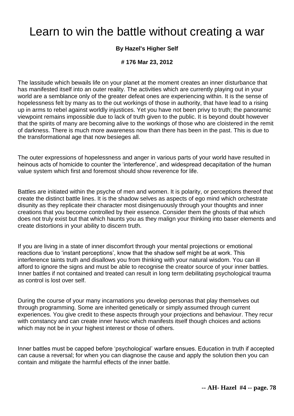### Learn to win the battle without creating a war

### **By Hazel's Higher Self**

#### **# 176 Mar 23, 2012**

The lassitude which bewails life on your planet at the moment creates an inner disturbance that has manifested itself into an outer reality. The activities which are currently playing out in your world are a semblance only of the greater defeat ones are experiencing within. It is the sense of hopelessness felt by many as to the out workings of those in authority, that have lead to a rising up in arms to rebel against worldly injustices. Yet you have not been privy to truth; the panoramic viewpoint remains impossible due to lack of truth given to the public. It is beyond doubt however that the spirits of many are becoming alive to the workings of those who are cloistered in the remit of darkness. There is much more awareness now than there has been in the past. This is due to the transformational age that now besieges all.

The outer expressions of hopelessness and anger in various parts of your world have resulted in heinous acts of homicide to counter the 'interference', and widespread decapitation of the human value system which first and foremost should show reverence for life.

Battles are initiated within the psyche of men and women. It is polarity, or perceptions thereof that create the distinct battle lines. It is the shadow selves as aspects of ego mind which orchestrate disunity as they replicate their character most disingenuously through your thoughts and inner creations that you become controlled by their essence. Consider them the ghosts of that which does not truly exist but that which haunts you as they malign your thinking into baser elements and create distortions in your ability to discern truth.

If you are living in a state of inner discomfort through your mental projections or emotional reactions due to 'instant perceptions', know that the shadow self might be at work. This interference taints truth and disallows you from thinking with your natural wisdom. You can ill afford to ignore the signs and must be able to recognise the creator source of your inner battles. Inner battles if not contained and treated can result in long term debilitating psychological trauma as control is lost over self.

During the course of your many incarnations you develop personas that play themselves out through programming. Some are inherited genetically or simply assumed through current experiences. You give credit to these aspects through your projections and behaviour. They recur with constancy and can create inner havoc which manifests itself though choices and actions which may not be in your highest interest or those of others.

Inner battles must be capped before 'psychological' warfare ensues. Education in truth if accepted can cause a reversal; for when you can diagnose the cause and apply the solution then you can contain and mitigate the harmful effects of the inner battle.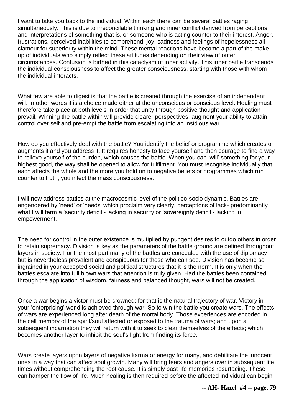I want to take you back to the individual. Within each there can be several battles raging simultaneously. This is due to irreconcilable thinking and inner conflict derived from perceptions and interpretations of something that is, or someone who is acting counter to their interest. Anger, frustrations, perceived inabilities to comprehend, joy, sadness and feelings of hopelessness all clamour for superiority within the mind. These mental reactions have become a part of the make up of individuals who simply reflect these attitudes depending on their view of outer circumstances. Confusion is birthed in this cataclysm of inner activity. This inner battle transcends the individual consciousness to affect the greater consciousness, starting with those with whom the individual interacts.

What few are able to digest is that the battle is created through the exercise of an independent will. In other words it is a choice made either at the unconscious or conscious level. Healing must therefore take place at both levels in order that unity through positive thought and application prevail. Winning the battle within will provide clearer perspectives, augment your ability to attain control over self and pre-empt the battle from escalating into an insidious war.

How do you effectively deal with the battle? You identify the belief or programme which creates or augments it and you address it. It requires honesty to face yourself and then courage to find a way to relieve yourself of the burden, which causes the battle. When you can 'will' something for your highest good, the way shall be opened to allow for fulfilment. You must recognise individually that each affects the whole and the more you hold on to negative beliefs or programmes which run counter to truth, you infect the mass consciousness.

I will now address battles at the macrocosmic level of the politico-socio dynamic. Battles are engendered by 'need' or 'needs' which proclaim very clearly, perceptions of lack- predominantly what I will term a 'security deficit'- lacking in security or 'sovereignty deficit'- lacking in empowerment.

The need for control in the outer existence is multiplied by pungent desires to outdo others in order to retain supremacy. Division is key as the parameters of the battle ground are defined throughout layers in society. For the most part many of the battles are concealed with the use of diplomacy but is nevertheless prevalent and conspicuous for those who can see. Division has become so ingrained in your accepted social and political structures that it is the norm. It is only when the battles escalate into full blown wars that attention is truly given. Had the battles been contained through the application of wisdom, fairness and balanced thought, wars will not be created.

Once a war begins a victor must be crowned; for that is the natural trajectory of war. Victory in your 'enterprising' world is achieved through war. So to win the battle you create wars. The effects of wars are experienced long after death of the mortal body. Those experiences are encoded in the cell memory of the spirit/soul affected or exposed to the trauma of wars; and upon a subsequent incarnation they will return with it to seek to clear themselves of the effects; which becomes another layer to inhibit the soul's light from finding its force.

Wars create layers upon layers of negative karma or energy for many, and debilitate the innocent ones in a way that can affect soul growth. Many will bring fears and angers over in subsequent life times without comprehending the root cause. It is simply past life memories resurfacing. These can hamper the flow of life. Much healing is then required before the affected individual can begin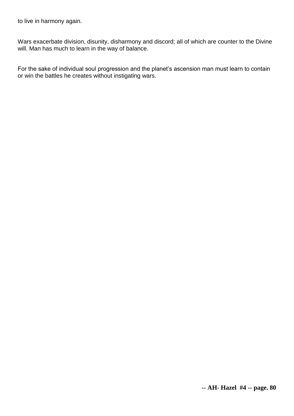to live in harmony again.

Wars exacerbate division, disunity, disharmony and discord; all of which are counter to the Divine will. Man has much to learn in the way of balance.

For the sake of individual soul progression and the planet's ascension man must learn to contain or win the battles he creates without instigating wars.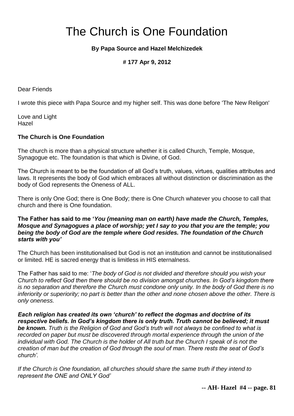# The Church is One Foundation

### **By Papa Source and Hazel Melchizedek**

### **# 177 Apr 9, 2012**

Dear Friends

I wrote this piece with Papa Source and my higher self. This was done before 'The New Religon'

Love and Light Hazel

#### **The Church is One Foundation**

The church is more than a physical structure whether it is called Church, Temple, Mosque, Synagogue etc. The foundation is that which is Divine, of God.

The Church is meant to be the foundation of all God's truth, values, virtues, qualities attributes and laws. It represents the body of God which embraces all without distinction or discrimination as the body of God represents the Oneness of ALL.

There is only One God; there is One Body; there is One Church whatever you choose to call that church and there is One foundation.

#### **The Father has said to me '***You (meaning man on earth) have made the Church, Temples, Mosque and Synagogues a place of worship; yet I say to you that you are the temple; you being the body of God are the temple where God resides. The foundation of the Church starts with you'*

The Church has been institutionalised but God is not an institution and cannot be institutionalised or limited. HE is sacred energy that is limitless in HIS eternalness.

The Father has said to me: '*The body of God is not divided and therefore should you wish your Church to reflect God then there should be no division amongst churches. In God's kingdom there is no separation and therefore the Church must condone only unity. In the body of God there is no inferiority or superiority; no part is better than the other and none chosen above the other. There is only oneness.* 

*Each religion has created its own 'church' to reflect the dogmas and doctrine of its respective beliefs. In God's kingdom there is only truth. Truth cannot be believed; it must be known. Truth is the Religion of God and God's truth will not always be confined to what is recorded on paper but must be discovered through mortal experience through the union of the individual with God. The Church is the holder of All truth but the Church I speak of is not the creation of man but the creation of God through the soul of man. There rests the seat of God's church'.* 

*If the Church is One foundation, all churches should share the same truth if they intend to represent the ONE and ONLY God'*

**-- AH- Hazel #4 -- page. 81**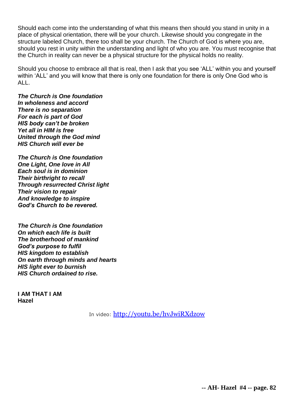Should each come into the understanding of what this means then should you stand in unity in a place of physical orientation, there will be your church. Likewise should you congregate in the structure labeled Church, there too shall be your church. The Church of God is where you are, should you rest in unity within the understanding and light of who you are. You must recognise that the Church in reality can never be a physical structure for the physical holds no reality.

Should you choose to embrace all that is real, then I ask that you see 'ALL' within you and yourself within 'ALL' and you will know that there is only one foundation for there is only One God who is ALL.

*The Church is One foundation In wholeness and accord There is no separation For each is part of God HIS body can't be broken Yet all in HIM is free United through the God mind HIS Church will ever be*

*The Church is One foundation One Light, One love in All Each soul is in dominion Their birthright to recall Through resurrected Christ light Their vision to repair And knowledge to inspire God's Church to be revered.*

*The Church is One foundation On which each life is built The brotherhood of mankind God's purpose to fulfil HIS kingdom to establish On earth through minds and hearts HIS light ever to burnish HIS Church ordained to rise.*

**I AM THAT I AM Hazel**

In video: <http://youtu.be/hvJwiRXdzow>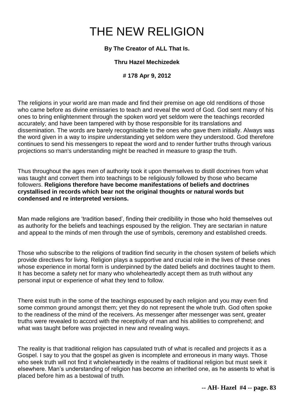# THE NEW RELIGION

### **By The Creator of ALL That Is.**

### **Thru Hazel Mechizedek**

**# 178 Apr 9, 2012**

The religions in your world are man made and find their premise on age old renditions of those who came before as divine emissaries to teach and reveal the word of God. God sent many of his ones to bring enlightenment through the spoken word yet seldom were the teachings recorded accurately; and have been tampered with by those responsible for its translations and dissemination. The words are barely recognisable to the ones who gave them initially. Always was the word given in a way to inspire understanding yet seldom were they understood. God therefore continues to send his messengers to repeat the word and to render further truths through various projections so man's understanding might be reached in measure to grasp the truth.

Thus throughout the ages men of authority took it upon themselves to distill doctrines from what was taught and convert them into teachings to be religiously followed by those who became followers. **Religions therefore have become manifestations of beliefs and doctrines crystallised in records which bear not the original thoughts or natural words but condensed and re interpreted versions.** 

Man made religions are 'tradition based', finding their credibility in those who hold themselves out as authority for the beliefs and teachings espoused by the religion. They are sectarian in nature and appeal to the minds of men through the use of symbols, ceremony and established creeds.

Those who subscribe to the religions of tradition find security in the chosen system of beliefs which provide directives for living. Religion plays a supportive and crucial role in the lives of these ones whose experience in mortal form is underpinned by the dated beliefs and doctrines taught to them. It has become a safety net for many who wholeheartedly accept them as truth without any personal input or experience of what they tend to follow.

There exist truth in the some of the teachings espoused by each religion and you may even find some common ground amongst them; yet they do not represent the whole truth. God often spoke to the readiness of the mind of the receivers. As messenger after messenger was sent, greater truths were revealed to accord with the receptivity of man and his abilities to comprehend; and what was taught before was projected in new and revealing ways.

The reality is that traditional religion has capsulated truth of what is recalled and projects it as a Gospel. I say to you that the gospel as given is incomplete and erroneous in many ways. Those who seek truth will not find it wholeheartedly in the realms of traditional religion but must seek it elsewhere. Man's understanding of religion has become an inherited one, as he assents to what is placed before him as a bestowal of truth.

**-- AH- Hazel #4 -- page. 83**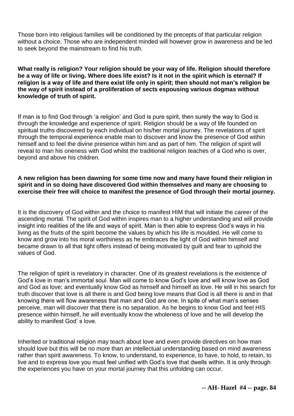Those born into religious families will be conditioned by the precepts of that particular religion without a choice. Those who are independent minded will however grow in awareness and be led to seek beyond the mainstream to find his truth.

**What really is religion? Your religion should be your way of life. Religion should therefore be a way of life or living. Where does life exist? Is it not in the spirit which is eternal? If religion is a way of life and there exist life only in spirit; then should not man's religion be the way of spirit instead of a proliferation of sects espousing various dogmas without knowledge of truth of spirit.**

If man is to find God through 'a religion' and God is pure spirit, then surely the way to God is through the knowledge and experience of spirit. Religion should be a way of life founded on spiritual truths discovered by each individual on his/her mortal journey. The revelations of spirit through the temporal experience enable man to discover and know the presence of God within himself and to feel the divine presence within him and as part of him. The religion of spirit will reveal to man his oneness with God whilst the traditional religion teaches of a God who is over, beyond and above his children.

### **A new religion has been dawning for some time now and many have found their religion in spirit and in so doing have discovered God within themselves and many are choosing to exercise their free will choice to manifest the presence of God through their mortal journey.**

It is the discovery of God within and the choice to manifest HIM that will initiate the career of the ascending mortal. The spirit of God within inspires man to a higher understanding and will provide insight into realities of the life and ways of spirit. Man is then able to express God's ways in his living as the fruits of the spirit become the values by which his life is moulded. He will come to know and grow into his moral worthiness as he embraces the light of God within himself and became drawn to all that light offers instead of being motivated by guilt and fear to uphold the values of God.

The religion of spirit is revelatory in character. One of its greatest revelations is the existence of God's love in man's immortal soul. Man will come to know God's love and will know love as God and God as love; and eventually know God as himself and himself as love. He will in his search for truth discover that love is all there is and God being love means that God is all there is and in that knowing there will flow awareness that man and God are one. In spite of what man's senses perceive, man will discover that there is no separation. As he begins to know God and feel HIS presence within himself, he will eventually know the wholeness of love and he will develop the ability to manifest God' s love.

Inherited or traditional religion may teach about love and even provide directives on how man should love but this will be no more than an intellectual understanding based on mind awareness rather than spirit awareness. To know, to understand, to experience, to have, to hold, to retain, to live and to express love you must feel unified with God's love that dwells within. It is only through the experiences you have on your mortal journey that this unfolding can occur.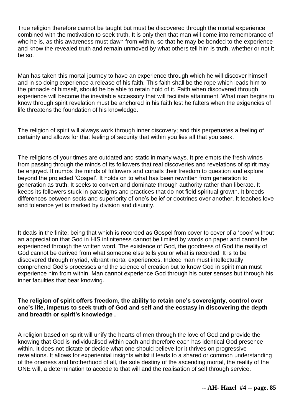True religion therefore cannot be taught but must be discovered through the mortal experience combined with the motivation to seek truth. It is only then that man will come into remembrance of who he is, as this awareness must dawn from within, so that he may be bonded to the experience and know the revealed truth and remain unmoved by what others tell him is truth, whether or not it be so.

Man has taken this mortal journey to have an experience through which he will discover himself and in so doing experience a release of his faith. This faith shall be the rope which leads him to the pinnacle of himself, should he be able to retain hold of it. Faith when discovered through experience will become the inevitable accessory that will facilitate attainment. What man begins to know through spirit revelation must be anchored in his faith lest he falters when the exigencies of life threatens the foundation of his knowledge.

The religion of spirit will always work through inner discovery; and this perpetuates a feeling of certainty and allows for that feeling of security that within you lies all that you seek.

The religions of your times are outdated and static in many ways. It pre empts the fresh winds from passing through the minds of its followers that real discoveries and revelations of spirit may be enjoyed. It numbs the minds of followers and curtails their freedom to question and explore beyond the projected 'Gospel'. It holds on to what has been rewritten from generation to generation as truth. It seeks to convert and dominate through authority rather than liberate. It keeps its followers stuck in paradigms and practices that do not field spiritual growth. It breeds differences between sects and superiority of one's belief or doctrines over another. It teaches love and tolerance yet is marked by division and disunity.

It deals in the finite; being that which is recorded as Gospel from cover to cover of a 'book' without an appreciation that God in HIS infiniteness cannot be limited by words on paper and cannot be experienced through the written word. The existence of God, the goodness of God the reality of God cannot be derived from what someone else tells you or what is recorded. It is to be discovered through myriad, vibrant mortal experiences. Indeed man must intellectually comprehend God's processes and the science of creation but to know God in spirit man must experience him from within. Man cannot experience God through his outer senses but through his inner faculties that bear knowing.

**The religion of spirit offers freedom, the ability to retain one's sovereignty, control over one's life, impetus to seek truth of God and self and the ecstasy in discovering the depth and breadth or spirit's knowledge .**

A religion based on spirit will unify the hearts of men through the love of God and provide the knowing that God is individualised within each and therefore each has identical God presence within. It does not dictate or decide what one should believe for it thrives on progressive revelations. It allows for experiential insights whilst it leads to a shared or common understanding of the oneness and brotherhood of all, the sole destiny of the ascending mortal, the reality of the ONE will, a determination to accede to that will and the realisation of self through service.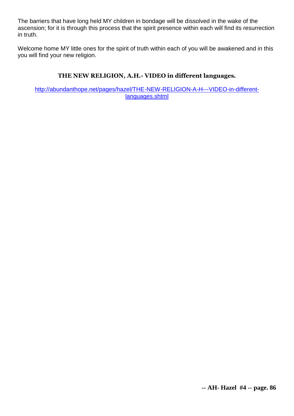The barriers that have long held MY children in bondage will be dissolved in the wake of the ascension; for it is through this process that the spirit presence within each will find its resurrection in truth.

Welcome home MY little ones for the spirit of truth within each of you will be awakened and in this you will find your new religion.

### **THE NEW RELIGION, A.H.- VIDEO in different languages.**

[http://abundanthope.net/pages/hazel/THE-NEW-RELIGION-A-H---VIDEO-in-different](http://abundanthope.net/pages/hazel/THE-NEW-RELIGION-A-H---VIDEO-in-different-languages.shtml)[languages.shtml](http://abundanthope.net/pages/hazel/THE-NEW-RELIGION-A-H---VIDEO-in-different-languages.shtml)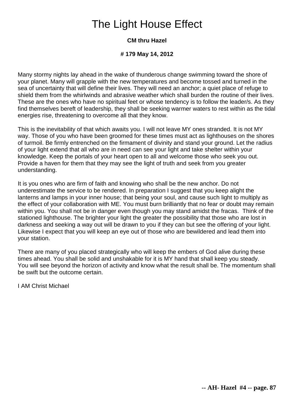### The Light House Effect

### **CM thru Hazel**

### **# 179 May 14, 2012**

Many stormy nights lay ahead in the wake of thunderous change swimming toward the shore of your planet. Many will grapple with the new temperatures and become tossed and turned in the sea of uncertainty that will define their lives. They will need an anchor; a quiet place of refuge to shield them from the whirlwinds and abrasive weather which shall burden the routine of their lives. These are the ones who have no spiritual feet or whose tendency is to follow the leader/s. As they find themselves bereft of leadership, they shall be seeking warmer waters to rest within as the tidal energies rise, threatening to overcome all that they know.

This is the inevitability of that which awaits you. I will not leave MY ones stranded. It is not MY way. Those of you who have been groomed for these times must act as lighthouses on the shores of turmoil. Be firmly entrenched on the firmament of divinity and stand your ground. Let the radius of your light extend that all who are in need can see your light and take shelter within your knowledge. Keep the portals of your heart open to all and welcome those who seek you out. Provide a haven for them that they may see the light of truth and seek from you greater understanding.

It is you ones who are firm of faith and knowing who shall be the new anchor. Do not underestimate the service to be rendered. In preparation I suggest that you keep alight the lanterns and lamps in your inner house; that being your soul, and cause such light to multiply as the effect of your collaboration with ME. You must burn brilliantly that no fear or doubt may remain within you. You shall not be in danger even though you may stand amidst the fracas. Think of the stationed lighthouse. The brighter your light the greater the possibility that those who are lost in darkness and seeking a way out will be drawn to you if they can but see the offering of your light. Likewise I expect that you will keep an eye out of those who are bewildered and lead them into your station.

There are many of you placed strategically who will keep the embers of God alive during these times ahead. You shall be solid and unshakable for it is MY hand that shall keep you steady. You will see beyond the horizon of activity and know what the result shall be. The momentum shall be swift but the outcome certain.

I AM Christ Michael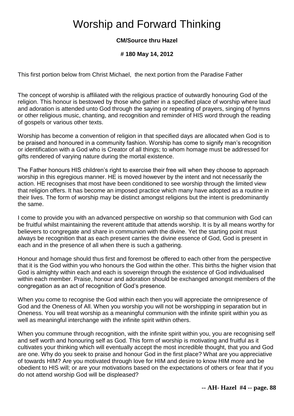### Worship and Forward Thinking

### **CM/Source thru Hazel**

### **# 180 May 14, 2012**

This first portion below from Christ Michael, the next portion from the Paradise Father

The concept of worship is affiliated with the religious practice of outwardly honouring God of the religion. This honour is bestowed by those who gather in a specified place of worship where laud and adoration is attended unto God through the saying or repeating of prayers, singing of hymns or other religious music, chanting, and recognition and reminder of HIS word through the reading of gospels or various other texts.

Worship has become a convention of religion in that specified days are allocated when God is to be praised and honoured in a community fashion. Worship has come to signify man's recognition or identification with a God who is Creator of all things; to whom homage must be addressed for gifts rendered of varying nature during the mortal existence.

The Father honours HIS children's right to exercise their free will when they choose to approach worship in this egregious manner. HE is moved however by the intent and not necessarily the action. HE recognises that most have been conditioned to see worship through the limited view that religion offers. It has become an imposed practice which many have adopted as a routine in their lives. The form of worship may be distinct amongst religions but the intent is predominantly the same.

I come to provide you with an advanced perspective on worship so that communion with God can be fruitful whilst maintaining the reverent attitude that attends worship. It is by all means worthy for believers to congregate and share in communion with the divine. Yet the starting point must always be recognition that as each present carries the divine essence of God, God is present in each and in the presence of all when there is such a gathering.

Honour and homage should thus first and foremost be offered to each other from the perspective that it is the God within you who honours the God within the other. This births the higher vision that God is almighty within each and each is sovereign through the existence of God individualised within each member. Praise, honour and adoration should be exchanged amongst members of the congregation as an act of recognition of God's presence.

When you come to recognise the God within each then you will appreciate the omnipresence of God and the Oneness of All. When you worship you will not be worshipping in separation but in Oneness. You will treat worship as a meaningful communion with the infinite spirit within you as well as meaningful interchange with the infinite spirit within others.

When you commune through recognition, with the infinite spirit within you, you are recognising self and self worth and honouring self as God. This form of worship is motivating and fruitful as it cultivates your thinking which will eventually accept the most incredible thought, that you and God are one. Why do you seek to praise and honour God in the first place? What are you appreciative of towards HIM? Are you motivated through love for HIM and desire to know HIM more and be obedient to HIS will; or are your motivations based on the expectations of others or fear that if you do not attend worship God will be displeased?

**-- AH- Hazel #4 -- page. 88**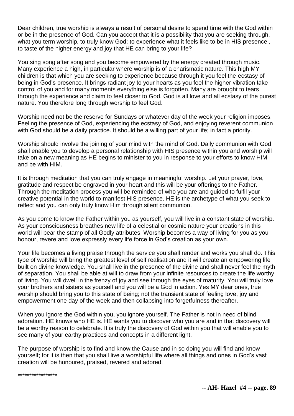Dear children, true worship is always a result of personal desire to spend time with the God within or be in the presence of God. Can you accept that it is a possibility that you are seeking through, what you term worship, to truly know God; to experience what it feels like to be in HIS presence , to taste of the higher energy and joy that HE can bring to your life?

You sing song after song and you become empowered by the energy created through music. Many experience a high, in particular where worship is of a charismatic nature. This high MY children is that which you are seeking to experience because through it you feel the ecstasy of being in God's presence. It brings radiant joy to your hearts as you feel the higher vibration take control of you and for many moments everything else is forgotten. Many are brought to tears through the experience and claim to feel closer to God. God is all love and all ecstasy of the purest nature. You therefore long through worship to feel God.

Worship need not be the reserve for Sundays or whatever day of the week your religion imposes. Feeling the presence of God, experiencing the ecstasy of God, and enjoying reverent communion with God should be a daily practice. It should be a willing part of your life; in fact a priority.

Worship should involve the joining of your mind with the mind of God. Daily communion with God shall enable you to develop a personal relationship with HIS presence within you and worship will take on a new meaning as HE begins to minister to you in response to your efforts to know HIM and be with HIM.

It is through meditation that you can truly engage in meaningful worship. Let your prayer, love, gratitude and respect be engraved in your heart and this will be your offerings to the Father. Through the meditation process you will be reminded of who you are and guided to fulfil your creative potential in the world to manifest HIS presence. HE is the archetype of what you seek to reflect and you can only truly know Him through silent communion.

As you come to know the Father within you as yourself, you will live in a constant state of worship. As your consciousness breathes new life of a celestial or cosmic nature your creations in this world will bear the stamp of all Godly attributes. Worship becomes a way of living for you as you honour, revere and love expressly every life force in God's creation as your own.

Your life becomes a living praise through the service you shall render and works you shall do. This type of worship will bring the greatest level of self realisation and it will create an empowering life built on divine knowledge. You shall live in the presence of the divine and shall never feel the myth of separation. You shall be able at will to draw from your infinite resources to create the life worthy of living. You will dwell in the frenzy of joy and see through the eyes of maturity. You will truly love your brothers and sisters as yourself and you will be a God in action. Yes MY dear ones, true worship should bring you to this state of being; not the transient state of feeling love, joy and empowerment one day of the week and then collapsing into forgetfulness thereafter.

When you ignore the God within you, you ignore yourself. The Father is not in need of blind adoration. HE knows who HE is. HE wants you to discover who you are and in that discovery will be a worthy reason to celebrate. It is truly the discovery of God within you that will enable you to see many of your earthy practices and concepts in a different light.

The purpose of worship is to find and know the Cause and in so doing you will find and know yourself; for it is then that you shall live a worshipful life where all things and ones in God's vast creation will be honoured, praised, revered and adored.

\*\*\*\*\*\*\*\*\*\*\*\*\*\*\*\*\*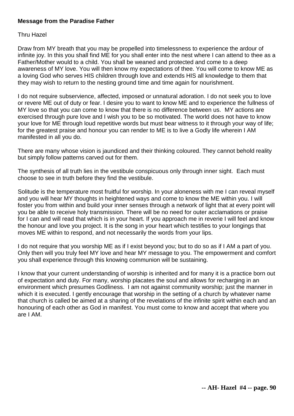### **Message from the Paradise Father**

#### Thru Hazel

Draw from MY breath that you may be propelled into timelessness to experience the ardour of infinite joy. In this you shall find ME for you shall enter into the nest where I can attend to thee as a Father/Mother would to a child. You shall be weaned and protected and come to a deep awareness of MY love. You will then know my expectations of thee. You will come to know ME as a loving God who serves HIS children through love and extends HIS all knowledge to them that they may wish to return to the nesting ground time and time again for nourishment.

I do not require subservience, affected, imposed or unnatural adoration. I do not seek you to love or revere ME out of duty or fear. I desire you to want to know ME and to experience the fullness of MY love so that you can come to know that there is no difference between us. MY actions are exercised through pure love and I wish you to be so motivated. The world does not have to know your love for ME through loud repetitive words but must bear witness to it through your way of life; for the greatest praise and honour you can render to ME is to live a Godly life wherein I AM manifested in all you do.

There are many whose vision is jaundiced and their thinking coloured. They cannot behold reality but simply follow patterns carved out for them.

The synthesis of all truth lies in the vestibule conspicuous only through inner sight. Each must choose to see in truth before they find the vestibule.

Solitude is the temperature most fruitful for worship. In your aloneness with me I can reveal myself and you will hear MY thoughts in heightened ways and come to know the ME within you. I will foster you from within and build your inner senses through a network of light that at every point will you be able to receive holy transmission. There will be no need for outer acclamations or praise for I can and will read that which is in your heart. If you approach me in reverie I will feel and know the honour and love you project. It is the song in your heart which testifies to your longings that moves ME within to respond, and not necessarily the words from your lips.

I do not require that you worship ME as if I exist beyond you; but to do so as if I AM a part of you. Only then will you truly feel MY love and hear MY message to you. The empowerment and comfort you shall experience through this knowing communion will be sustaining.

I know that your current understanding of worship is inherited and for many it is a practice born out of expectation and duty. For many, worship placates the soul and allows for recharging in an environment which presumes Godliness. I am not against community worship; just the manner in which it is executed. I gently encourage that worship in the setting of a church by whatever name that church is called be aimed at a sharing of the revelations of the infinite spirit within each and an honouring of each other as God in manifest. You must come to know and accept that where you are I AM.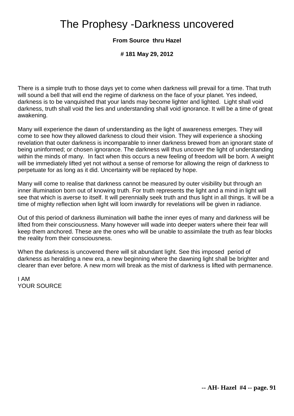### The Prophesy -Darkness uncovered

### **From Source thru Hazel**

**# 181 May 29, 2012**

There is a simple truth to those days yet to come when darkness will prevail for a time. That truth will sound a bell that will end the regime of darkness on the face of your planet. Yes indeed, darkness is to be vanquished that your lands may become lighter and lighted. Light shall void darkness, truth shall void the lies and understanding shall void ignorance. It will be a time of great awakening.

Many will experience the dawn of understanding as the light of awareness emerges. They will come to see how they allowed darkness to cloud their vision. They will experience a shocking revelation that outer darkness is incomparable to inner darkness brewed from an ignorant state of being uninformed; or chosen ignorance. The darkness will thus uncover the light of understanding within the minds of many. In fact when this occurs a new feeling of freedom will be born. A weight will be immediately lifted yet not without a sense of remorse for allowing the reign of darkness to perpetuate for as long as it did. Uncertainty will be replaced by hope.

Many will come to realise that darkness cannot be measured by outer visibility but through an inner illumination born out of knowing truth. For truth represents the light and a mind in light will see that which is averse to itself. It will perennially seek truth and thus light in all things. It will be a time of mighty reflection when light will loom inwardly for revelations will be given in radiance.

Out of this period of darkness illumination will bathe the inner eyes of many and darkness will be lifted from their consciousness. Many however will wade into deeper waters where their fear will keep them anchored. These are the ones who will be unable to assimilate the truth as fear blocks the reality from their consciousness.

When the darkness is uncovered there will sit abundant light. See this imposed period of darkness as heralding a new era, a new beginning where the dawning light shall be brighter and clearer than ever before. A new morn will break as the mist of darkness is lifted with permanence.

I AM YOUR SOURCE

**-- AH- Hazel #4 -- page. 91**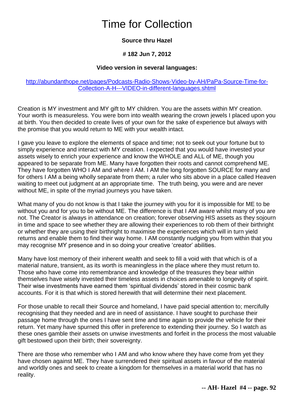### Time for Collection

### **Source thru Hazel**

### **# 182 Jun 7, 2012**

### **Video version in several languages:**

### [http://abundanthope.net/pages/Podcasts-Radio-Shows-Video-by-AH/PaPa-Source-Time-for-](http://abundanthope.net/pages/Podcasts-Radio-Shows-Video-by-AH/PaPa-Source-Time-for-Collection-A-H---VIDEO-in-different-languages.shtml)[Collection-A-H---VIDEO-in-different-languages.shtml](http://abundanthope.net/pages/Podcasts-Radio-Shows-Video-by-AH/PaPa-Source-Time-for-Collection-A-H---VIDEO-in-different-languages.shtml)

Creation is MY investment and MY gift to MY children. You are the assets within MY creation. Your worth is measureless. You were born into wealth wearing the crown jewels I placed upon you at birth. You then decided to create lives of your own for the sake of experience but always with the promise that you would return to ME with your wealth intact.

I gave you leave to explore the elements of space and time; not to seek out your fortune but to simply experience and interact with MY creation. I expected that you would have invested your assets wisely to enrich your experience and know the WHOLE and ALL of ME, though you appeared to be separate from ME. Many have forgotten their roots and cannot comprehend ME. They have forgotten WHO I AM and where I AM. I AM the long forgotten SOURCE for many and for others I AM a being wholly separate from them; a ruler who sits above in a place called Heaven waiting to meet out judgment at an appropriate time. The truth being, you were and are never without ME, in spite of the myriad journeys you have taken.

What many of you do not know is that I take the journey with you for it is impossible for ME to be without you and for you to be without ME. The difference is that I AM aware whilst many of you are not. The Creator is always in attendance on creation; forever observing HIS assets as they sojourn in time and space to see whether they are allowing their experiences to rob them of their birthright or whether they are using their birthright to maximise the experiences which will in turn yield returns and enable them to find their way home. I AM constantly nudging you from within that you may recognise MY presence and in so doing your creative 'creator' abilities.

Many have lost memory of their inherent wealth and seek to fill a void with that which is of a material nature, transient, as its worth is meaningless in the place where they must return to. Those who have come into remembrance and knowledge of the treasures they bear within themselves have wisely invested their timeless assets in choices amenable to longevity of spirit. Their wise investments have earned them 'spiritual dividends' stored in their cosmic bank accounts. For it is that which is stored herewith that will determine their next placement.

For those unable to recall their Source and homeland, I have paid special attention to; mercifully recognising that they needed and are in need of assistance. I have sought to purchase their passage home through the ones I have sent time and time again to provide the vehicle for their return. Yet many have spurned this offer in preference to extending their journey. So I watch as these ones gamble their assets on unwise investments and forfeit in the process the most valuable gift bestowed upon their birth; their sovereignty.

There are those who remember who I AM and who know where they have come from yet they have chosen against ME. They have surrendered their spiritual assets in favour of the material and worldly ones and seek to create a kingdom for themselves in a material world that has no reality.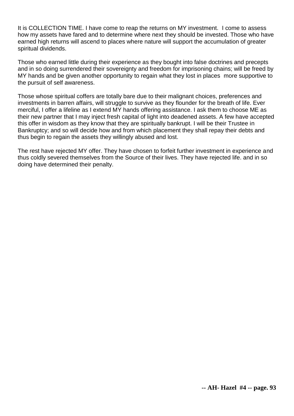It is COLLECTION TIME. I have come to reap the returns on MY investment. I come to assess how my assets have fared and to determine where next they should be invested. Those who have earned high returns will ascend to places where nature will support the accumulation of greater spiritual dividends.

Those who earned little during their experience as they bought into false doctrines and precepts and in so doing surrendered their sovereignty and freedom for imprisoning chains; will be freed by MY hands and be given another opportunity to regain what they lost in places more supportive to the pursuit of self awareness.

Those whose spiritual coffers are totally bare due to their malignant choices, preferences and investments in barren affairs, will struggle to survive as they flounder for the breath of life. Ever merciful, I offer a lifeline as I extend MY hands offering assistance. I ask them to choose ME as their new partner that I may inject fresh capital of light into deadened assets. A few have accepted this offer in wisdom as they know that they are spiritually bankrupt. I will be their Trustee in Bankruptcy; and so will decide how and from which placement they shall repay their debts and thus begin to regain the assets they willingly abused and lost.

The rest have rejected MY offer. They have chosen to forfeit further investment in experience and thus coldly severed themselves from the Source of their lives. They have rejected life. and in so doing have determined their penalty.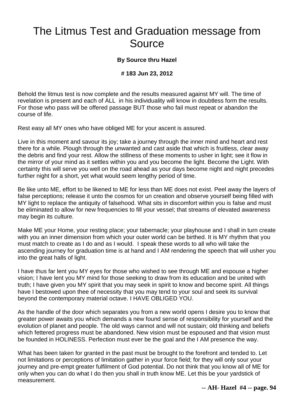### The Litmus Test and Graduation message from Source

### **By Source thru Hazel**

#### **# 183 Jun 23, 2012**

Behold the litmus test is now complete and the results measured against MY will. The time of revelation is present and each of ALL in his individuality will know in doubtless form the results. For those who pass will be offered passage BUT those who fail must repeat or abandon the course of life.

Rest easy all MY ones who have obliged ME for your ascent is assured.

Live in this moment and savour its joy; take a journey through the inner mind and heart and rest there for a while. Plough through the unwanted and cast aside that which is fruitless, clear away the debris and find your rest. Allow the stillness of these moments to usher in light; see it flow in the mirror of your mind as it settles within you and you become the light. Become the Light. With certainty this will serve you well on the road ahead as your days become night and night precedes further night for a short, yet what would seem lengthy period of time.

Be like unto ME, effort to be likened to ME for less than ME does not exist. Peel away the layers of false perceptions; release it unto the cosmos for un creation and observe yourself being filled with MY light to replace the antiquity of falsehood. What sits in discomfort within you is false and must be eliminated to allow for new frequencies to fill your vessel; that streams of elevated awareness may begin its culture.

Make ME your Home, your resting place; your tabernacle; your playhouse and I shall in turn create with you an inner dimension from which your outer world can be birthed. It is MY rhythm that you must match to create as I do and as I would. I speak these words to all who will take the ascending journey for graduation time is at hand and I AM rendering the speech that will usher you into the great halls of light.

I have thus far lent you MY eyes for those who wished to see through ME and espouse a higher vision; I have lent you MY mind for those seeking to draw from its education and be united with truth; I have given you MY spirit that you may seek in spirit to know and become spirit. All things have I bestowed upon thee of necessity that you may tend to your soul and seek its survival beyond the contemporary material octave. I HAVE OBLIGED YOU.

As the handle of the door which separates you from a new world opens I desire you to know that greater power awaits you which demands a new found sense of responsibility for yourself and the evolution of planet and people. The old ways cannot and will not sustain; old thinking and beliefs which fettered progress must be abandoned. New vision must be espoused and that vision must be founded in HOLINESS. Perfection must ever be the goal and the I AM presence the way.

What has been taken for granted in the past must be brought to the forefront and tended to. Let not limitations or perceptions of limitation gather in your force field; for they will only sour your journey and pre-empt greater fulfilment of God potential. Do not think that you know all of ME for only when you can do what I do then you shall in truth know ME. Let this be your yardstick of measurement.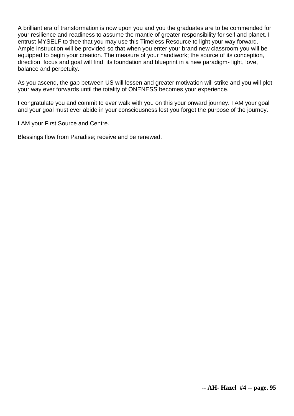A brilliant era of transformation is now upon you and you the graduates are to be commended for your resilience and readiness to assume the mantle of greater responsibility for self and planet. I entrust MYSELF to thee that you may use this Timeless Resource to light your way forward. Ample instruction will be provided so that when you enter your brand new classroom you will be equipped to begin your creation. The measure of your handiwork; the source of its conception, direction, focus and goal will find its foundation and blueprint in a new paradigm- light, love, balance and perpetuity.

As you ascend, the gap between US will lessen and greater motivation will strike and you will plot your way ever forwards until the totality of ONENESS becomes your experience.

I congratulate you and commit to ever walk with you on this your onward journey. I AM your goal and your goal must ever abide in your consciousness lest you forget the purpose of the journey.

I AM your First Source and Centre.

Blessings flow from Paradise; receive and be renewed.